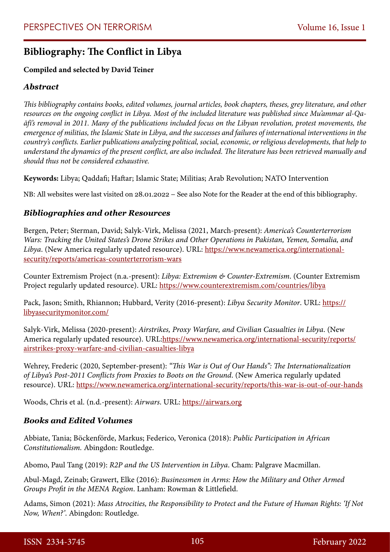# **Bibliography: The Conflict in Libya**

## **Compiled and selected by David Teiner**

# *Abstract*

*This bibliography contains books, edited volumes, journal articles, book chapters, theses, grey literature, and other resources on the ongoing conflict in Libya. Most of the included literature was published since Mu'ammar al-Qaāfī's removal in 2011. Many of the publications included focus on the Libyan revolution, protest movements, the emergence of militias, the Islamic State in Libya, and the successes and failures of international interventions in the country's conflicts. Earlier publications analyzing political, social, economic, or religious developments, that help to understand the dynamics of the present conflict, are also included. The literature has been retrieved manually and should thus not be considered exhaustive.*

**Keywords:** Libya; Qaddafi; Haftar; Islamic State; Militias; Arab Revolution; NATO Intervention

NB: All websites were last visited on 28.01.2022 – See also Note for the Reader at the end of this bibliography.

### *Bibliographies and other Resources*

Bergen, Peter; Sterman, David; Salyk-Virk, Melissa (2021, March-present): *America's Counterterrorism Wars: Tracking the United States's Drone Strikes and Other Operations in Pakistan, Yemen, Somalia, and Libya*. (New America regularly updated resource). URL: [https://www.newamerica.org/international](https://www.newamerica.org/international-security/reports/americas-counterterrorism-wars)[security/reports/americas-counterterrorism-wars](https://www.newamerica.org/international-security/reports/americas-counterterrorism-wars)

Counter Extremism Project (n.a.-present): *Libya: Extremism & Counter-Extremism*. (Counter Extremism Project regularly updated resource). URL:<https://www.counterextremism.com/countries/libya>

Pack, Jason; Smith, Rhiannon; Hubbard, Verity (2016-present): *Libya Security Monitor*. URL: [https://](https://libyasecuritymonitor.com/) [libyasecuritymonitor.com/](https://libyasecuritymonitor.com/)

Salyk-Virk, Melissa (2020-present): *Airstrikes, Proxy Warfare, and Civilian Casualties in Libya*. (New America regularly updated resource). URL:[https://www.newamerica.org/international-security/reports/](https://www.newamerica.org/international-security/reports/airstrikes-proxy-warfare-and-civilian-casualties-libya) [airstrikes-proxy-warfare-and-civilian-casualties-libya](https://www.newamerica.org/international-security/reports/airstrikes-proxy-warfare-and-civilian-casualties-libya)

Wehrey, Frederic (2020, September-present): *"This War is Out of Our Hands": The Internationalization of Libya's Post-2011 Conflicts from Proxies to Boots on the Ground*. (New America regularly updated resource). URL:<https://www.newamerica.org/international-security/reports/this-war-is-out-of-our-hands>

Woods, Chris et al. (n.d.-present): *Airwars*. URL:<https://airwars.org>

### *Books and Edited Volumes*

Abbiate, Tania; Böckenförde, Markus; Federico, Veronica (2018): *Public Participation in African Constitutionalism.* Abingdon: Routledge.

Abomo, Paul Tang (2019): *R2P and the US Intervention in Libya*. Cham: Palgrave Macmillan.

Abul-Magd, Zeinab; Grawert, Elke (2016): *Businessmen in Arms: How the Military and Other Armed Groups Profit in the MENA Region*. Lanham: Rowman & Littlefield.

Adams, Simon (2021): *Mass Atrocities, the Responsibility to Protect and the Future of Human Rights: 'If Not Now, When?'*. Abingdon: Routledge.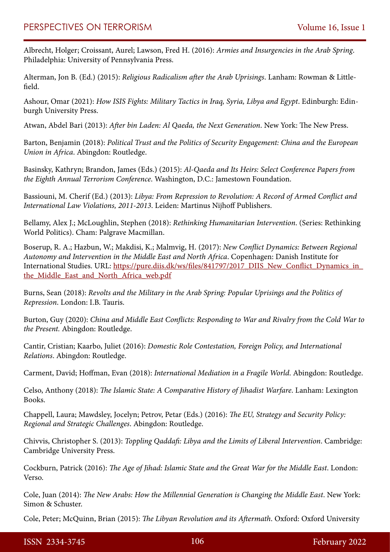Albrecht, Holger; Croissant, Aurel; Lawson, Fred H. (2016): *Armies and Insurgencies in the Arab Spring*. Philadelphia: University of Pennsylvania Press.

Alterman, Jon B. (Ed.) (2015): *Religious Radicalism after the Arab Uprisings*. Lanham: Rowman & Littlefield.

Ashour, Omar (2021): *How ISIS Fights: Military Tactics in Iraq, Syria, Libya and Egypt*. Edinburgh: Edinburgh University Press.

Atwan, Abdel Bari (2013): *After bin Laden: Al Qaeda, the Next Generation*. New York: The New Press.

Barton, Benjamin (2018): *Political Trust and the Politics of Security Engagement: China and the European Union in Africa*. Abingdon: Routledge.

Basinsky, Kathryn; Brandon, James (Eds.) (2015): *Al-Qaeda and Its Heirs: Select Conference Papers from the Eighth Annual Terrorism Conference*. Washington, D.C.: Jamestown Foundation.

Bassiouni, M. Cherif (Ed.) (2013): *Libya: From Repression to Revolution: A Record of Armed Conflict and International Law Violations, 2011-2013*. Leiden: Martinus Nijhoff Publishers.

Bellamy, Alex J.; McLoughlin, Stephen (2018): *Rethinking Humanitarian Intervention*. (Series: Rethinking World Politics). Cham: Palgrave Macmillan.

Boserup, R. A.; Hazbun, W.; Makdisi, K.; Malmvig, H. (2017): *New Conflict Dynamics: Between Regional Autonomy and Intervention in the Middle East and North Africa*. Copenhagen: Danish Institute for International Studies. URL: [https://pure.diis.dk/ws/files/841797/2017\\_DIIS\\_New\\_Conflict\\_Dynamics\\_in\\_](https://pure.diis.dk/ws/files/841797/2017_DIIS_New_Conflict_Dynamics_in_the_Middle_East_and_North_Africa_web.pdf) the Middle East and North Africa web.pdf

Burns, Sean (2018): *Revolts and the Military in the Arab Spring: Popular Uprisings and the Politics of Repression*. London: I.B. Tauris.

Burton, Guy (2020): *China and Middle East Conflicts: Responding to War and Rivalry from the Cold War to the Present.* Abingdon: Routledge.

Cantir, Cristian; Kaarbo, Juliet (2016): *Domestic Role Contestation, Foreign Policy, and International Relations*. Abingdon: Routledge.

Carment, David; Hoffman, Evan (2018): *International Mediation in a Fragile World*. Abingdon: Routledge.

Celso, Anthony (2018): *The Islamic State: A Comparative History of Jihadist Warfare*. Lanham: Lexington Books.

Chappell, Laura; Mawdsley, Jocelyn; Petrov, Petar (Eds.) (2016): *The EU, Strategy and Security Policy: Regional and Strategic Challenges*. Abingdon: Routledge.

Chivvis, Christopher S. (2013): *Toppling Qaddafi: Libya and the Limits of Liberal Intervention*. Cambridge: Cambridge University Press.

Cockburn, Patrick (2016): *The Age of Jihad: Islamic State and the Great War for the Middle East*. London: Verso.

Cole, Juan (2014): *The New Arabs: How the Millennial Generation is Changing the Middle East*. New York: Simon & Schuster.

Cole, Peter; McQuinn, Brian (2015): *The Libyan Revolution and its Aftermath*. Oxford: Oxford University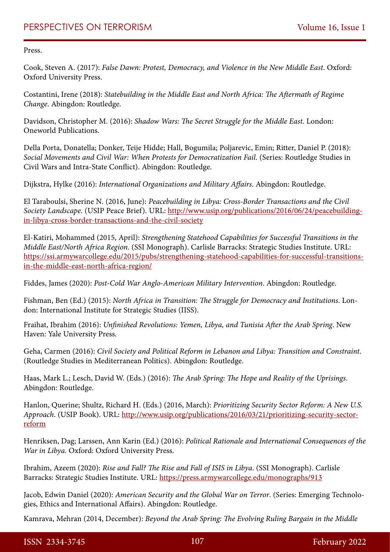Press.

Cook, Steven A. (2017): *False Dawn: Protest, Democracy, and Violence in the New Middle East*. Oxford: Oxford University Press.

Costantini, Irene (2018): *Statebuilding in the Middle East and North Africa: The Aftermath of Regime Change*. Abingdon: Routledge.

Davidson, Christopher M. (2016): *Shadow Wars: The Secret Struggle for the Middle East*. London: Oneworld Publications.

Della Porta, Donatella; Donker, Teije Hidde; Hall, Bogumila; Poljarevic, Emin; Ritter, Daniel P. (2018): *Social Movements and Civil War: When Protests for Democratization Fail*. (Series: Routledge Studies in Civil Wars and Intra-State Conflict). Abingdon: Routledge.

Dijkstra, Hylke (2016): *International Organizations and Military Affairs*. Abingdon: Routledge.

El Taraboulsi, Sherine N. (2016, June): *Peacebuilding in Libya: Cross-Border Transactions and the Civil Society Landscape*. (USIP Peace Brief). URL: [http://www.usip.org/publications/2016/06/24/peacebuilding](http://www.usip.org/publications/2016/06/24/peacebuilding-in-libya-cross-border-transactions-and-the-civil-society)[in-libya-cross-border-transactions-and-the-civil-society](http://www.usip.org/publications/2016/06/24/peacebuilding-in-libya-cross-border-transactions-and-the-civil-society)

El-Katiri, Mohammed (2015, April): *Strengthening Statehood Capabilities for Successful Transitions in the Middle East/North Africa Region*. (SSI Monograph). Carlisle Barracks: Strategic Studies Institute. URL: [https://ssi.armywarcollege.edu/2015/pubs/strengthening-statehood-capabilities-for-successful-transitions](https://ssi.armywarcollege.edu/2015/pubs/strengthening-statehood-capabilities-for-successful-transitions-in-the-middle-east-north-africa-region/)[in-the-middle-east-north-africa-region/](https://ssi.armywarcollege.edu/2015/pubs/strengthening-statehood-capabilities-for-successful-transitions-in-the-middle-east-north-africa-region/)

Fiddes, James (2020): *Post-Cold War Anglo-American Military Intervention*. Abingdon: Routledge.

Fishman, Ben (Ed.) (2015): *North Africa in Transition: The Struggle for Democracy and Institutions*. London: International Institute for Strategic Studies (IISS).

Fraihat, Ibrahim (2016): *Unfinished Revolutions: Yemen, Libya, and Tunisia After the Arab Spring*. New Haven: Yale University Press.

Geha, Carmen (2016): *Civil Society and Political Reform in Lebanon and Libya: Transition and Constraint*. (Routledge Studies in Mediterranean Politics). Abingdon: Routledge.

Haas, Mark L.; Lesch, David W. (Eds.) (2016): *The Arab Spring: The Hope and Reality of the Uprisings*. Abingdon: Routledge.

Hanlon, Querine; Shultz, Richard H. (Eds.) (2016, March): *Prioritizing Security Sector Reform: A New U.S. Approach*. (USIP Book). URL: [http://www.usip.org/publications/2016/03/21/prioritizing-security-sector](http://www.usip.org/publications/2016/03/21/prioritizing-security-sector-reform)[reform](http://www.usip.org/publications/2016/03/21/prioritizing-security-sector-reform)

Henriksen, Dag; Larssen, Ann Karin (Ed.) (2016): *Political Rationale and International Consequences of the War in Libya.* Oxford: Oxford University Press.

Ibrahim, Azeem (2020): *Rise and Fall? The Rise and Fall of ISIS in Libya*. (SSI Monograph). Carlisle Barracks: Strategic Studies Institute. URL:<https://press.armywarcollege.edu/monographs/913>

Jacob, Edwin Daniel (2020): *American Security and the Global War on Terror*. (Series: Emerging Technologies, Ethics and International Affairs). Abingdon: Routledge.

Kamrava, Mehran (2014, December): *Beyond the Arab Spring: The Evolving Ruling Bargain in the Middle*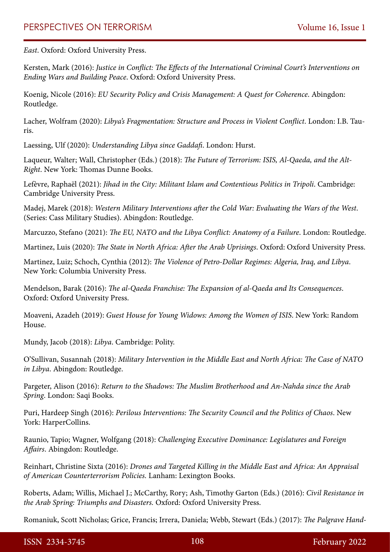*East*. Oxford: Oxford University Press.

Kersten, Mark (2016): *Justice in Conflict: The Effects of the International Criminal Court's Interventions on Ending Wars and Building Peace*. Oxford: Oxford University Press.

Koenig, Nicole (2016): *EU Security Policy and Crisis Management: A Quest for Coherence*. Abingdon: Routledge.

Lacher, Wolfram (2020): *Libya's Fragmentation: Structure and Process in Violent Conflict*. London: I.B. Tauris.

Laessing, Ulf (2020): *Understanding Libya since Gaddafi*. London: Hurst.

Laqueur, Walter; Wall, Christopher (Eds.) (2018): *The Future of Terrorism: ISIS, Al-Qaeda, and the Alt-Right*. New York: Thomas Dunne Books.

Lefèvre, Raphaël (2021): *Jihad in the City: Militant Islam and Contentious Politics in Tripoli*. Cambridge: Cambridge University Press.

Madej, Marek (2018): *Western Military Interventions after the Cold War: Evaluating the Wars of the West*. (Series: Cass Military Studies). Abingdon: Routledge.

Marcuzzo, Stefano (2021): *The EU, NATO and the Libya Conflict: Anatomy of a Failure*. London: Routledge.

Martinez, Luis (2020): *The State in North Africa: After the Arab Uprisings*. Oxford: Oxford University Press.

Martinez, Luiz; Schoch, Cynthia (2012): *The Violence of Petro-Dollar Regimes: Algeria, Iraq, and Libya*. New York: Columbia University Press.

Mendelson, Barak (2016): *The al-Qaeda Franchise: The Expansion of al-Qaeda and Its Consequences*. Oxford: Oxford University Press.

Moaveni, Azadeh (2019): *Guest House for Young Widows: Among the Women of ISIS*. New York: Random House.

Mundy, Jacob (2018): *Libya*. Cambridge: Polity.

O'Sullivan, Susannah (2018): *Military Intervention in the Middle East and North Africa: The Case of NATO in Libya*. Abingdon: Routledge.

Pargeter, Alison (2016): *Return to the Shadows: The Muslim Brotherhood and An-Nahda since the Arab Spring*. London: Saqi Books.

Puri, Hardeep Singh (2016): *Perilous Interventions: The Security Council and the Politics of Chaos*. New York: HarperCollins.

Raunio, Tapio; Wagner, Wolfgang (2018): *Challenging Executive Dominance: Legislatures and Foreign Affairs*. Abingdon: Routledge.

Reinhart, Christine Sixta (2016): *Drones and Targeted Killing in the Middle East and Africa: An Appraisal of American Counterterrorism Policies.* Lanham: Lexington Books.

Roberts, Adam; Willis, Michael J.; McCarthy, Rory; Ash, Timothy Garton (Eds.) (2016): *Civil Resistance in the Arab Spring: Triumphs and Disasters.* Oxford: Oxford University Press.

Romaniuk, Scott Nicholas; Grice, Francis; Irrera, Daniela; Webb, Stewart (Eds.) (2017): *The Palgrave Hand-*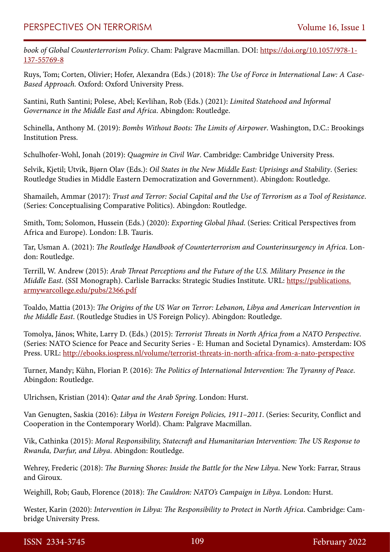*book of Global Counterterrorism Policy*. Cham: Palgrave Macmillan. DOI: [https://doi.org/10.1057/978-1-](https://doi.org/10.1057/978-1-137-55769-8) [137-55769-8](https://doi.org/10.1057/978-1-137-55769-8)

Ruys, Tom; Corten, Olivier; Hofer, Alexandra (Eds.) (2018): *The Use of Force in International Law: A Case-Based Approach.* Oxford: Oxford University Press.

Santini, Ruth Santini; Polese, Abel; Kevlihan, Rob (Eds.) (2021): *Limited Statehood and Informal Governance in the Middle East and Africa*. Abingdon: Routledge.

Schinella, Anthony M. (2019): *Bombs Without Boots: The Limits of Airpower*. Washington, D.C.: Brookings Institution Press.

Schulhofer-Wohl, Jonah (2019): *Quagmire in Civil War*. Cambridge: Cambridge University Press.

Selvik, Kjetil; Utvik, Bjørn Olav (Eds.): *Oil States in the New Middle East: Uprisings and Stability*. (Series: Routledge Studies in Middle Eastern Democratization and Government). Abingdon: Routledge.

Shamaileh, Ammar (2017): *Trust and Terror: Social Capital and the Use of Terrorism as a Tool of Resistance*. (Series: Conceptualising Comparative Politics). Abingdon: Routledge.

Smith, Tom; Solomon, Hussein (Eds.) (2020): *Exporting Global Jihad*. (Series: Critical Perspectives from Africa and Europe). London: I.B. Tauris.

Tar, Usman A. (2021): *The Routledge Handbook of Counterterrorism and Counterinsurgency in Africa*. London: Routledge.

Terrill, W. Andrew (2015): *Arab Threat Perceptions and the Future of the U.S. Military Presence in the Middle East*. (SSI Monograph). Carlisle Barracks: Strategic Studies Institute. URL: [https://publications.](https://publications.armywarcollege.edu/pubs/2366.pdf) [armywarcollege.edu/pubs/2366.pdf](https://publications.armywarcollege.edu/pubs/2366.pdf)

Toaldo, Mattia (2013): *The Origins of the US War on Terror: Lebanon, Libya and American Intervention in the Middle East*. (Routledge Studies in US Foreign Policy). Abingdon: Routledge.

Tomolya, János; White, Larry D. (Eds.) (2015): *Terrorist Threats in North Africa from a NATO Perspective*. (Series: NATO Science for Peace and Security Series - E: Human and Societal Dynamics). Amsterdam: IOS Press. URL: <http://ebooks.iospress.nl/volume/terrorist-threats-in-north-africa-from-a-nato-perspective>

Turner, Mandy; Kühn, Florian P. (2016): *The Politics of International Intervention: The Tyranny of Peace*. Abingdon: Routledge.

Ulrichsen, Kristian (2014): *Qatar and the Arab Spring*. London: Hurst.

Van Genugten, Saskia (2016): *Libya in Western Foreign Policies, 1911–2011*. (Series: Security, Conflict and Cooperation in the Contemporary World). Cham: Palgrave Macmillan.

Vik, Cathinka (2015): *Moral Responsibility, Statecraft and Humanitarian Intervention: The US Response to Rwanda, Darfur, and Libya*. Abingdon: Routledge.

Wehrey, Frederic (2018): *The Burning Shores: Inside the Battle for the New Libya*. New York: Farrar, Straus and Giroux.

Weighill, Rob; Gaub, Florence (2018): *The Cauldron: NATO's Campaign in Libya*. London: Hurst.

Wester, Karin (2020): *Intervention in Libya: The Responsibility to Protect in North Africa*. Cambridge: Cambridge University Press.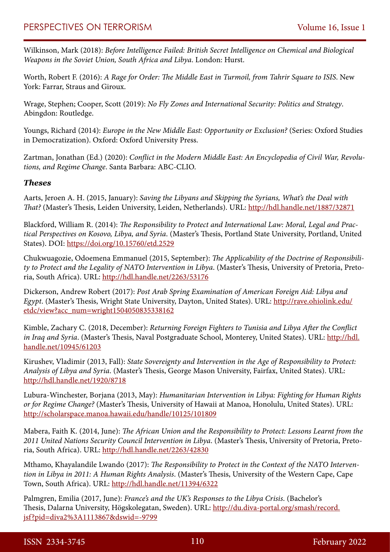Wilkinson, Mark (2018): *Before Intelligence Failed: British Secret Intelligence on Chemical and Biological Weapons in the Soviet Union, South Africa and Libya*. London: Hurst.

Worth, Robert F. (2016): *A Rage for Order: The Middle East in Turmoil, from Tahrir Square to ISIS*. New York: Farrar, Straus and Giroux.

Wrage, Stephen; Cooper, Scott (2019): *No Fly Zones and International Security: Politics and Strategy*. Abingdon: Routledge.

Youngs, Richard (2014): *Europe in the New Middle East: Opportunity or Exclusion?* (Series: Oxford Studies in Democratization). Oxford: Oxford University Press.

Zartman, Jonathan (Ed.) (2020): *Conflict in the Modern Middle East: An Encyclopedia of Civil War, Revolutions, and Regime Change*. Santa Barbara: ABC-CLIO.

#### *Theses*

Aarts, Jeroen A. H. (2015, January): *Saving the Libyans and Skipping the Syrians, What's the Deal with That?* (Master's Thesis, Leiden University, Leiden, Netherlands). URL:<http://hdl.handle.net/1887/32871>

Blackford, William R. (2014): *The Responsibility to Protect and International Law: Moral, Legal and Practical Perspectives on Kosovo, Libya, and Syria*. (Master's Thesis, Portland State University, Portland, United States). DOI:<https://doi.org/10.15760/etd.2529>

Chukwuagozie, Odoemena Emmanuel (2015, September): *The Applicability of the Doctrine of Responsibility to Protect and the Legality of NATO Intervention in Libya*. (Master's Thesis, University of Pretoria, Pretoria, South Africa). URL:<http://hdl.handle.net/2263/53176>

Dickerson, Andrew Robert (2017): *Post Arab Spring Examination of American Foreign Aid: Libya and Egypt*. (Master's Thesis, Wright State University, Dayton, United States). URL: [http://rave.ohiolink.edu/](http://rave.ohiolink.edu/etdc/view?acc_num=wright1504050835338162) [etdc/view?acc\\_num=wright1504050835338162](http://rave.ohiolink.edu/etdc/view?acc_num=wright1504050835338162)

Kimble, Zachary C. (2018, December): *Returning Foreign Fighters to Tunisia and Libya After the Conflict in Iraq and Syria*. (Master's Thesis, Naval Postgraduate School, Monterey, United States). URL: [http://hdl.](http://hdl.handle.net/10945/61203) [handle.net/10945/61203](http://hdl.handle.net/10945/61203)

Kirushev, Vladimir (2013, Fall): *State Sovereignty and Intervention in the Age of Responsibility to Protect: Analysis of Libya and Syria*. (Master's Thesis, George Mason University, Fairfax, United States). URL: <http://hdl.handle.net/1920/8718>

Lubura-Winchester, Borjana (2013, May): *Humanitarian Intervention in Libya: Fighting for Human Rights or for Regime Change?* (Master's Thesis, University of Hawaii at Manoa, Honolulu, United States). URL: <http://scholarspace.manoa.hawaii.edu/handle/10125/101809>

Mabera, Faith K. (2014, June): *The African Union and the Responsibility to Protect: Lessons Learnt from the 2011 United Nations Security Council Intervention in Libya*. (Master's Thesis, University of Pretoria, Pretoria, South Africa). URL:<http://hdl.handle.net/2263/42830>

Mthamo, Khayalandile Lwando (2017): *The Responsibility to Protect in the Context of the NATO Intervention in Libya in 2011: A Human Rights Analysis*. (Master's Thesis, University of the Western Cape, Cape Town, South Africa). URL:<http://hdl.handle.net/11394/6322>

Palmgren, Emilia (2017, June): *France's and the UK's Responses to the Libya Crisis*. (Bachelor's Thesis, Dalarna University, Högskolegatan, Sweden). URL: [http://du.diva-portal.org/smash/record.](http://du.diva-portal.org/smash/record.jsf?pid=diva2%3A1113867&dswid=-9799) [jsf?pid=diva2%3A1113867&dswid=-9799](http://du.diva-portal.org/smash/record.jsf?pid=diva2%3A1113867&dswid=-9799)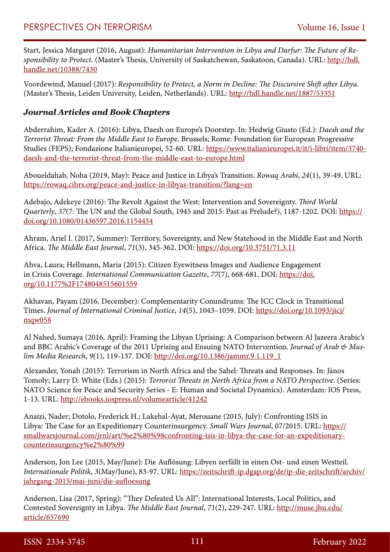Start, Jessica Margaret (2016, August): *Humanitarian Intervention in Libya and Darfur: The Future of Responsibility to Protect*. (Master's Thesis, University of Saskatchewan, Saskatoon, Canada). URL: [http://hdl.](http://hdl.handle.net/10388/7430) [handle.net/10388/7430](http://hdl.handle.net/10388/7430)

Voordewind, Manuel (2017): *Responsibility to Protect, a Norm in Decline: The Discursive Shift after Libya*. (Master's Thesis, Leiden University, Leiden, Netherlands). URL: <http://hdl.handle.net/1887/53351>

#### *Journal Articles and Book Chapters*

Abderrahim, Kader A. (2016): Libya, Daesh on Europe's Doorstep. In: Hedwig Giusto (Ed.): *Daesh and the Terrorist Threat: From the Middle East to Europe.* Brussels; Rome: Foundation for European Progressive Studies (FEPS); Fondazione Italianieuropei, 52-60. URL: [https://www.italianieuropei.it/it/i-libri/item/3740](https://www.italianieuropei.it/it/i-libri/item/3740-daesh-and-the-terrorist-threat-from-the-middle-east-to-europe.html) [daesh-and-the-terrorist-threat-from-the-middle-east-to-europe.html](https://www.italianieuropei.it/it/i-libri/item/3740-daesh-and-the-terrorist-threat-from-the-middle-east-to-europe.html)

Aboueldahab, Noha (2019, May): Peace and Justice in Libya's Transition. *Rowaq Arabi*, *24*(1), 39-49. URL: <https://rowaq.cihrs.org/peace-and-justice-in-libyas-transition/?lang=en>

Adebajo, Adekeye (2016): The Revolt Against the West: Intervention and Sovereignty. *Third World Quarterly*, *37*(7: The UN and the Global South, 1945 and 2015: Past as Prelude?), 1187-1202. DOI: [https://](https://doi.org/10.1080/01436597.2016.1154434) [doi.org/10.1080/01436597.2016.1154434](https://doi.org/10.1080/01436597.2016.1154434)

Ahram, Ariel I. (2017, Summer): Territory, Sovereignty, and New Statehood in the Middle East and North Africa. *The Middle East Journal*, *71*(3), 345-362. DOI:<https://doi.org/10.3751/71.3.11>

Ahva, Laura; Hellmann, Maria (2015): Citizen Eyewitness Images and Audience Engagement in Crisis Coverage. *International Communication Gazette*, *77*(7), 668-681. DOI: [https://doi.](https://doi.org/10.1177%2F1748048515601559) [org/10.1177%2F1748048515601559](https://doi.org/10.1177%2F1748048515601559)

Akhavan, Payam (2016, December): Complementarity Conundrums: The ICC Clock in Transitional Times. *Journal of International Criminal Justice*, *14*(5), 1043–1059. DOI: [https://doi.org/10.1093/jicj/](https://doi.org/10.1093/jicj/mqw058) [mqw058](https://doi.org/10.1093/jicj/mqw058)

Al Nahed, Sumaya (2016, April): Framing the Libyan Uprising: A Comparison between Al Jazeera Arabic's and BBC Arabic's Coverage of the 2011 Uprising and Ensuing NATO Intervention. *Journal of Arab & Muslim Media Research*, *9*(1), 119-137. DOI: [http://doi.org/10.1386/jammr.9.1.119\\_1](http://doi.org/10.1386/jammr.9.1.119_1)

Alexander, Yonah (2015): Terrorism in North Africa and the Sahel: Threats and Responses. In: János Tomoly; Larry D. White (Eds.) (2015): *Terrorist Threats in North Africa from a NATO Perspective*. (Series: NATO Science for Peace and Security Series - E: Human and Societal Dynamics). Amsterdam: IOS Press, 1-13. URL:<http://ebooks.iospress.nl/volumearticle/41242>

Anaizi, Nader; Dotolo, Frederick H.; Lakehal-Ayat, Merouane (2015, July): Confronting ISIS in Libya: The Case for an Expeditionary Counterinsurgency. *Small Wars Journal*, 07/2015. URL: [https://](https://smallwarsjournal.com/jrnl/art/‘confronting-isis-in-libya-the-case-for-an-expeditionary-counterinsurgency’) [smallwarsjournal.com/jrnl/art/%e2%80%98confronting-isis-in-libya-the-case-for-an-expeditionary](https://smallwarsjournal.com/jrnl/art/‘confronting-isis-in-libya-the-case-for-an-expeditionary-counterinsurgency’)[counterinsurgency%e2%80%99](https://smallwarsjournal.com/jrnl/art/‘confronting-isis-in-libya-the-case-for-an-expeditionary-counterinsurgency’)

Anderson, Jon Lee (2015, May/June): Die Auflösung: Libyen zerfällt in einen Ost- und einen Westteil. *Internationale Politik*, *3*(May/June), 83-97. URL: [https://zeitschrift-ip.dgap.org/de/ip-die-zeitschrift/archiv/](https://zeitschrift-ip.dgap.org/de/ip-die-zeitschrift/archiv/jahrgang-2015/mai-juni/die-aufloesung) [jahrgang-2015/mai-juni/die-aufloesung](https://zeitschrift-ip.dgap.org/de/ip-die-zeitschrift/archiv/jahrgang-2015/mai-juni/die-aufloesung)

Anderson, Lisa (2017, Spring): "They Defeated Us All": International Interests, Local Politics, and Contested Sovereignty in Libya. *The Middle East Journal*, *71*(2), 229-247. URL: [http://muse.jhu.edu/](http://muse.jhu.edu/article/657690) [article/657690](http://muse.jhu.edu/article/657690)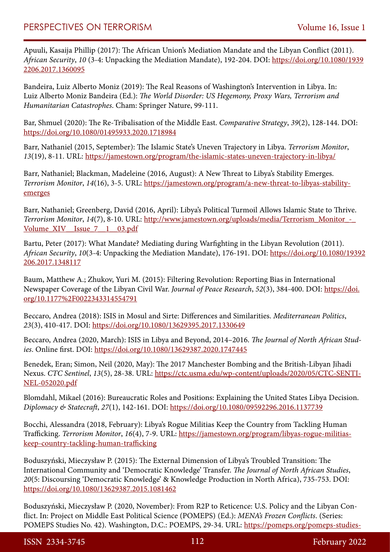Apuuli, Kasaija Phillip (2017): The African Union's Mediation Mandate and the Libyan Conflict (2011). *African Security*, *10* (3-4: Unpacking the Mediation Mandate), 192-204. DOI: [https://doi.org/10.1080/1939](https://doi.org/10.1080/19392206.2017.1360095) [2206.2017.1360095](https://doi.org/10.1080/19392206.2017.1360095)

Bandeira, Luiz Alberto Moniz (2019): The Real Reasons of Washington's Intervention in Libya. In: Luiz Alberto Moniz Bandeira (Ed.): *The World Disorder: US Hegemony, Proxy Wars, Terrorism and Humanitarian Catastrophes*. Cham: Springer Nature, 99-111.

Bar, Shmuel (2020): The Re-Tribalisation of the Middle East. *Comparative Strategy*, *39*(2), 128-144. DOI: <https://doi.org/10.1080/01495933.2020.1718984>

Barr, Nathaniel (2015, September): The Islamic State's Uneven Trajectory in Libya. *Terrorism Monitor*, *13*(19), 8-11. URL:<https://jamestown.org/program/the-islamic-states-uneven-trajectory-in-libya/>

Barr, Nathaniel; Blackman, Madeleine (2016, August): A New Threat to Libya's Stability Emerges. *Terrorism Monitor*, *14*(16), 3-5. URL: [https://jamestown.org/program/a-new-threat-to-libyas-stability](https://jamestown.org/program/a-new-threat-to-libyas-stability-emerges)[emerges](https://jamestown.org/program/a-new-threat-to-libyas-stability-emerges)

Barr, Nathaniel; Greenberg, David (2016, April): Libya's Political Turmoil Allows Islamic State to Thrive. *Terrorism Monitor*, *14*(7), 8-10. URL: [http://www.jamestown.org/uploads/media/Terrorism\\_Monitor\\_-\\_](http://www.jamestown.org/uploads/media/Terrorism_Monitor_-_Volume_XIV__Issue_7__1__03.pdf) Volume XIV Issue 7 1 03.pdf

Bartu, Peter (2017): What Mandate? Mediating during Warfighting in the Libyan Revolution (2011). *African Security*, *10*(3-4: Unpacking the Mediation Mandate), 176-191. DOI: [https://doi.org/10.1080/19392](https://doi.org/10.1080/19392206.2017.1348117) [206.2017.1348117](https://doi.org/10.1080/19392206.2017.1348117)

Baum, Matthew A.; Zhukov, Yuri M. (2015): Filtering Revolution: Reporting Bias in International Newspaper Coverage of the Libyan Civil War. *Journal of Peace Research*, *52*(3), 384-400. DOI: [https://doi.](https://doi.org/10.1177%2F0022343314554791) [org/10.1177%2F0022343314554791](https://doi.org/10.1177%2F0022343314554791)

Beccaro, Andrea (2018): ISIS in Mosul and Sirte: Differences and Similarities. *Mediterranean Politics*, *23*(3), 410-417. DOI: <https://doi.org/10.1080/13629395.2017.1330649>

Beccaro, Andrea (2020, March): ISIS in Libya and Beyond, 2014–2016. *The Journal of North African Studies*. Online first. DOI:<https://doi.org/10.1080/13629387.2020.1747445>

Benedek, Eran; Simon, Neil (2020, May): The 2017 Manchester Bombing and the British-Libyan Jihadi Nexus. *CTC Sentinel*, *13*(5), 28-38. URL: [https://ctc.usma.edu/wp-content/uploads/2020/05/CTC-SENTI-](https://ctc.usma.edu/wp-content/uploads/2020/05/CTC-SENTINEL-052020.pdf)[NEL-052020.pdf](https://ctc.usma.edu/wp-content/uploads/2020/05/CTC-SENTINEL-052020.pdf)

Blomdahl, Mikael (2016): Bureaucratic Roles and Positions: Explaining the United States Libya Decision. *Diplomacy & Statecraft*, *27*(1), 142-161. DOI: <https://doi.org/10.1080/09592296.2016.1137739>

Bocchi, Alessandra (2018, February): Libya's Rogue Militias Keep the Country from Tackling Human Trafficking. *Terrorism Monitor*, *16*(4), 7-9. URL: [https://jamestown.org/program/libyas-rogue-militias](https://jamestown.org/program/libyas-rogue-militias-keep-country-tackling-human-trafficking)[keep-country-tackling-human-trafficking](https://jamestown.org/program/libyas-rogue-militias-keep-country-tackling-human-trafficking)

Boduszyński, Mieczysław P. (2015): The External Dimension of Libya's Troubled Transition: The International Community and 'Democratic Knowledge' Transfer. *The Journal of North African Studies*, *20*(5: Discoursing 'Democratic Knowledge' & Knowledge Production in North Africa), 735-753. DOI: <https://doi.org/10.1080/13629387.2015.1081462>

Boduszyński, Mieczysław P. (2020, November): From R2P to Reticence: U.S. Policy and the Libyan Conflict. In: Project on Middle East Political Science (POMEPS) (Ed.): *MENA's Frozen Conflicts*. (Series: POMEPS Studies No. 42). Washington, D.C.: POEMPS, 29-34. URL: [https://pomeps.org/pomeps-studies-](https://pomeps.org/pomeps-studies-42-menas-frozen-conflicts)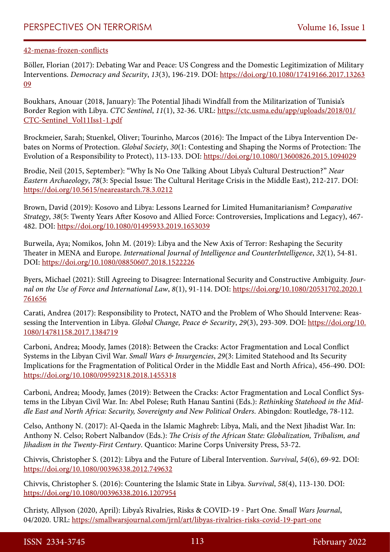#### [42-menas-frozen-conflicts](https://pomeps.org/pomeps-studies-42-menas-frozen-conflicts)

Böller, Florian (2017): Debating War and Peace: US Congress and the Domestic Legitimization of Military Interventions. *Democracy and Security*, *13*(3), 196-219. DOI: [https://doi.org/10.1080/17419166.2017.13263](https://doi.org/10.1080/17419166.2017.1326309) [09](https://doi.org/10.1080/17419166.2017.1326309)

Boukhars, Anouar (2018, January): The Potential Jihadi Windfall from the Militarization of Tunisia's Border Region with Libya. *CTC Sentinel*, *11*(1), 32-36. URL: [https://ctc.usma.edu/app/uploads/2018/01/](https://ctc.usma.edu/app/uploads/2018/01/CTC-Sentinel_Vol11Iss1-1.pdf) [CTC-Sentinel\\_Vol11Iss1-1.pdf](https://ctc.usma.edu/app/uploads/2018/01/CTC-Sentinel_Vol11Iss1-1.pdf)

Brockmeier, Sarah; Stuenkel, Oliver; Tourinho, Marcos (2016): The Impact of the Libya Intervention Debates on Norms of Protection. *Global Society*, *30*(1: Contesting and Shaping the Norms of Protection: The Evolution of a Responsibility to Protect), 113-133. DOI: <https://doi.org/10.1080/13600826.2015.1094029>

Brodie, Neil (2015, September): "Why Is No One Talking About Libya's Cultural Destruction?" *Near Eastern Archaeology*, *78*(3: Special Issue: The Cultural Heritage Crisis in the Middle East), 212-217. DOI: <https://doi.org/10.5615/neareastarch.78.3.0212>

Brown, David (2019): Kosovo and Libya: Lessons Learned for Limited Humanitarianism? *Comparative Strategy*, *38*(5: Twenty Years After Kosovo and Allied Force: Controversies, Implications and Legacy), 467- 482. DOI:<https://doi.org/10.1080/01495933.2019.1653039>

Burweila, Aya; Nomikos, John M. (2019): Libya and the New Axis of Terror: Reshaping the Security Theater in MENA and Europe. *International Journal of Intelligence and CounterIntelligence*, *32*(1), 54-81. DOI:<https://doi.org/10.1080/08850607.2018.1522226>

Byers, Michael (2021): Still Agreeing to Disagree: International Security and Constructive Ambiguity. *Journal on the Use of Force and International Law*, *8*(1), 91-114. DOI: [https://doi.org/10.1080/20531702.2020.1](https://doi.org/10.1080/20531702.2020.1761656) [761656](https://doi.org/10.1080/20531702.2020.1761656)

Carati, Andrea (2017): Responsibility to Protect, NATO and the Problem of Who Should Intervene: Reassessing the Intervention in Libya. *Global Change, Peace & Security*, *29*(3), 293-309. DOI: [https://doi.org/10.](https://doi.org/10.1080/14781158.2017.1384719) [1080/14781158.2017.1384719](https://doi.org/10.1080/14781158.2017.1384719)

Carboni, Andrea; Moody, James (2018): Between the Cracks: Actor Fragmentation and Local Conflict Systems in the Libyan Civil War. *Small Wars & Insurgencies*, *29*(3: Limited Statehood and Its Security Implications for the Fragmentation of Political Order in the Middle East and North Africa), 456-490. DOI: <https://doi.org/10.1080/09592318.2018.1455318>

Carboni, Andrea; Moody, James (2019): Between the Cracks: Actor Fragmentation and Local Conflict Systems in the Libyan Civil War. In: Abel Polese; Ruth Hanau Santini (Eds.): *Rethinking Statehood in the Middle East and North Africa: Security, Sovereignty and New Political Orders*. Abingdon: Routledge, 78-112.

Celso, Anthony N. (2017): Al-Qaeda in the Islamic Maghreb: Libya, Mali, and the Next Jihadist War. In: Anthony N. Celso; Robert Nalbandov (Eds.): *The Crisis of the African State: Globalization, Tribalism, and Jihadism in the Twenty-First Century*. Quantico: Marine Corps University Press, 53-72.

Chivvis, Christopher S. (2012): Libya and the Future of Liberal Intervention. *Survival*, *54*(6), 69-92. DOI: <https://doi.org/10.1080/00396338.2012.749632>

Chivvis, Christopher S. (2016): Countering the Islamic State in Libya. *Survival*, *58*(4), 113-130. DOI: <https://doi.org/10.1080/00396338.2016.1207954>

Christy, Allyson (2020, April): Libya's Rivalries, Risks & COVID-19 - Part One. *Small Wars Journal*, 04/2020. URL: <https://smallwarsjournal.com/jrnl/art/libyas-rivalries-risks-covid-19-part-one>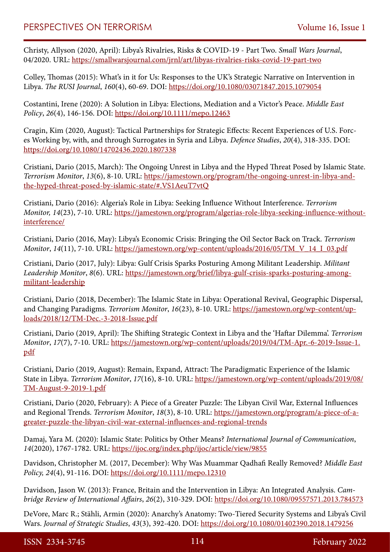Christy, Allyson (2020, April): Libya's Rivalries, Risks & COVID-19 - Part Two. *Small Wars Journal*, 04/2020. URL: <https://smallwarsjournal.com/jrnl/art/libyas-rivalries-risks-covid-19-part-two>

Colley, Thomas (2015): What's in it for Us: Responses to the UK's Strategic Narrative on Intervention in Libya. *The RUSI Journal*, *160*(4), 60-69. DOI: <https://doi.org/10.1080/03071847.2015.1079054>

Costantini, Irene (2020): A Solution in Libya: Elections, Mediation and a Victor's Peace. *Middle East Policy*, *26*(4), 146-156. DOI:<https://doi.org/10.1111/mepo.12463>

Cragin, Kim (2020, August): Tactical Partnerships for Strategic Effects: Recent Experiences of U.S. Forces Working by, with, and through Surrogates in Syria and Libya. *Defence Studies*, *20*(4), 318-335. DOI: <https://doi.org/10.1080/14702436.2020.1807338>

Cristiani, Dario (2015, March): The Ongoing Unrest in Libya and the Hyped Threat Posed by Islamic State. *Terrorism Monitor*, *13*(6), 8-10. URL: https://jamestown.org/program/the-ongoing-unrest-in-libya-andthe-hyped-threat-posed-by-islamic-state/#.VS1AeuT7vtQ

Cristiani, Dario (2016): Algeria's Role in Libya: Seeking Influence Without Interference. *Terrorism Monitor, 14*(23), 7-10. URL: [https://jamestown.org/program/algerias-role-libya-seeking-influence-without](https://jamestown.org/program/algerias-role-libya-seeking-influence-without-interference/)[interference/](https://jamestown.org/program/algerias-role-libya-seeking-influence-without-interference/)

Cristiani, Dario (2016, May): Libya's Economic Crisis: Bringing the Oil Sector Back on Track. *Terrorism Monitor*, *14*(11), 7-10. URL: [https://jamestown.org/wp-content/uploads/2016/05/TM\\_V\\_14\\_I\\_03.pdf](https://jamestown.org/wp-content/uploads/2016/05/TM_V_14_I_03.pdf)

Cristiani, Dario (2017, July): Libya: Gulf Crisis Sparks Posturing Among Militant Leadership. *Militant Leadership Monitor*, *8*(6). URL: [https://jamestown.org/brief/libya-gulf-crisis-sparks-posturing-among](https://jamestown.org/brief/libya-gulf-crisis-sparks-posturing-among-militant-leadership)[militant-leadership](https://jamestown.org/brief/libya-gulf-crisis-sparks-posturing-among-militant-leadership)

Cristiani, Dario (2018, December): The Islamic State in Libya: Operational Revival, Geographic Dispersal, and Changing Paradigms. *Terrorism Monitor*, *16*(23), 8-10. URL: [https://jamestown.org/wp-content/up](https://jamestown.org/wp-content/uploads/2018/12/TM-Dec.-3-2018-Issue.pdf)[loads/2018/12/TM-Dec.-3-2018-Issue.pdf](https://jamestown.org/wp-content/uploads/2018/12/TM-Dec.-3-2018-Issue.pdf)

Cristiani, Dario (2019, April): The Shifting Strategic Context in Libya and the 'Haftar Dilemma'. *Terrorism Monitor*, *17*(7), 7-10. URL: [https://jamestown.org/wp-content/uploads/2019/04/TM-Apr.-6-2019-Issue-1.](https://jamestown.org/wp-content/uploads/2019/04/TM-Apr.-6-2019-Issue-1.pdf) [pdf](https://jamestown.org/wp-content/uploads/2019/04/TM-Apr.-6-2019-Issue-1.pdf)

Cristiani, Dario (2019, August): Remain, Expand, Attract: The Paradigmatic Experience of the Islamic State in Libya. *Terrorism Monitor*, *17*(16), 8-10. URL: [https://jamestown.org/wp-content/uploads/2019/08/](https://jamestown.org/wp-content/uploads/2019/08/TM-August-9-2019-1.pdf) [TM-August-9-2019-1.pdf](https://jamestown.org/wp-content/uploads/2019/08/TM-August-9-2019-1.pdf)

Cristiani, Dario (2020, February): A Piece of a Greater Puzzle: The Libyan Civil War, External Influences and Regional Trends. *Terrorism Monitor*, *18*(3), 8-10. URL: [https://jamestown.org/program/a-piece-of-a](https://jamestown.org/program/a-piece-of-a-greater-puzzle-the-libyan-civil-war-external-influences-and-regional-trends)[greater-puzzle-the-libyan-civil-war-external-influences-and-regional-trends](https://jamestown.org/program/a-piece-of-a-greater-puzzle-the-libyan-civil-war-external-influences-and-regional-trends)

Damaj, Yara M. (2020): Islamic State: Politics by Other Means? *International Journal of Communication*, *14*(2020), 1767-1782. URL:<https://ijoc.org/index.php/ijoc/article/view/9855>

Davidson, Christopher M. (2017, December): Why Was Muammar Qadhafi Really Removed? *Middle East Policy, 24*(4), 91-116. DOI: <https://doi.org/10.1111/mepo.12310>

Davidson, Jason W. (2013): France, Britain and the Intervention in Libya: An Integrated Analysis. *Cambridge Review of International Affairs*, *26*(2), 310-329. DOI: <https://doi.org/10.1080/09557571.2013.784573>

DeVore, Marc R.; Stähli, Armin (2020): Anarchy's Anatomy: Two-Tiered Security Systems and Libya's Civil Wars. *Journal of Strategic Studies*, *43*(3), 392-420. DOI:<https://doi.org/10.1080/01402390.2018.1479256>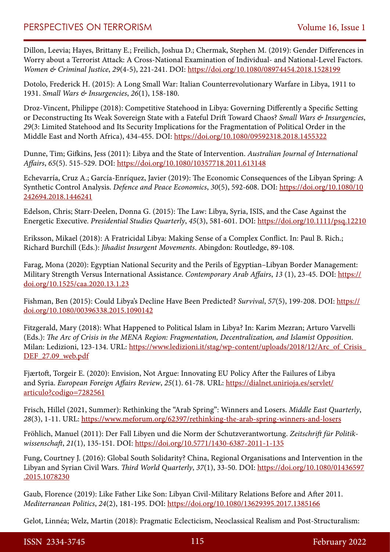## PERSPECTIVES ON TERRORISM Volume 16, Issue 1

Dillon, Leevia; Hayes, Brittany E.; Freilich, Joshua D.; Chermak, Stephen M. (2019): Gender Differences in Worry about a Terrorist Attack: A Cross-National Examination of Individual- and National-Level Factors. *Women & Criminal Justice*, *29*(4-5), 221-241. DOI: <https://doi.org/10.1080/08974454.2018.1528199>

Dotolo, Frederick H. (2015): A Long Small War: Italian Counterrevolutionary Warfare in Libya, 1911 to 1931. *Small Wars & Insurgencies*, *26*(1), 158-180.

Droz-Vincent, Philippe (2018): Competitive Statehood in Libya: Governing Differently a Specific Setting or Deconstructing Its Weak Sovereign State with a Fateful Drift Toward Chaos? *Small Wars & Insurgencies*, *29*(3: Limited Statehood and Its Security Implications for the Fragmentation of Political Order in the Middle East and North Africa), 434-455. DOI: <https://doi.org/10.1080/09592318.2018.1455322>

Dunne, Tim; Gifkins, Jess (2011): Libya and the State of Intervention. *Australian Journal of International Affairs*, *65*(5). 515-529. DOI: <https://doi.org/10.1080/10357718.2011.613148>

Echevarría, Cruz A.; García-Enríquez, Javier (2019): The Economic Consequences of the Libyan Spring: A Synthetic Control Analysis. *Defence and Peace Economics*, *30*(5), 592-608. DOI: [https://doi.org/10.1080/10](https://doi.org/10.1080/10242694.2018.1446241) [242694.2018.1446241](https://doi.org/10.1080/10242694.2018.1446241)

Edelson, Chris; Starr-Deelen, Donna G. (2015): The Law: Libya, Syria, ISIS, and the Case Against the Energetic Executive. *Presidential Studies Quarterly*, *45*(3), 581-601. DOI:<https://doi.org/10.1111/psq.12210>

Eriksson, Mikael (2018): A Fratricidal Libya: Making Sense of a Complex Conflict. In: Paul B. Rich.; Richard Burchill (Eds.): *Jihadist Insurgent Movements*. Abingdon: Routledge, 89-108.

Farag, Mona (2020): Egyptian National Security and the Perils of Egyptian–Libyan Border Management: Military Strength Versus International Assistance. *Contemporary Arab Affairs*, *13* (1), 23-45. DOI: [https://](https://doi.org/10.1525/caa.2020.13.1.23) [doi.org/10.1525/caa.2020.13.1.23](https://doi.org/10.1525/caa.2020.13.1.23)

Fishman, Ben (2015): Could Libya's Decline Have Been Predicted? *Survival*, *57*(5), 199-208. DOI: [https://](https://doi.org/10.1080/00396338.2015.1090142) [doi.org/10.1080/00396338.2015.1090142](https://doi.org/10.1080/00396338.2015.1090142)

Fitzgerald, Mary (2018): What Happened to Political Islam in Libya? In: Karim Mezran; Arturo Varvelli (Eds.): *The Arc of Crisis in the MENA Region: Fragmentation, Decentralization, and Islamist Opposition*. Milan: Ledizioni, 123-134. URL: [https://www.ledizioni.it/stag/wp-content/uploads/2018/12/Arc\\_of\\_Crisis\\_](https://www.ledizioni.it/stag/wp-content/uploads/2018/12/Arc_of_Crisis_DEF_27.09_web.pdf) [DEF\\_27.09\\_web.pdf](https://www.ledizioni.it/stag/wp-content/uploads/2018/12/Arc_of_Crisis_DEF_27.09_web.pdf)

Fjærtoft, Torgeir E. (2020): Envision, Not Argue: Innovating EU Policy After the Failures of Libya and Syria. *European Foreign Affairs Review*, *25*(1). 61-78. URL: [https://dialnet.unirioja.es/servlet/](https://dialnet.unirioja.es/servlet/articulo?codigo=7282561) [articulo?codigo=7282561](https://dialnet.unirioja.es/servlet/articulo?codigo=7282561)

Frisch, Hillel (2021, Summer): Rethinking the "Arab Spring": Winners and Losers. *Middle East Quarterly*, *28*(3), 1-11. URL:<https://www.meforum.org/62397/rethinking-the-arab-spring-winners-and-losers>

Fröhlich, Manuel (2011): Der Fall Libyen und die Norm der Schutzverantwortung. *Zeitschrift für Politikwissenschaft*, *21*(1), 135-151. DOI:<https://doi.org/10.5771/1430-6387-2011-1-135>

Fung, Courtney J. (2016): Global South Solidarity? China, Regional Organisations and Intervention in the Libyan and Syrian Civil Wars. *Third World Quarterly*, *37*(1), 33-50. DOI: [https://doi.org/10.1080/01436597](https://doi.org/10.1080/01436597.2015.1078230) [.2015.1078230](https://doi.org/10.1080/01436597.2015.1078230)

Gaub, Florence (2019): Like Father Like Son: Libyan Civil-Military Relations Before and After 2011. *Mediterranean Politics*, *24*(2), 181-195. DOI: <https://doi.org/10.1080/13629395.2017.1385166>

Gelot, Linnéa; Welz, Martin (2018): Pragmatic Eclecticism, Neoclassical Realism and Post-Structuralism: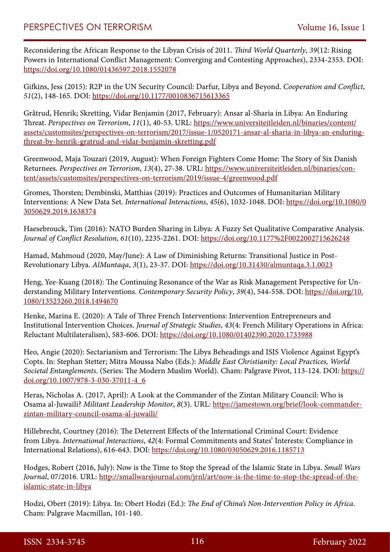Reconsidering the African Response to the Libyan Crisis of 2011. *Third World Quarterly*, *39*(12: Rising Powers in International Conflict Management: Converging and Contesting Approaches), 2334-2353. DOI: <https://doi.org/10.1080/01436597.2018.1552078>

Gifkins, Jess (2015): R2P in the UN Security Council: Darfur, Libya and Beyond. *Cooperation and Conflict*, *51*(2), 148-165. DOI: <https://doi.org/10.1177/0010836715613365>

Gråtrud, Henrik; Skretting, Vidar Benjamin (2017, February): Ansar al-Sharia in Libya: An Enduring Threat. *Perspectives on Terrorism*, *11*(1), 40-53. URL: [https://www.universiteitleiden.nl/binaries/content/](https://www.universiteitleiden.nl/binaries/content/assets/customsites/perspectives-on-terrorism/2017/issue-1/0520171-ansar-al-sharia-in-libya-an-enduring-threat-by-henrik-gratrud-and-vidar-benjamin-skretting.pdf) [assets/customsites/perspectives-on-terrorism/2017/issue-1/0520171-ansar-al-sharia-in-libya-an-enduring](https://www.universiteitleiden.nl/binaries/content/assets/customsites/perspectives-on-terrorism/2017/issue-1/0520171-ansar-al-sharia-in-libya-an-enduring-threat-by-henrik-gratrud-and-vidar-benjamin-skretting.pdf)[threat-by-henrik-gratrud-and-vidar-benjamin-skretting.pdf](https://www.universiteitleiden.nl/binaries/content/assets/customsites/perspectives-on-terrorism/2017/issue-1/0520171-ansar-al-sharia-in-libya-an-enduring-threat-by-henrik-gratrud-and-vidar-benjamin-skretting.pdf)

Greenwood, Maja Touzari (2019, August): When Foreign Fighters Come Home: The Story of Six Danish Returnees. *Perspectives on Terrorism*, *13*(4), 27-38. URL: [https://www.universiteitleiden.nl/binaries/con](https://www.universiteitleiden.nl/binaries/content/assets/customsites/perspectives-on-terrorism/2019/issue-4/greenwood.pdf)[tent/assets/customsites/perspectives-on-terrorism/2019/issue-4/greenwood.pdf](https://www.universiteitleiden.nl/binaries/content/assets/customsites/perspectives-on-terrorism/2019/issue-4/greenwood.pdf)

Gromes, Thorsten; Dembinski, Matthias (2019): Practices and Outcomes of Humanitarian Military Interventions: A New Data Set. *International Interactions*, *45*(6), 1032-1048. DOI: [https://doi.org/10.1080/0](https://doi.org/10.1080/03050629.2019.1638374) [3050629.2019.1638374](https://doi.org/10.1080/03050629.2019.1638374)

Haesebrouck, Tim (2016): NATO Burden Sharing in Libya: A Fuzzy Set Qualitative Comparative Analysis. *Journal of Conflict Resolution*, *61*(10), 2235-2261. DOI:<https://doi.org/10.1177%2F0022002715626248>

Hamad, Mahmoud (2020, May/June): A Law of Diminishing Returns: Transitional Justice in Post-Revolutionary Libya. *AlMuntaqa*, *3*(1), 23-37. DOI:<https://doi.org/10.31430/almuntaqa.3.1.0023>

Heng, Yee-Kuang (2018): The Continuing Resonance of the War as Risk Management Perspective for Understanding Military Interventions. *Contemporary Security Policy*, *39*(4), 544-558. DOI: [https://doi.org/10.](https://doi.org/10.1080/13523260.2018.1494670) [1080/13523260.2018.1494670](https://doi.org/10.1080/13523260.2018.1494670)

Henke, Marina E. (2020): A Tale of Three French Interventions: Intervention Entrepreneurs and Institutional Intervention Choices. *Journal of Strategic Studies*, *43*(4: French Military Operations in Africa: Reluctant Multilateralism), 583-606. DOI:<https://doi.org/10.1080/01402390.2020.1733988>

Heo, Angie (2020): Sectarianism and Terrorism: The Libya Beheadings and ISIS Violence Against Egypt's Copts. In: Stephan Stetter; Mitra Moussa Nabo (Eds.): *Middle East Christianity: Local Practices, World Societal Entanglements*. (Series: The Modern Muslim World). Cham: Palgrave Pivot, 113-124. DOI: [https://](https://doi.org/10.1007/978-3-030-37011-4_6) [doi.org/10.1007/978-3-030-37011-4\\_6](https://doi.org/10.1007/978-3-030-37011-4_6)

Heras, Nicholas A. (2017, April): A Look at the Commander of the Zintan Military Council: Who is Osama al-Juwaili? *Militant Leadership Monitor*, *8*(3). URL: [https://jamestown.org/brief/look-commander](https://jamestown.org/brief/look-commander-zintan-military-council-osama-al-juwaili/)[zintan-military-council-osama-al-juwaili/](https://jamestown.org/brief/look-commander-zintan-military-council-osama-al-juwaili/)

Hillebrecht, Courtney (2016): The Deterrent Effects of the International Criminal Court: Evidence from Libya. *International Interactions*, *42*(4: Formal Commitments and States' Interests: Compliance in International Relations), 616-643. DOI: <https://doi.org/10.1080/03050629.2016.1185713>

Hodges, Robert (2016, July): Now is the Time to Stop the Spread of the Islamic State in Libya. *Small Wars Journal*, 07/2016. URL: [http://smallwarsjournal.com/jrnl/art/now-is-the-time-to-stop-the-spread-of-the](http://smallwarsjournal.com/jrnl/art/now-is-the-time-to-stop-the-spread-of-the-islamic-state-in-libya)[islamic-state-in-libya](http://smallwarsjournal.com/jrnl/art/now-is-the-time-to-stop-the-spread-of-the-islamic-state-in-libya)

Hodzi, Obert (2019): Libya. In: Obert Hodzi (Ed.): *The End of China's Non-Intervention Policy in Africa*. Cham: Palgrave Macmillan, 101-140.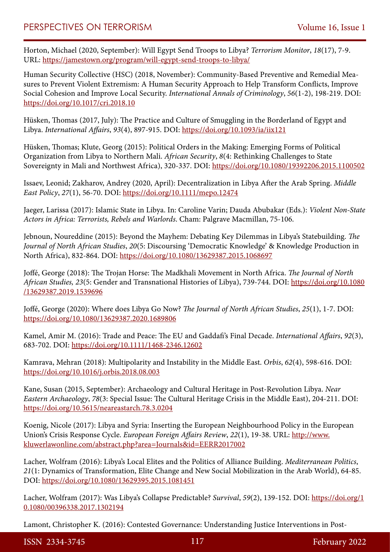Horton, Michael (2020, September): Will Egypt Send Troops to Libya? *Terrorism Monitor*, *18*(17), 7-9. URL: <https://jamestown.org/program/will-egypt-send-troops-to-libya/>

Human Security Collective (HSC) (2018, November): Community-Based Preventive and Remedial Measures to Prevent Violent Extremism: A Human Security Approach to Help Transform Conflicts, Improve Social Cohesion and Improve Local Security. *International Annals of Criminology*, *56*(1-2), 198-219. DOI: <https://doi.org/10.1017/cri.2018.10>

Hüsken, Thomas (2017, July): The Practice and Culture of Smuggling in the Borderland of Egypt and Libya. *International Affairs*, *93*(4), 897-915. DOI: <https://doi.org/10.1093/ia/iix121>

Hüsken, Thomas; Klute, Georg (2015): Political Orders in the Making: Emerging Forms of Political Organization from Libya to Northern Mali. *African Security*, *8*(4: Rethinking Challenges to State Sovereignty in Mali and Northwest Africa), 320-337. DOI: <https://doi.org/10.1080/19392206.2015.1100502>

Issaev, Leonid; Zakharov, Andrey (2020, April): Decentralization in Libya After the Arab Spring. *Middle East Policy*, *27*(1), 56-70. DOI:<https://doi.org/10.1111/mepo.12474>

Jaeger, Larissa (2017): Islamic State in Libya. In: Caroline Varin; Dauda Abubakar (Eds.): *Violent Non-State Actors in Africa: Terrorists, Rebels and Warlords*. Cham: Palgrave Macmillan, 75-106.

Jebnoun, Noureddine (2015): Beyond the Mayhem: Debating Key Dilemmas in Libya's Statebuilding. *The Journal of North African Studies*, *20*(5: Discoursing 'Democratic Knowledge' & Knowledge Production in North Africa), 832-864. DOI: <https://doi.org/10.1080/13629387.2015.1068697>

Joffé, George (2018): The Trojan Horse: The Madkhali Movement in North Africa. *The Journal of North African Studies, 23*(5: Gender and Transnational Histories of Libya), 739-744. DOI: [https://doi.org/10.1080](https://doi.org/10.1080/13629387.2019.1539696) [/13629387.2019.1539696](https://doi.org/10.1080/13629387.2019.1539696)

Joffé, George (2020): Where does Libya Go Now? *The Journal of North African Studies*, *25*(1), 1-7. DOI: <https://doi.org/10.1080/13629387.2020.1689806>

Kamel, Amir M. (2016): Trade and Peace: The EU and Gaddafi's Final Decade. *International Affairs*, *92*(3), 683-702. DOI:<https://doi.org/10.1111/1468-2346.12602>

Kamrava, Mehran (2018): Multipolarity and Instability in the Middle East. *Orbis*, *62*(4), 598-616. DOI: <https://doi.org/10.1016/j.orbis.2018.08.003>

Kane, Susan (2015, September): Archaeology and Cultural Heritage in Post-Revolution Libya. *Near Eastern Archaeology*, *78*(3: Special Issue: The Cultural Heritage Crisis in the Middle East), 204-211. DOI: <https://doi.org/10.5615/neareastarch.78.3.0204>

Koenig, Nicole (2017): Libya and Syria: Inserting the European Neighbourhood Policy in the European Union's Crisis Response Cycle. *European Foreign Affairs Review*, *22*(1), 19-38. URL: [http://www.](http://www.kluwerlawonline.com/abstract.php?area=Journals&id=EERR2017002) [kluwerlawonline.com/abstract.php?area=Journals&id=EERR2017002](http://www.kluwerlawonline.com/abstract.php?area=Journals&id=EERR2017002)

Lacher, Wolfram (2016): Libya's Local Elites and the Politics of Alliance Building. *Mediterranean Politics*, *21*(1: Dynamics of Transformation, Elite Change and New Social Mobilization in the Arab World), 64-85. DOI:<https://doi.org/10.1080/13629395.2015.1081451>

Lacher, Wolfram (2017): Was Libya's Collapse Predictable? *Survival*, *59*(2), 139-152. DOI: [https://doi.org/1](https://doi.org/10.1080/00396338.2017.1302194) [0.1080/00396338.2017.1302194](https://doi.org/10.1080/00396338.2017.1302194)

Lamont, Christopher K. (2016): Contested Governance: Understanding Justice Interventions in Post-

ISSN 2334-3745 117 February 2022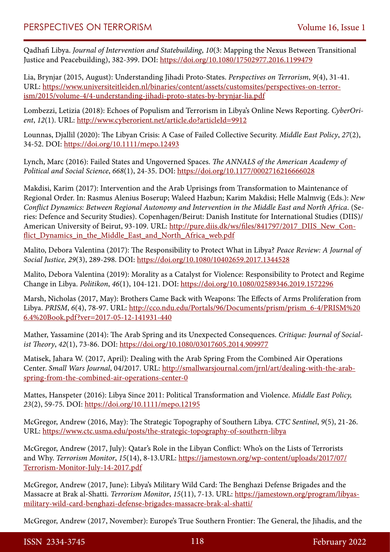Qadhafi Libya. *Journal of Intervention and Statebuilding*, *10*(3: Mapping the Nexus Between Transitional Justice and Peacebuilding), 382-399. DOI:<https://doi.org/10.1080/17502977.2016.1199479>

Lia, Brynjar (2015, August): Understanding Jihadi Proto-States. *Perspectives on Terrorism*, *9*(4), 31-41. URL: [https://www.universiteitleiden.nl/binaries/content/assets/customsites/perspectives-on-terror](https://www.universiteitleiden.nl/binaries/content/assets/customsites/perspectives-on-terrorism/2015/volume-4/4-understanding-jihadi-proto-states-by-brynjar-lia.pdf)[ism/2015/volume-4/4-understanding-jihadi-proto-states-by-brynjar-lia.pdf](https://www.universiteitleiden.nl/binaries/content/assets/customsites/perspectives-on-terrorism/2015/volume-4/4-understanding-jihadi-proto-states-by-brynjar-lia.pdf)

Lombezzi, Letizia (2018): Echoes of Populism and Terrorism in Libya's Online News Reporting. *CyberOrient*, *12*(1). URL:<http://www.cyberorient.net/article.do?articleId=9912>

Lounnas, Djallil (2020): The Libyan Crisis: A Case of Failed Collective Security. *Middle East Policy*, *27*(2), 34-52. DOI: <https://doi.org/10.1111/mepo.12493>

Lynch, Marc (2016): Failed States and Ungoverned Spaces. *The ANNALS of the American Academy of Political and Social Science*, *668*(1), 24-35. DOI: <https://doi.org/10.1177/0002716216666028>

Makdisi, Karim (2017): Intervention and the Arab Uprisings from Transformation to Maintenance of Regional Order. In: Rasmus Alenius Boserup; Waleed Hazbun; Karim Makdisi; Helle Malmvig (Eds.): *New Conflict Dynamics: Between Regional Autonomy and Intervention in the Middle East and North Africa*. (Series: Defence and Security Studies). Copenhagen/Beirut: Danish Institute for International Studies (DIIS)/ American University of Beirut, 93-109. URL: [http://pure.diis.dk/ws/files/841797/2017\\_DIIS\\_New\\_Con](http://pure.diis.dk/ws/files/841797/2017_DIIS_New_Conflict_Dynamics_in_the_Middle_East_and_North_Africa_web.pdf)flict Dynamics in the Middle East and North Africa web.pdf

Malito, Debora Valentina (2017): The Responsibility to Protect What in Libya? *Peace Review: A Journal of Social Justice, 29*(3), 289-298. DOI:<https://doi.org/10.1080/10402659.2017.1344528>

Malito, Debora Valentina (2019): Morality as a Catalyst for Violence: Responsibility to Protect and Regime Change in Libya. *Politikon*, *46*(1), 104-121. DOI: <https://doi.org/10.1080/02589346.2019.1572296>

Marsh, Nicholas (2017, May): Brothers Came Back with Weapons: The Effects of Arms Proliferation from Libya. *PRISM*, 6(4), 78-97. URL: [http://cco.ndu.edu/Portals/96/Documents/prism/prism\\_6-4/PRISM%20](http://cco.ndu.edu/Portals/96/Documents/prism/prism_6-4/PRISM%206.4%20Book.pdf?ver=2017-05-12-141931-440) [6.4%20Book.pdf?ver=2017-05-12-141931-440](http://cco.ndu.edu/Portals/96/Documents/prism/prism_6-4/PRISM%206.4%20Book.pdf?ver=2017-05-12-141931-440)

Mather, Yassamine (2014): The Arab Spring and its Unexpected Consequences. *Critique: Journal of Socialist Theory*, *42*(1), 73-86. DOI: <https://doi.org/10.1080/03017605.2014.909977>

Matisek, Jahara W. (2017, April): Dealing with the Arab Spring From the Combined Air Operations Center. *Small Wars Journal*, 04/2017. URL: [http://smallwarsjournal.com/jrnl/art/dealing-with-the-arab](http://smallwarsjournal.com/jrnl/art/dealing-with-the-arab-spring-from-the-combined-air-operations-center-0)[spring-from-the-combined-air-operations-center-0](http://smallwarsjournal.com/jrnl/art/dealing-with-the-arab-spring-from-the-combined-air-operations-center-0)

Mattes, Hanspeter (2016): Libya Since 2011: Political Transformation and Violence. *Middle East Policy, 23*(2), 59-75. DOI:<https://doi.org/10.1111/mepo.12195>

McGregor, Andrew (2016, May): The Strategic Topography of Southern Libya. *CTC Sentinel*, *9*(5), 21-26. URL: <https://www.ctc.usma.edu/posts/the-strategic-topography-of-southern-libya>

McGregor, Andrew (2017, July): Qatar's Role in the Libyan Conflict: Who's on the Lists of Terrorists and Why. *Terrorism Monitor*, *15*(14), 8-13.URL: [https://jamestown.org/wp-content/uploads/2017/07/](https://jamestown.org/wp-content/uploads/2017/07/Terrorism-Monitor-July-14-2017.pdf) [Terrorism-Monitor-July-14-2017.pdf](https://jamestown.org/wp-content/uploads/2017/07/Terrorism-Monitor-July-14-2017.pdf)

McGregor, Andrew (2017, June): Libya's Military Wild Card: The Benghazi Defense Brigades and the Massacre at Brak al-Shatti. *Terrorism Monitor*, *15*(11), 7-13. URL: [https://jamestown.org/program/libyas](https://jamestown.org/program/libyas-military-wild-card-benghazi-defense-brigades-massacre-brak-al-shatti/)[military-wild-card-benghazi-defense-brigades-massacre-brak-al-shatti/](https://jamestown.org/program/libyas-military-wild-card-benghazi-defense-brigades-massacre-brak-al-shatti/)

McGregor, Andrew (2017, November): Europe's True Southern Frontier: The General, the Jihadis, and the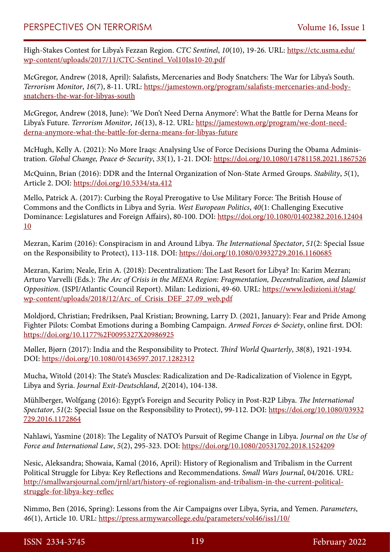High-Stakes Contest for Libya's Fezzan Region. *CTC Sentinel*, *10*(10), 19-26. URL: [https://ctc.usma.edu/](https://ctc.usma.edu/wp-content/uploads/2017/11/CTC-Sentinel_Vol10Iss10-20.pdf) [wp-content/uploads/2017/11/CTC-Sentinel\\_Vol10Iss10-20.pdf](https://ctc.usma.edu/wp-content/uploads/2017/11/CTC-Sentinel_Vol10Iss10-20.pdf)

McGregor, Andrew (2018, April): Salafists, Mercenaries and Body Snatchers: The War for Libya's South. *Terrorism Monitor*, *16*(7), 8-11. URL: [https://jamestown.org/program/salafists-mercenaries-and-body](https://jamestown.org/program/salafists-mercenaries-and-body-snatchers-the-war-for-libyas-south)[snatchers-the-war-for-libyas-south](https://jamestown.org/program/salafists-mercenaries-and-body-snatchers-the-war-for-libyas-south)

McGregor, Andrew (2018, June): 'We Don't Need Derna Anymore': What the Battle for Derna Means for Libya's Future. *Terrorism Monitor*, *16*(13), 8-12. URL: [https://jamestown.org/program/we-dont-need](https://jamestown.org/program/we-dont-need-derna-anymore-what-the-battle-for-derna-means-for-libyas-future)[derna-anymore-what-the-battle-for-derna-means-for-libyas-future](https://jamestown.org/program/we-dont-need-derna-anymore-what-the-battle-for-derna-means-for-libyas-future)

McHugh, Kelly A. (2021): No More Iraqs: Analysing Use of Force Decisions During the Obama Administration. *Global Change, Peace & Security*, *33*(1), 1-21. DOI:<https://doi.org/10.1080/14781158.2021.1867526>

McQuinn, Brian (2016): DDR and the Internal Organization of Non-State Armed Groups. *Stability*, *5*(1), Article 2. DOI:<https://doi.org/10.5334/sta.412>

Mello, Patrick A. (2017): Curbing the Royal Prerogative to Use Military Force: The British House of Commons and the Conflicts in Libya and Syria. *West European Politics*, *40*(1: Challenging Executive Dominance: Legislatures and Foreign Affairs), 80-100. DOI: [https://doi.org/10.1080/01402382.2016.12404](https://doi.org/10.1080/01402382.2016.1240410) [10](https://doi.org/10.1080/01402382.2016.1240410)

Mezran, Karim (2016): Conspiracism in and Around Libya. *The International Spectator*, *51*(2: Special Issue on the Responsibility to Protect), 113-118. DOI: <https://doi.org/10.1080/03932729.2016.1160685>

Mezran, Karim; Neale, Erin A. (2018): Decentralization: The Last Resort for Libya? In: Karim Mezran; Arturo Varvelli (Eds.): *The Arc of Crisis in the MENA Region: Fragmentation, Decentralization, and Islamist Opposition*. (ISPI/Atlantic Council Report). Milan: Ledizioni, 49-60. URL: [https://www.ledizioni.it/stag/](https://www.ledizioni.it/stag/wp-content/uploads/2018/12/Arc_of_Crisis_DEF_27.09_web.pdf) [wp-content/uploads/2018/12/Arc\\_of\\_Crisis\\_DEF\\_27.09\\_web.pdf](https://www.ledizioni.it/stag/wp-content/uploads/2018/12/Arc_of_Crisis_DEF_27.09_web.pdf)

Moldjord, Christian; Fredriksen, Paal Kristian; Browning, Larry D. (2021, January): Fear and Pride Among Fighter Pilots: Combat Emotions during a Bombing Campaign. *Armed Forces & Society*, online first. DOI: <https://doi.org/10.1177%2F0095327X20986925>

Møller, Bjørn (2017): India and the Responsibility to Protect. *Third World Quarterly*, *38*(8), 1921-1934. DOI:<https://doi.org/10.1080/01436597.2017.1282312>

Mucha, Witold (2014): The State's Muscles: Radicalization and De-Radicalization of Violence in Egypt, Libya and Syria. *Journal Exit-Deutschland*, *2*(2014), 104-138.

Mühlberger, Wolfgang (2016): Egypt's Foreign and Security Policy in Post-R2P Libya. *The International Spectator*, *51*(2: Special Issue on the Responsibility to Protect), 99-112. DOI: [https://doi.org/10.1080/03932](https://doi.org/10.1080/03932729.2016.1172864) [729.2016.1172864](https://doi.org/10.1080/03932729.2016.1172864)

Nahlawi, Yasmine (2018): The Legality of NATO's Pursuit of Regime Change in Libya. *Journal on the Use of Force and International Law*, *5*(2), 295-323. DOI: <https://doi.org/10.1080/20531702.2018.1524209>

Nesic, Aleksandra; Showaia, Kamal (2016, April): History of Regionalism and Tribalism in the Current Political Struggle for Libya: Key Reflections and Recommendations. *Small Wars Journal*, 04/2016. URL: [http://smallwarsjournal.com/jrnl/art/history-of-regionalism-and-tribalism-in-the-current-political](http://smallwarsjournal.com/jrnl/art/history-of-regionalism-and-tribalism-in-the-current-political-struggle-for-libya-key-reflec)[struggle-for-libya-key-reflec](http://smallwarsjournal.com/jrnl/art/history-of-regionalism-and-tribalism-in-the-current-political-struggle-for-libya-key-reflec)

Nimmo, Ben (2016, Spring): Lessons from the Air Campaigns over Libya, Syria, and Yemen. *Parameters*, *46*(1), Article 10. URL: <https://press.armywarcollege.edu/parameters/vol46/iss1/10/>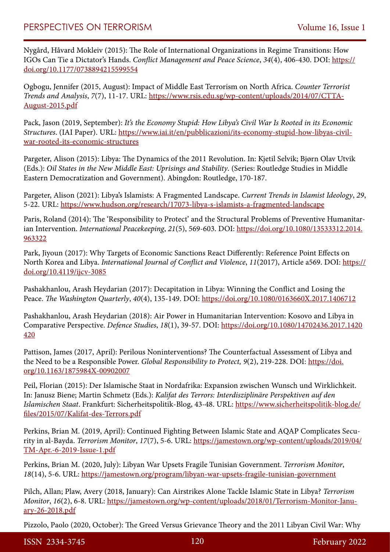Nygård, Håvard Mokleiv (2015): The Role of International Organizations in Regime Transitions: How IGOs Can Tie a Dictator's Hands. *Conflict Management and Peace Science*, *34*(4), 406-430. DOI: [https://](https://doi.org/10.1177/0738894215599554) [doi.org/10.1177/0738894215599554](https://doi.org/10.1177/0738894215599554)

Ogbogu, Jennifer (2015, August): Impact of Middle East Terrorism on North Africa. *Counter Terrorist Trends and Analysis*, *7*(7), 11-17. URL: [https://www.rsis.edu.sg/wp-content/uploads/2014/07/CTTA-](https://www.rsis.edu.sg/wp-content/uploads/2014/07/CTTA-August-2015.pdf)[August-2015.pdf](https://www.rsis.edu.sg/wp-content/uploads/2014/07/CTTA-August-2015.pdf)

Pack, Jason (2019, September): *It's the Economy Stupid: How Libya's Civil War Is Rooted in its Economic Structures*. (IAI Paper). URL: [https://www.iai.it/en/pubblicazioni/its-economy-stupid-how-libyas-civil](https://www.iai.it/en/pubblicazioni/its-economy-stupid-how-libyas-civil-war-rooted-its-economic-structures)[war-rooted-its-economic-structures](https://www.iai.it/en/pubblicazioni/its-economy-stupid-how-libyas-civil-war-rooted-its-economic-structures)

Pargeter, Alison (2015): Libya: The Dynamics of the 2011 Revolution. In: Kjetil Selvik; Bjørn Olav Utvik (Eds.): *Oil States in the New Middle East: Uprisings and Stability*. (Series: Routledge Studies in Middle Eastern Democratization and Government). Abingdon: Routledge, 170-187.

Pargeter, Alison (2021): Libya's Islamists: A Fragmented Landscape. *Current Trends in Islamist Ideology*, *29*, 5-22. URL:<https://www.hudson.org/research/17073-libya-s-islamists-a-fragmented-landscape>

Paris, Roland (2014): The 'Responsibility to Protect' and the Structural Problems of Preventive Humanitarian Intervention. *International Peacekeeping*, *21*(5), 569-603. DOI: [https://doi.org/10.1080/13533312.2014.](https://doi.org/10.1080/13533312.2014.963322) [963322](https://doi.org/10.1080/13533312.2014.963322)

Park, Jiyoun (2017): Why Targets of Economic Sanctions React Differently: Reference Point Effects on North Korea and Libya. *International Journal of Conflict and Violence*, *11*(2017), Article a569. DOI: [https://](https://doi.org/10.4119/ijcv-3085) [doi.org/10.4119/ijcv-3085](https://doi.org/10.4119/ijcv-3085)

Pashakhanlou, Arash Heydarian (2017): Decapitation in Libya: Winning the Conflict and Losing the Peace. *The Washington Quarterly*, *40*(4), 135-149. DOI:<https://doi.org/10.1080/0163660X.2017.1406712>

Pashakhanlou, Arash Heydarian (2018): Air Power in Humanitarian Intervention: Kosovo and Libya in Comparative Perspective. *Defence Studies*, *18*(1), 39-57. DOI: [https://doi.org/10.1080/14702436.2017.1420](https://doi.org/10.1080/14702436.2017.1420420) [420](https://doi.org/10.1080/14702436.2017.1420420)

Pattison, James (2017, April): Perilous Noninterventions? The Counterfactual Assessment of Libya and the Need to be a Responsible Power. *Global Responsibility to Protect, 9*(2), 219-228. DOI: [https://doi.](https://doi.org/10.1163/1875984X-00902007) [org/10.1163/1875984X-00902007](https://doi.org/10.1163/1875984X-00902007)

Peil, Florian (2015): Der Islamische Staat in Nordafrika: Expansion zwischen Wunsch und Wirklichkeit. In: Janusz Biene; Martin Schmetz (Eds.): *Kalifat des Terrors: Interdisziplinäre Perspektiven auf den Islamischen Staat*. Frankfurt: Sicherheitspolitik-Blog, 43-48. URL: [https://www.sicherheitspolitik-blog.de/](https://www.sicherheitspolitik-blog.de/files/2015/07/Kalifat-des-Terrors.pdf) [files/2015/07/Kalifat-des-Terrors.pdf](https://www.sicherheitspolitik-blog.de/files/2015/07/Kalifat-des-Terrors.pdf)

Perkins, Brian M. (2019, April): Continued Fighting Between Islamic State and AQAP Complicates Security in al-Bayda. *Terrorism Monitor*, *17*(7), 5-6. URL: [https://jamestown.org/wp-content/uploads/2019/04/](https://jamestown.org/wp-content/uploads/2019/04/TM-Apr.-6-2019-Issue-1.pdf) [TM-Apr.-6-2019-Issue-1.pdf](https://jamestown.org/wp-content/uploads/2019/04/TM-Apr.-6-2019-Issue-1.pdf)

Perkins, Brian M. (2020, July): Libyan War Upsets Fragile Tunisian Government. *Terrorism Monitor*, *18*(14), 5-6. URL:<https://jamestown.org/program/libyan-war-upsets-fragile-tunisian-government>

Pilch, Allan; Plaw, Avery (2018, January): Can Airstrikes Alone Tackle Islamic State in Libya? *Terrorism Monitor*, *16*(2), 6-8. URL: [https://jamestown.org/wp-content/uploads/2018/01/Terrorism-Monitor-Janu](https://jamestown.org/wp-content/uploads/2018/01/Terrorism-Monitor-January-26-2018.pdf)[ary-26-2018.pdf](https://jamestown.org/wp-content/uploads/2018/01/Terrorism-Monitor-January-26-2018.pdf)

Pizzolo, Paolo (2020, October): The Greed Versus Grievance Theory and the 2011 Libyan Civil War: Why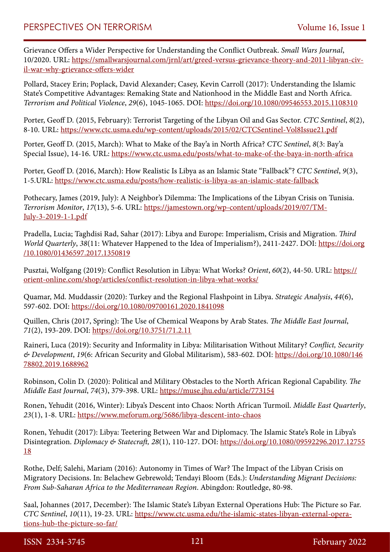Grievance Offers a Wider Perspective for Understanding the Conflict Outbreak. *Small Wars Journal*, 10/2020. URL: [https://smallwarsjournal.com/jrnl/art/greed-versus-grievance-theory-and-2011-libyan-civ](https://smallwarsjournal.com/jrnl/art/greed-versus-grievance-theory-and-2011-libyan-civil-war-why-grievance-offers-wider)[il-war-why-grievance-offers-wider](https://smallwarsjournal.com/jrnl/art/greed-versus-grievance-theory-and-2011-libyan-civil-war-why-grievance-offers-wider)

Pollard, Stacey Erin; Poplack, David Alexander; Casey, Kevin Carroll (2017): Understanding the Islamic State's Competitive Advantages: Remaking State and Nationhood in the Middle East and North Africa. *Terrorism and Political Violence*, *29*(6), 1045-1065. DOI: <https://doi.org/10.1080/09546553.2015.1108310>

Porter, Geoff D. (2015, February): Terrorist Targeting of the Libyan Oil and Gas Sector. *CTC Sentinel*, *8*(2), 8-10. URL:<https://www.ctc.usma.edu/wp-content/uploads/2015/02/CTCSentinel-Vol8Issue21.pdf>

Porter, Geoff D. (2015, March): What to Make of the Bay'a in North Africa? *CTC Sentinel*, *8*(3: Bay'a Special Issue), 14-16. URL:<https://www.ctc.usma.edu/posts/what-to-make-of-the-baya-in-north-africa>

Porter, Geoff D. (2016, March): How Realistic Is Libya as an Islamic State "Fallback"? *CTC Sentinel*, *9*(3), 1-5.URL: <https://www.ctc.usma.edu/posts/how-realistic-is-libya-as-an-islamic-state-fallback>

Pothecary, James (2019, July): A Neighbor's Dilemma: The Implications of the Libyan Crisis on Tunisia. *Terrorism Monitor*, *17*(13), 5-6. URL: [https://jamestown.org/wp-content/uploads/2019/07/TM-](https://jamestown.org/wp-content/uploads/2019/07/TM-July-3-2019-1-1.pdf)[July-3-2019-1-1.pdf](https://jamestown.org/wp-content/uploads/2019/07/TM-July-3-2019-1-1.pdf)

Pradella, Lucia; Taghdisi Rad, Sahar (2017): Libya and Europe: Imperialism, Crisis and Migration. *Third World Quarterly*, *38*(11: Whatever Happened to the Idea of Imperialism?), 2411-2427. DOI: [https://doi.org](https://doi.org/10.1080/01436597.2017.1350819) [/10.1080/01436597.2017.1350819](https://doi.org/10.1080/01436597.2017.1350819)

Pusztai, Wolfgang (2019): Conflict Resolution in Libya: What Works? *Orient*, *60*(2), 44-50. URL: [https://](https://orient-online.com/shop/articles/conflict-resolution-in-libya-what-works/) [orient-online.com/shop/articles/conflict-resolution-in-libya-what-works/](https://orient-online.com/shop/articles/conflict-resolution-in-libya-what-works/)

Quamar, Md. Muddassir (2020): Turkey and the Regional Flashpoint in Libya. *Strategic Analysis*, *44*(6), 597-602. DOI:<https://doi.org/10.1080/09700161.2020.1841098>

Quillen, Chris (2017, Spring): The Use of Chemical Weapons by Arab States. *The Middle East Journal*, *71*(2), 193-209. DOI: <https://doi.org/10.3751/71.2.11>

Raineri, Luca (2019): Security and Informality in Libya: Militarisation Without Military? *Conflict, Security & Development*, *19*(6: African Security and Global Militarism), 583-602. DOI: [https://doi.org/10.1080/146](https://doi.org/10.1080/14678802.2019.1688962) [78802.2019.1688962](https://doi.org/10.1080/14678802.2019.1688962)

Robinson, Colin D. (2020): Political and Military Obstacles to the North African Regional Capability. *The Middle East Journal*, *74*(3), 379-398. URL: <https://muse.jhu.edu/article/773154>

Ronen, Yehudit (2016, Winter): Libya's Descent into Chaos: North African Turmoil. *Middle East Quarterly*, *23*(1), 1-8. URL:<https://www.meforum.org/5686/libya-descent-into-chaos>

Ronen, Yehudit (2017): Libya: Teetering Between War and Diplomacy. The Islamic State's Role in Libya's Disintegration. *Diplomacy & Statecraft, 28*(1), 110-127. DOI: [https://doi.org/10.1080/09592296.2017.12755](https://doi.org/10.1080/09592296.2017.1275518) [18](https://doi.org/10.1080/09592296.2017.1275518)

Rothe, Delf; Salehi, Mariam (2016): Autonomy in Times of War? The Impact of the Libyan Crisis on Migratory Decisions. In: Belachew Gebrewold; Tendayi Bloom (Eds.): *Understanding Migrant Decisions: From Sub-Saharan Africa to the Mediterranean Region*. Abingdon: Routledge, 80-98.

Saal, Johannes (2017, December): The Islamic State's Libyan External Operations Hub: The Picture so Far. *CTC Sentinel*, *10*(11), 19-23. URL: [https://www.ctc.usma.edu/the-islamic-states-libyan-external-opera](https://www.ctc.usma.edu/the-islamic-states-libyan-external-operations-hub-the-picture-so-far/)[tions-hub-the-picture-so-far/](https://www.ctc.usma.edu/the-islamic-states-libyan-external-operations-hub-the-picture-so-far/)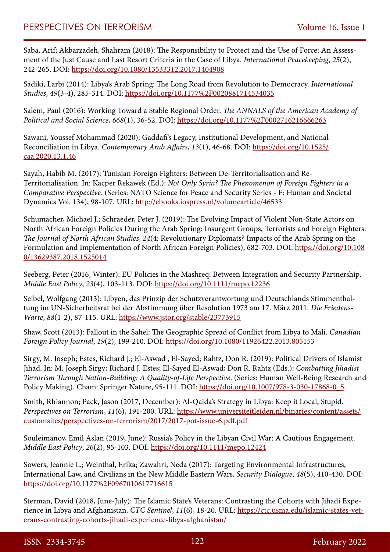Saba, Arif; Akbarzadeh, Shahram (2018): The Responsibility to Protect and the Use of Force: An Assessment of the Just Cause and Last Resort Criteria in the Case of Libya. *International Peacekeeping*, *25*(2), 242-265. DOI:<https://doi.org/10.1080/13533312.2017.1404908>

Sadiki, Larbi (2014): Libya's Arab Spring: The Long Road from Revolution to Democracy. *International Studies*, *49*(3-4), 285-314. DOI:<https://doi.org/10.1177%2F0020881714534035>

Salem, Paul (2016): Working Toward a Stable Regional Order. *The ANNALS of the American Academy of Political and Social Science*, *668*(1), 36-52. DOI: <https://doi.org/10.1177%2F0002716216666263>

Sawani, Youssef Mohammad (2020): Gaddafi's Legacy, Institutional Development, and National Reconciliation in Libya. *Contemporary Arab Affairs*, *13*(1), 46-68. DOI: [https://doi.org/10.1525/](https://doi.org/10.1525/caa.2020.13.1.46) [caa.2020.13.1.46](https://doi.org/10.1525/caa.2020.13.1.46)

Sayah, Habib M. (2017): Tunisian Foreign Fighters: Between De-Territorialisation and Re-Territorialisation. In: Kacper Rekawek (Ed.): *Not Only Syria? The Phenomenon of Foreign Fighters in a Comparative Perspective*. (Series: NATO Science for Peace and Security Series - E: Human and Societal Dynamics Vol. 134), 98-107. URL: <http://ebooks.iospress.nl/volumearticle/46533>

Schumacher, Michael J.; Schraeder, Peter J. (2019): The Evolving Impact of Violent Non-State Actors on North African Foreign Policies During the Arab Spring: Insurgent Groups, Terrorists and Foreign Fighters. *The Journal of North African Studies*, *24*(4: Revolutionary Diplomats? Impacts of the Arab Spring on the Formulation and Implementation of North African Foreign Policies), 682-703. DOI: [https://doi.org/10.108](https://doi.org/10.1080/13629387.2018.1525014) [0/13629387.2018.1525014](https://doi.org/10.1080/13629387.2018.1525014)

Seeberg, Peter (2016, Winter): EU Policies in the Mashreq: Between Integration and Security Partnership. *Middle East Policy*, *23*(4), 103-113. DOI:<https://doi.org/10.1111/mepo.12236>

Seibel, Wolfgang (2013): Libyen, das Prinzip der Schutzverantwortung und Deutschlands Stimmenthaltung im UN-Sicherheitsrat bei der Abstimmung über Resolution 1973 am 17. März 2011. *Die Friedens-Warte*, *88*(1-2), 87-115. URL: <https://www.jstor.org/stable/23773915>

Shaw, Scott (2013): Fallout in the Sahel: The Geographic Spread of Conflict from Libya to Mali. *Canadian Foreign Policy Journal*, *19*(2), 199-210. DOI:<https://doi.org/10.1080/11926422.2013.805153>

Sirgy, M. Joseph; Estes, Richard J.; El-Aswad , El-Sayed; Rahtz, Don R. (2019): Political Drivers of Islamist Jihad. In: M. Joseph Sirgy; Richard J. Estes; El-Sayed El-Aswad; Don R. Rahtz (Eds.): *Combatting Jihadist Terrorism Through Nation-Building: A Quality-of-Life Perspective*. (Series: Human Well-Being Research and Policy Making). Cham: Springer Nature, 95-111. DOI: [https://doi.org/10.1007/978-3-030-17868-0\\_5](https://doi.org/10.1007/978-3-030-17868-0_5)

Smith, Rhiannon; Pack, Jason (2017, December): Al-Qaida's Strategy in Libya: Keep it Local, Stupid. *Perspectives on Terrorism*, *11*(6), 191-200. URL: [https://www.universiteitleiden.nl/binaries/content/assets/](https://www.universiteitleiden.nl/binaries/content/assets/customsites/perspectives-on-terrorism/2017/2017-pot-issue-6.pdf.pdf) [customsites/perspectives-on-terrorism/2017/2017-pot-issue-6.pdf.pdf](https://www.universiteitleiden.nl/binaries/content/assets/customsites/perspectives-on-terrorism/2017/2017-pot-issue-6.pdf.pdf)

Souleimanov, Emil Aslan (2019, June): Russia's Policy in the Libyan Civil War: A Cautious Engagement. *Middle East Policy*, *26*(2), 95-103. DOI:<https://doi.org/10.1111/mepo.12424>

Sowers, Jeannie L.; Weinthal, Erika; Zawahri, Neda (2017): Targeting Environmental Infrastructures, International Law, and Civilians in the New Middle Eastern Wars. *Security Dialogue*, *48*(5), 410-430. DOI: <https://doi.org/10.1177%2F0967010617716615>

Sterman, David (2018, June-July): The Islamic State's Veterans: Contrasting the Cohorts with Jihadi Experience in Libya and Afghanistan. *CTC Sentinel*, *11*(6), 18-20. URL: [https://ctc.usma.edu/islamic-states-vet](https://ctc.usma.edu/islamic-states-veterans-contrasting-cohorts-jihadi-experience-libya-afghanistan/)[erans-contrasting-cohorts-jihadi-experience-libya-afghanistan/](https://ctc.usma.edu/islamic-states-veterans-contrasting-cohorts-jihadi-experience-libya-afghanistan/)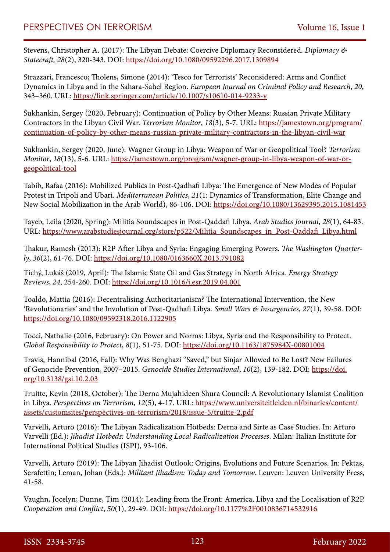Stevens, Christopher A. (2017): The Libyan Debate: Coercive Diplomacy Reconsidered. *Diplomacy & Statecraft, 28*(2), 320-343. DOI:<https://doi.org/10.1080/09592296.2017.1309894>

Strazzari, Francesco; Tholens, Simone (2014): 'Tesco for Terrorists' Reconsidered: Arms and Conflict Dynamics in Libya and in the Sahara-Sahel Region. *European Journal on Criminal Policy and Research*, *20*, 343–360. URL: <https://link.springer.com/article/10.1007/s10610-014-9233-y>

Sukhankin, Sergey (2020, February): Continuation of Policy by Other Means: Russian Private Military Contractors in the Libyan Civil War. *Terrorism Monitor*, *18*(3), 5-7. URL: [https://jamestown.org/program/](https://jamestown.org/program/continuation-of-policy-by-other-means-russian-private-military-contractors-in-the-libyan-civil-war) [continuation-of-policy-by-other-means-russian-private-military-contractors-in-the-libyan-civil-war](https://jamestown.org/program/continuation-of-policy-by-other-means-russian-private-military-contractors-in-the-libyan-civil-war)

Sukhankin, Sergey (2020, June): Wagner Group in Libya: Weapon of War or Geopolitical Tool? *Terrorism Monitor*, *18*(13), 5-6. URL: [https://jamestown.org/program/wagner-group-in-libya-weapon-of-war-or](https://jamestown.org/program/wagner-group-in-libya-weapon-of-war-or-geopolitical-tool)[geopolitical-tool](https://jamestown.org/program/wagner-group-in-libya-weapon-of-war-or-geopolitical-tool)

Tabib, Rafaa (2016): Mobilized Publics in Post-Qadhafi Libya: The Emergence of New Modes of Popular Protest in Tripoli and Ubari. *Mediterranean Politics*, *21*(1: Dynamics of Transformation, Elite Change and New Social Mobilization in the Arab World), 86-106. DOI:<https://doi.org/10.1080/13629395.2015.1081453>

Tayeb, Leila (2020, Spring): Militia Soundscapes in Post-Qaddafi Libya. *Arab Studies Journal*, *28*(1), 64-83. URL: [https://www.arabstudiesjournal.org/store/p522/Militia\\_Soundscapes\\_in\\_Post-Qaddafi\\_Libya.html](https://www.arabstudiesjournal.org/store/p522/Militia_Soundscapes_in_Post-Qaddafi_Libya.html)

Thakur, Ramesh (2013): R2P After Libya and Syria: Engaging Emerging Powers. *The Washington Quarterly*, *36*(2), 61-76. DOI:<https://doi.org/10.1080/0163660X.2013.791082>

Tichý, Lukáš (2019, April): The Islamic State Oil and Gas Strategy in North Africa. *Energy Strategy Reviews*, *24*, 254-260. DOI: <https://doi.org/10.1016/j.esr.2019.04.001>

Toaldo, Mattia (2016): Decentralising Authoritarianism? The International Intervention, the New 'Revolutionaries' and the Involution of Post-Qadhafi Libya. *Small Wars & Insurgencies*, *27*(1), 39-58. DOI: <https://doi.org/10.1080/09592318.2016.1122905>

Tocci, Nathalie (2016, February): On Power and Norms: Libya, Syria and the Responsibility to Protect. *Global Responsibility to Protect*, *8*(1), 51-75. DOI:<https://doi.org/10.1163/1875984X-00801004>

Travis, Hannibal (2016, Fall): Why Was Benghazi "Saved," but Sinjar Allowed to Be Lost? New Failures of Genocide Prevention, 2007–2015. *Genocide Studies International*, *10*(2), 139-182. DOI: [https://doi.](https://doi.org/10.3138/gsi.10.2.03) [org/10.3138/gsi.10.2.03](https://doi.org/10.3138/gsi.10.2.03)

Truitte, Kevin (2018, October): The Derna Mujahideen Shura Council: A Revolutionary Islamist Coalition in Libya. *Perspectives on Terrorism*, *12*(5), 4-17. URL: [https://www.universiteitleiden.nl/binaries/content/](https://www.universiteitleiden.nl/binaries/content/assets/customsites/perspectives-on-terrorism/2018/issue-5/truitte-2.pdf) [assets/customsites/perspectives-on-terrorism/2018/issue-5/truitte-2.pdf](https://www.universiteitleiden.nl/binaries/content/assets/customsites/perspectives-on-terrorism/2018/issue-5/truitte-2.pdf)

Varvelli, Arturo (2016): The Libyan Radicalization Hotbeds: Derna and Sirte as Case Studies. In: Arturo Varvelli (Ed.): *Jihadist Hotbeds: Understanding Local Radicalization Processes*. Milan: Italian Institute for International Political Studies (ISPI), 93-106.

Varvelli, Arturo (2019): The Libyan Jihadist Outlook: Origins, Evolutions and Future Scenarios. In: Pektas, Serafettin; Leman, Johan (Eds.): *Militant Jihadism: Today and Tomorrow*. Leuven: Leuven University Press, 41-58.

Vaughn, Jocelyn; Dunne, Tim (2014): Leading from the Front: America, Libya and the Localisation of R2P. *Cooperation and Conflict*, *50*(1), 29-49. DOI: <https://doi.org/10.1177%2F0010836714532916>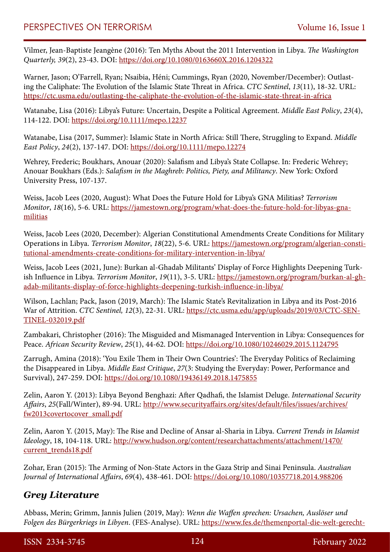Vilmer, Jean-Baptiste Jeangène (2016): Ten Myths About the 2011 Intervention in Libya. *The Washington Quarterly, 39*(2), 23-43. DOI: <https://doi.org/10.1080/0163660X.2016.1204322>

Warner, Jason; O'Farrell, Ryan; Nsaibia, Héni; Cummings, Ryan (2020, November/December): Outlasting the Caliphate: The Evolution of the Islamic State Threat in Africa. *CTC Sentinel*, *13*(11), 18-32. URL: <https://ctc.usma.edu/outlasting-the-caliphate-the-evolution-of-the-islamic-state-threat-in-africa>

Watanabe, Lisa (2016): Libya's Future: Uncertain, Despite a Political Agreement. *Middle East Policy*, *23*(4), 114-122. DOI:<https://doi.org/10.1111/mepo.12237>

Watanabe, Lisa (2017, Summer): Islamic State in North Africa: Still There, Struggling to Expand. *Middle East Policy*, *24*(2), 137-147. DOI:<https://doi.org/10.1111/mepo.12274>

Wehrey, Frederic; Boukhars, Anouar (2020): Salafism and Libya's State Collapse. In: Frederic Wehrey; Anouar Boukhars (Eds.): *Salafism in the Maghreb: Politics, Piety, and Militancy*. New York: Oxford University Press, 107-137.

Weiss, Jacob Lees (2020, August): What Does the Future Hold for Libya's GNA Militias? *Terrorism Monitor*, *18*(16), 5-6. URL: [https://jamestown.org/program/what-does-the-future-hold-for-libyas-gna](https://jamestown.org/program/what-does-the-future-hold-for-libyas-gna-militias)[militias](https://jamestown.org/program/what-does-the-future-hold-for-libyas-gna-militias)

Weiss, Jacob Lees (2020, December): Algerian Constitutional Amendments Create Conditions for Military Operations in Libya. *Terrorism Monitor*, *18*(22), 5-6. URL: [https://jamestown.org/program/algerian-consti](https://jamestown.org/program/algerian-constitutional-amendments-create-conditions-for-military-intervention-in-libya/)[tutional-amendments-create-conditions-for-military-intervention-in-libya/](https://jamestown.org/program/algerian-constitutional-amendments-create-conditions-for-military-intervention-in-libya/)

Weiss, Jacob Lees (2021, June): Burkan al-Ghadab Militants' Display of Force Highlights Deepening Turkish Influence in Libya. *Terrorism Monitor*, *19*(11), 3-5. URL: [https://jamestown.org/program/burkan-al-gh](https://jamestown.org/program/burkan-al-ghadab-militants-display-of-force-highlights-deepening-turkish-influence-in-libya/)[adab-militants-display-of-force-highlights-deepening-turkish-influence-in-libya/](https://jamestown.org/program/burkan-al-ghadab-militants-display-of-force-highlights-deepening-turkish-influence-in-libya/)

Wilson, Lachlan; Pack, Jason (2019, March): The Islamic State's Revitalization in Libya and its Post-2016 War of Attrition. *CTC Sentinel, 12*(3), 22-31. URL: [https://ctc.usma.edu/app/uploads/2019/03/CTC-SEN-](https://ctc.usma.edu/app/uploads/2019/03/CTC-SENTINEL-032019.pdf)[TINEL-032019.pdf](https://ctc.usma.edu/app/uploads/2019/03/CTC-SENTINEL-032019.pdf)

Zambakari, Christopher (2016): The Misguided and Mismanaged Intervention in Libya: Consequences for Peace. *African Security Review*, *25*(1), 44-62. DOI: <https://doi.org/10.1080/10246029.2015.1124795>

Zarrugh, Amina (2018): 'You Exile Them in Their Own Countries': The Everyday Politics of Reclaiming the Disappeared in Libya. *Middle East Critique*, *27*(3: Studying the Everyday: Power, Performance and Survival), 247-259. DOI:<https://doi.org/10.1080/19436149.2018.1475855>

Zelin, Aaron Y. (2013): Libya Beyond Benghazi: After Qadhafi, the Islamist Deluge. *International Security Affairs*, *25*(Fall/Winter), 89-94. URL: [http://www.securityaffairs.org/sites/default/files/issues/archives/](http://www.securityaffairs.org/sites/default/files/issues/archives/fw2013covertocover_small.pdf) [fw2013covertocover\\_small.pdf](http://www.securityaffairs.org/sites/default/files/issues/archives/fw2013covertocover_small.pdf)

Zelin, Aaron Y. (2015, May): The Rise and Decline of Ansar al-Sharia in Libya. *Current Trends in Islamist Ideology*, 18, 104-118. URL: [http://www.hudson.org/content/researchattachments/attachment/1470/](http://www.hudson.org/content/researchattachments/attachment/1470/current_trends18.pdf) [current\\_trends18.pdf](http://www.hudson.org/content/researchattachments/attachment/1470/current_trends18.pdf)

Zohar, Eran (2015): The Arming of Non-State Actors in the Gaza Strip and Sinai Peninsula. *Australian Journal of International Affairs*, *69*(4), 438-461. DOI: <https://doi.org/10.1080/10357718.2014.988206>

# *Grey Literature*

Abbass, Merin; Grimm, Jannis Julien (2019, May): *Wenn die Waffen sprechen: Ursachen, Auslöser und Folgen des Bürgerkriegs in Libyen*. (FES-Analyse). URL: [https://www.fes.de/themenportal-die-welt-gerecht-](https://www.fes.de/themenportal-die-welt-gerecht-gestalten/frieden-und-sicherheit/artikel-in-frieden-und-sicherheit/default-18070477df)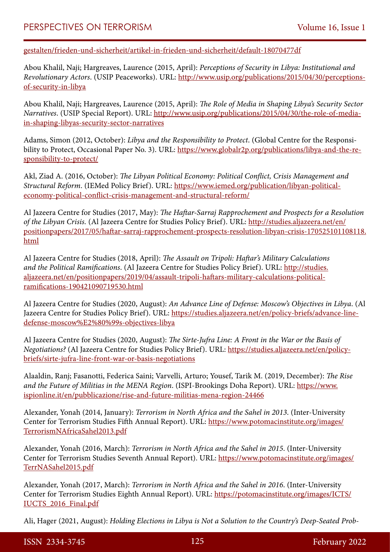[gestalten/frieden-und-sicherheit/artikel-in-frieden-und-sicherheit/default-18070477df](https://www.fes.de/themenportal-die-welt-gerecht-gestalten/frieden-und-sicherheit/artikel-in-frieden-und-sicherheit/default-18070477df)

Abou Khalil, Naji; Hargreaves, Laurence (2015, April): *Perceptions of Security in Libya: Institutional and Revolutionary Actors*. (USIP Peaceworks). URL: [http://www.usip.org/publications/2015/04/30/perceptions](http://www.usip.org/publications/2015/04/30/perceptions-of-security-in-libya)[of-security-in-libya](http://www.usip.org/publications/2015/04/30/perceptions-of-security-in-libya)

Abou Khalil, Naji; Hargreaves, Laurence (2015, April): *The Role of Media in Shaping Libya's Security Sector Narratives*. (USIP Special Report). URL: [http://www.usip.org/publications/2015/04/30/the-role-of-media](http://www.usip.org/publications/2015/04/30/the-role-of-media-in-shaping-libyas-security-sector-narratives)[in-shaping-libyas-security-sector-narratives](http://www.usip.org/publications/2015/04/30/the-role-of-media-in-shaping-libyas-security-sector-narratives)

Adams, Simon (2012, October): *Libya and the Responsibility to Protect*. (Global Centre for the Responsibility to Protect, Occasional Paper No. 3). URL: [https://www.globalr2p.org/publications/libya-and-the-re](https://www.globalr2p.org/publications/libya-and-the-responsibility-to-protect/)[sponsibility-to-protect/](https://www.globalr2p.org/publications/libya-and-the-responsibility-to-protect/)

Akl, Ziad A. (2016, October): *The Libyan Political Economy: Political Conflict, Crisis Management and Structural Reform*. (IEMed Policy Brief). URL: [https://www.iemed.org/publication/libyan-political](https://www.iemed.org/publication/libyan-political-economy-political-conflict-crisis-management-and-structural-reform/)[economy-political-conflict-crisis-management-and-structural-reform/](https://www.iemed.org/publication/libyan-political-economy-political-conflict-crisis-management-and-structural-reform/)

Al Jazeera Centre for Studies (2017, May): *The Haftar-Sarraj Rapprochement and Prospects for a Resolution of the Libyan Crisis.* (Al Jazeera Centre for Studies Policy Brief). URL: [http://studies.aljazeera.net/en/](http://studies.aljazeera.net/en/positionpapers/2017/05/haftar-sarraj-rapprochement-prospects-resolution-libyan-crisis-170525101108118.html) [positionpapers/2017/05/haftar-sarraj-rapprochement-prospects-resolution-libyan-crisis-170525101108118.](http://studies.aljazeera.net/en/positionpapers/2017/05/haftar-sarraj-rapprochement-prospects-resolution-libyan-crisis-170525101108118.html) [html](http://studies.aljazeera.net/en/positionpapers/2017/05/haftar-sarraj-rapprochement-prospects-resolution-libyan-crisis-170525101108118.html)

Al Jazeera Centre for Studies (2018, April): *The Assault on Tripoli: Haftar's Military Calculations and the Political Ramifications*. (Al Jazeera Centre for Studies Policy Brief). URL: [http://studies.](http://studies.aljazeera.net/en/positionpapers/2019/04/assault-tripoli-haftars-military-calculations-political-ramifications-190421090719530.html) [aljazeera.net/en/positionpapers/2019/04/assault-tripoli-haftars-military-calculations-political](http://studies.aljazeera.net/en/positionpapers/2019/04/assault-tripoli-haftars-military-calculations-political-ramifications-190421090719530.html)[ramifications-190421090719530.html](http://studies.aljazeera.net/en/positionpapers/2019/04/assault-tripoli-haftars-military-calculations-political-ramifications-190421090719530.html)

Al Jazeera Centre for Studies (2020, August): *An Advance Line of Defense: Moscow's Objectives in Libya*. (Al Jazeera Centre for Studies Policy Brief). URL: [https://studies.aljazeera.net/en/policy-briefs/advance-line](https://studies.aljazeera.net/en/policy-briefs/advance-line-defense-moscow’s-objectives-libya)[defense-moscow%E2%80%99s-objectives-libya](https://studies.aljazeera.net/en/policy-briefs/advance-line-defense-moscow’s-objectives-libya)

Al Jazeera Centre for Studies (2020, August): *The Sirte-Jufra Line: A Front in the War or the Basis of Negotiations?* (Al Jazeera Centre for Studies Policy Brief). URL: [https://studies.aljazeera.net/en/policy](https://studies.aljazeera.net/en/policy-briefs/sirte-jufra-line-front-war-or-basis-negotiations)[briefs/sirte-jufra-line-front-war-or-basis-negotiations](https://studies.aljazeera.net/en/policy-briefs/sirte-jufra-line-front-war-or-basis-negotiations)

Alaaldin, Ranj; Fasanotti, Federica Saini; Varvelli, Arturo; Yousef, Tarik M. (2019, December): *The Rise and the Future of Militias in the MENA Region*. (ISPI-Brookings Doha Report). URL: [https://www.](https://www.ispionline.it/en/pubblicazione/rise-and-future-militias-mena-region-24466) [ispionline.it/en/pubblicazione/rise-and-future-militias-mena-region-24466](https://www.ispionline.it/en/pubblicazione/rise-and-future-militias-mena-region-24466)

Alexander, Yonah (2014, January): *Terrorism in North Africa and the Sahel in 2013*. (Inter-University Center for Terrorism Studies Fifth Annual Report). URL: [https://www.potomacinstitute.org/images/](https://www.potomacinstitute.org/images/TerrorismNAfricaSahel2013.pdf) [TerrorismNAfricaSahel2013.pdf](https://www.potomacinstitute.org/images/TerrorismNAfricaSahel2013.pdf)

Alexander, Yonah (2016, March): *Terrorism in North Africa and the Sahel in 2015*. (Inter-University Center for Terrorism Studies Seventh Annual Report). URL: [https://www.potomacinstitute.org/images/](https://www.potomacinstitute.org/images/TerrNASahel2015.pdf) [TerrNASahel2015.pdf](https://www.potomacinstitute.org/images/TerrNASahel2015.pdf)

Alexander, Yonah (2017, March): *Terrorism in North Africa and the Sahel in 2016*. (Inter-University Center for Terrorism Studies Eighth Annual Report). URL: [https://potomacinstitute.org/images/ICTS/](https://potomacinstitute.org/images/ICTS/IUCTS_2016_Final.pdf) [IUCTS\\_2016\\_Final.pdf](https://potomacinstitute.org/images/ICTS/IUCTS_2016_Final.pdf)

Ali, Hager (2021, August): *Holding Elections in Libya is Not a Solution to the Country's Deep-Seated Prob-*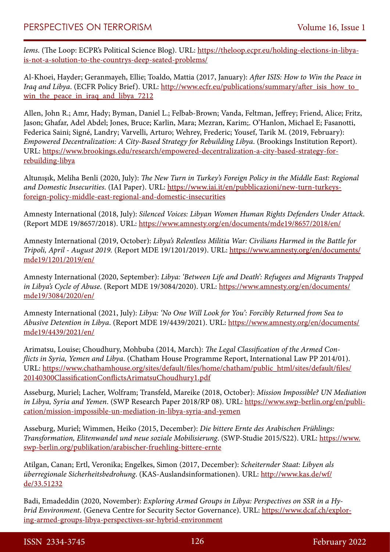*lems*. (The Loop: ECPR's Political Science Blog). URL: [https://theloop.ecpr.eu/holding-elections-in-libya](https://theloop.ecpr.eu/holding-elections-in-libya-is-not-a-solution-to-the-countrys-deep-seated-problems/)[is-not-a-solution-to-the-countrys-deep-seated-problems/](https://theloop.ecpr.eu/holding-elections-in-libya-is-not-a-solution-to-the-countrys-deep-seated-problems/)

Al-Khoei, Hayder; Geranmayeh, Ellie; Toaldo, Mattia (2017, January): *After ISIS: How to Win the Peace in Iraq and Libya.* (ECFR Policy Brief). URL: http://www.ecfr.eu/publications/summary/after\_isis\_how\_to win the peace in iraq and libya 7212

Allen, John R.; Amr, Hady; Byman, Daniel L.; Felbab-Brown; Vanda, Feltman, Jeffrey; Friend, Alice; Fritz, Jason; Ghafar, Adel Abdel; Jones, Bruce; Karlin, Mara; Mezran, Karim;. O'Hanlon, Michael E; Fasanotti, Federica Saini; Signé, Landry; Varvelli, Arturo; Wehrey, Frederic; Yousef, Tarik M. (2019, February): *Empowered Decentralization: A City-Based Strategy for Rebuilding Libya*. (Brookings Institution Report). URL: [https://www.brookings.edu/research/empowered-decentralization-a-city-based-strategy-for](https://www.brookings.edu/research/empowered-decentralization-a-city-based-strategy-for-rebuilding-libya)[rebuilding-libya](https://www.brookings.edu/research/empowered-decentralization-a-city-based-strategy-for-rebuilding-libya)

Altunışık, Meliha Benli (2020, July): *The New Turn in Turkey's Foreign Policy in the Middle East: Regional and Domestic Insecurities*. (IAI Paper). URL: [https://www.iai.it/en/pubblicazioni/new-turn-turkeys](https://www.iai.it/en/pubblicazioni/new-turn-turkeys-foreign-policy-middle-east-regional-and-domestic-insecurities)[foreign-policy-middle-east-regional-and-domestic-insecurities](https://www.iai.it/en/pubblicazioni/new-turn-turkeys-foreign-policy-middle-east-regional-and-domestic-insecurities)

Amnesty International (2018, July): *Silenced Voices: Libyan Women Human Rights Defenders Under Attack*. (Report MDE 19/8657/2018). URL: <https://www.amnesty.org/en/documents/mde19/8657/2018/en/>

Amnesty International (2019, October): *Libya's Relentless Militia War: Civilians Harmed in the Battle for Tripoli, April - August 2019.* (Report MDE 19/1201/2019). URL: [https://www.amnesty.org/en/documents/](https://www.amnesty.org/en/documents/mde19/1201/2019/en/) [mde19/1201/2019/en/](https://www.amnesty.org/en/documents/mde19/1201/2019/en/)

Amnesty International (2020, September): *Libya: 'Between Life and Death': Refugees and Migrants Trapped in Libya's Cycle of Abuse*. (Report MDE 19/3084/2020). URL: [https://www.amnesty.org/en/documents/](https://www.amnesty.org/en/documents/mde19/3084/2020/en/) [mde19/3084/2020/en/](https://www.amnesty.org/en/documents/mde19/3084/2020/en/)

Amnesty International (2021, July): *Libya: 'No One Will Look for You': Forcibly Returned from Sea to Abusive Detention in Libya*. (Report MDE 19/4439/2021). URL: [https://www.amnesty.org/en/documents/](https://www.amnesty.org/en/documents/mde19/4439/2021/en/) [mde19/4439/2021/en/](https://www.amnesty.org/en/documents/mde19/4439/2021/en/)

Arimatsu, Louise; Choudhury, Mohbuba (2014, March): *The Legal Classification of the Armed Conflicts in Syria, Yemen and Libya*. (Chatham House Programme Report, International Law PP 2014/01). URL: [https://www.chathamhouse.org/sites/default/files/home/chatham/public\\_html/sites/default/files/](https://www.chathamhouse.org/sites/default/files/home/chatham/public_html/sites/default/files/20140300ClassificationConflictsArimatsuChoudhury1.pdf) [20140300ClassificationConflictsArimatsuChoudhury1.pdf](https://www.chathamhouse.org/sites/default/files/home/chatham/public_html/sites/default/files/20140300ClassificationConflictsArimatsuChoudhury1.pdf)

Asseburg, Muriel; Lacher, Wolfram; Transfeld, Mareike (2018, October): *Mission Impossible? UN Mediation in Libya, Syria and Yemen*. (SWP Research Paper 2018/RP 08). URL: [https://www.swp-berlin.org/en/publi](https://www.swp-berlin.org/en/publication/mission-impossible-un-mediation-in-libya-syria-and-yemen)[cation/mission-impossible-un-mediation-in-libya-syria-and-yemen](https://www.swp-berlin.org/en/publication/mission-impossible-un-mediation-in-libya-syria-and-yemen)

Asseburg, Muriel; Wimmen, Heiko (2015, December): *Die bittere Ernte des Arabischen Frühlings: Transformation, Elitenwandel und neue soziale Mobilisierung*. (SWP-Studie 2015/S22). URL: [https://www.](https://www.swp-berlin.org/publikation/arabischer-fruehling-bittere-ernte) [swp-berlin.org/publikation/arabischer-fruehling-bittere-ernte](https://www.swp-berlin.org/publikation/arabischer-fruehling-bittere-ernte)

Atilgan, Canan; Ertl, Veronika; Engelkes, Simon (2017, December): *Scheiternder Staat: Libyen als überregionale Sicherheitsbedrohung*. (KAS-Auslandsinformationen). URL: [http://www.kas.de/wf/](http://www.kas.de/wf/de/33.51232) [de/33.51232](http://www.kas.de/wf/de/33.51232)

Badi, Emadeddin (2020, November): *Exploring Armed Groups in Libya: Perspectives on SSR in a Hybrid Environment*. (Geneva Centre for Security Sector Governance). URL: [https://www.dcaf.ch/explor](https://www.dcaf.ch/exploring-armed-groups-libya-perspectives-ssr-hybrid-environment)[ing-armed-groups-libya-perspectives-ssr-hybrid-environment](https://www.dcaf.ch/exploring-armed-groups-libya-perspectives-ssr-hybrid-environment)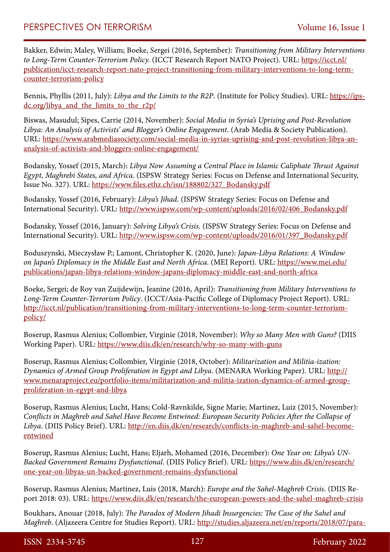Bakker, Edwin; Maley, William; Boeke, Sergei (2016, September): *Transitioning from Military Interventions to Long-Term Counter-Terrorism Policy.* (ICCT Research Report NATO Project). URL: [https://icct.nl/](https://icct.nl/publication/icct-research-report-nato-project-transitioning-from-military-interventions-to-long-term-counter-terrorism-policy) [publication/icct-research-report-nato-project-transitioning-from-military-interventions-to-long-term](https://icct.nl/publication/icct-research-report-nato-project-transitioning-from-military-interventions-to-long-term-counter-terrorism-policy)[counter-terrorism-policy](https://icct.nl/publication/icct-research-report-nato-project-transitioning-from-military-interventions-to-long-term-counter-terrorism-policy)

Bennis, Phyllis (2011, July): *Libya and the Limits to the R2P*. (Institute for Policy Studies). URL: [https://ips](https://ips-dc.org/libya_and_the_limits_to_the_r2p/)[dc.org/libya\\_and\\_the\\_limits\\_to\\_the\\_r2p/](https://ips-dc.org/libya_and_the_limits_to_the_r2p/)

Biswas, Masudul; Sipes, Carrie (2014, November): *Social Media in Syria's Uprising and Post-Revolution Libya: An Analysis of Activists' and Blogger's Online Engagement*. (Arab Media & Society Publication). URL: [https://www.arabmediasociety.com/social-media-in-syrias-uprising-and-post-revolution-libya-an](https://www.arabmediasociety.com/social-media-in-syrias-uprising-and-post-revolution-libya-an-analysis-of-activists-and-bloggers-online-engagement/)[analysis-of-activists-and-bloggers-online-engagement/](https://www.arabmediasociety.com/social-media-in-syrias-uprising-and-post-revolution-libya-an-analysis-of-activists-and-bloggers-online-engagement/)

Bodansky, Yossef (2015, March): *Libya Now Assuming a Central Place in Islamic Caliphate Thrust Against Egypt, Maghrebi States, and Africa*. (ISPSW Strategy Series: Focus on Defense and International Security, Issue No. 327). URL: [https://www.files.ethz.ch/isn/188802/327\\_Bodansky.pdf](https://www.files.ethz.ch/isn/188802/327_Bodansky.pdf)

Bodansky, Yossef (2016, February): *Libya's Jihad*. (ISPSW Strategy Series: Focus on Defense and International Security). URL: [http://www.ispsw.com/wp-content/uploads/2016/02/406\\_Bodansky.pdf](http://www.ispsw.com/wp-content/uploads/2016/02/406_Bodansky.pdf)

Bodansky, Yossef (2016, January): *Solving Libya's Crisis*. (ISPSW Strategy Series: Focus on Defense and International Security). URL: [http://www.ispsw.com/wp-content/uploads/2016/01/397\\_Bodansky.pdf](http://www.ispsw.com/wp-content/uploads/2016/01/397_Bodansky.pdf)

Boduszynski, Mieczysław P.; Lamont, Christopher K. (2020, June): *Japan-Libya Relations: A Window on Japan's Diplomacy in the Middle East and North Africa*. (MEI Report). URL: [https://www.mei.edu/](https://www.mei.edu/publications/japan-libya-relations-window-japans-diplomacy-middle-east-and-north-africa) [publications/japan-libya-relations-window-japans-diplomacy-middle-east-and-north-africa](https://www.mei.edu/publications/japan-libya-relations-window-japans-diplomacy-middle-east-and-north-africa)

Boeke, Sergei; de Roy van Zuijdewijn, Jeanine (2016, April): *Transitioning from Military Interventions to Long-Term Counter-Terrorism Policy*. (ICCT/Asia-Pacific College of Diplomacy Project Report). URL: [http://icct.nl/publication/transitioning-from-military-interventions-to-long-term-counter-terrorism](http://icct.nl/publication/transitioning-from-military-interventions-to-long-term-counter-terrorism-policy/)[policy/](http://icct.nl/publication/transitioning-from-military-interventions-to-long-term-counter-terrorism-policy/)

Boserup, Rasmus Alenius; Collombier, Virginie (2018, November): *Why so Many Men with Guns?* (DIIS Working Paper). URL:<https://www.diis.dk/en/research/why-so-many-with-guns>

Boserup, Rasmus Alenius; Collombier, Virginie (2018, October): *Militarization and Militia-ization: Dynamics of Armed Group Proliferation in Egypt and Libya*. (MENARA Working Paper). URL: [http://](http://www.menaraproject.eu/portfolio-items/militarization-and-militia-ization-dynamics-of-armed-group-proliferation-in-egypt-and-libya) [www.menaraproject.eu/portfolio-items/militarization-and-militia-ization-dynamics-of-armed-group](http://www.menaraproject.eu/portfolio-items/militarization-and-militia-ization-dynamics-of-armed-group-proliferation-in-egypt-and-libya)[proliferation-in-egypt-and-libya](http://www.menaraproject.eu/portfolio-items/militarization-and-militia-ization-dynamics-of-armed-group-proliferation-in-egypt-and-libya)

Boserup, Rasmus Alenius; Lucht, Hans; Cold-Ravnkilde, Signe Marie; Martinez, Luiz (2015, November): *Conflicts in Maghreb and Sahel Have Become Entwined: European Security Policies After the Collapse of Libya*. (DIIS Policy Brief). URL: [http://en.diis.dk/en/research/conflicts-in-maghreb-and-sahel-become](http://en.diis.dk/en/research/conflicts-in-maghreb-and-sahel-become-entwined)[entwined](http://en.diis.dk/en/research/conflicts-in-maghreb-and-sahel-become-entwined)

Boserup, Rasmus Alenius; Lucht, Hans; Eljarh, Mohamed (2016, December): *One Year on: Libya's UN-Backed Government Remains Dysfunctional*. (DIIS Policy Brief). URL: [https://www.diis.dk/en/research/](https://www.diis.dk/en/research/one-year-on-libyas-un-backed-government-remains-dysfunctional) [one-year-on-libyas-un-backed-government-remains-dysfunctional](https://www.diis.dk/en/research/one-year-on-libyas-un-backed-government-remains-dysfunctional)

Boserup, Rasmus Alenius; Martinez, Luis (2018, March): *Europe and the Sahel-Maghreb Crisis*. (DIIS Report 2018: 03). URL: <https://www.diis.dk/en/research/the-european-powers-and-the-sahel-maghreb-crisis>

Boukhars, Anouar (2018, July): *The Paradox of Modern Jihadi Insurgencies: The Case of the Sahel and Maghreb*. (Aljazeera Centre for Studies Report). URL: [http://studies.aljazeera.net/en/reports/2018/07/para-](http://studies.aljazeera.net/en/reports/2018/07/paradox-modern-jihadi-insurgencies-case-sahel-maghreb-180715094436599.html)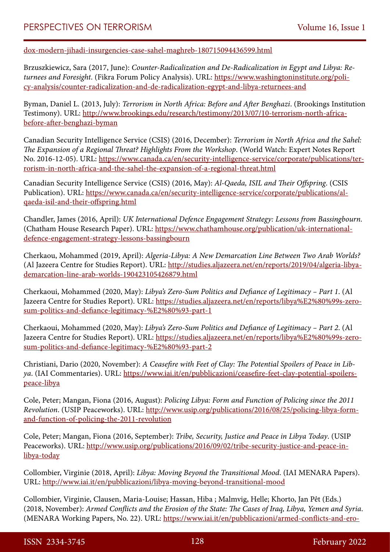[dox-modern-jihadi-insurgencies-case-sahel-maghreb-180715094436599.html](http://studies.aljazeera.net/en/reports/2018/07/paradox-modern-jihadi-insurgencies-case-sahel-maghreb-180715094436599.html)

Brzuszkiewicz, Sara (2017, June): *Counter-Radicalization and De-Radicalization in Egypt and Libya: Returnees and Foresight*. (Fikra Forum Policy Analysis). URL: [https://www.washingtoninstitute.org/poli](https://www.washingtoninstitute.org/policy-analysis/counter-radicalization-and-de-radicalization-egypt-and-libya-returnees-and)[cy-analysis/counter-radicalization-and-de-radicalization-egypt-and-libya-returnees-and](https://www.washingtoninstitute.org/policy-analysis/counter-radicalization-and-de-radicalization-egypt-and-libya-returnees-and)

Byman, Daniel L. (2013, July): *Terrorism in North Africa: Before and After Benghazi*. (Brookings Institution Testimony). URL: [http://www.brookings.edu/research/testimony/2013/07/10-terrorism-north-africa](http://www.brookings.edu/research/testimony/2013/07/10-terrorism-north-africa-before-after-benghazi-byman)[before-after-benghazi-byman](http://www.brookings.edu/research/testimony/2013/07/10-terrorism-north-africa-before-after-benghazi-byman)

Canadian Security Intelligence Service (CSIS) (2016, December): *Terrorism in North Africa and the Sahel: The Expansion of a Regional Threat? Highlights From the Workshop*. (World Watch: Expert Notes Report No. 2016-12-05). URL: [https://www.canada.ca/en/security-intelligence-service/corporate/publications/ter](https://www.canada.ca/en/security-intelligence-service/corporate/publications/terrorism-in-north-africa-and-the-sahel-the-expansion-of-a-regional-threat.html)[rorism-in-north-africa-and-the-sahel-the-expansion-of-a-regional-threat.html](https://www.canada.ca/en/security-intelligence-service/corporate/publications/terrorism-in-north-africa-and-the-sahel-the-expansion-of-a-regional-threat.html)

Canadian Security Intelligence Service (CSIS) (2016, May): *Al-Qaeda, ISIL and Their Offspring*. (CSIS Publication). URL: [https://www.canada.ca/en/security-intelligence-service/corporate/publications/al](https://www.canada.ca/en/security-intelligence-service/corporate/publications/al-qaeda-isil-and-their-offspring.html)[qaeda-isil-and-their-offspring.html](https://www.canada.ca/en/security-intelligence-service/corporate/publications/al-qaeda-isil-and-their-offspring.html)

Chandler, James (2016, April): *UK International Defence Engagement Strategy: Lessons from Bassingbourn.* (Chatham House Research Paper). URL: [https://www.chathamhouse.org/publication/uk-international](https://www.chathamhouse.org/publication/uk-international-defence-engagement-strategy-lessons-bassingbourn)[defence-engagement-strategy-lessons-bassingbourn](https://www.chathamhouse.org/publication/uk-international-defence-engagement-strategy-lessons-bassingbourn)

Cherkaou, Mohammed (2019, April): *Algeria-Libya: A New Demarcation Line Between Two Arab Worlds?*  (Al Jazeera Centre for Studies Report). URL: [http://studies.aljazeera.net/en/reports/2019/04/algeria-libya](http://studies.aljazeera.net/en/reports/2019/04/algeria-libya-demarcation-line-arab-worlds-190423105426879.html)[demarcation-line-arab-worlds-190423105426879.html](http://studies.aljazeera.net/en/reports/2019/04/algeria-libya-demarcation-line-arab-worlds-190423105426879.html)

Cherkaoui, Mohammed (2020, May): *Libya's Zero-Sum Politics and Defiance of Legitimacy – Part 1*. (Al Jazeera Centre for Studies Report). URL: [https://studies.aljazeera.net/en/reports/libya%E2%80%99s-zero](https://studies.aljazeera.net/en/reports/libya’s-zero-sum-politics-and-defiance-legitimacy-–-part-1)[sum-politics-and-defiance-legitimacy-%E2%80%93-part-1](https://studies.aljazeera.net/en/reports/libya’s-zero-sum-politics-and-defiance-legitimacy-–-part-1)

Cherkaoui, Mohammed (2020, May): *Libya's Zero-Sum Politics and Defiance of Legitimacy – Part 2*. (Al Jazeera Centre for Studies Report). URL: [https://studies.aljazeera.net/en/reports/libya%E2%80%99s-zero](https://studies.aljazeera.net/en/reports/libya’s-zero-sum-politics-and-defiance-legitimacy-–-part-2)[sum-politics-and-defiance-legitimacy-%E2%80%93-part-2](https://studies.aljazeera.net/en/reports/libya’s-zero-sum-politics-and-defiance-legitimacy-–-part-2)

Christiani, Dario (2020, November): *A Ceasefire with Feet of Clay: The Potential Spoilers of Peace in Libya*. (IAI Commentaries). URL: [https://www.iai.it/en/pubblicazioni/ceasefire-feet-clay-potential-spoilers](https://www.iai.it/en/pubblicazioni/ceasefire-feet-clay-potential-spoilers-peace-libya)[peace-libya](https://www.iai.it/en/pubblicazioni/ceasefire-feet-clay-potential-spoilers-peace-libya)

Cole, Peter; Mangan, Fiona (2016, August): *Policing Libya: Form and Function of Policing since the 2011 Revolution*. (USIP Peaceworks). URL: [http://www.usip.org/publications/2016/08/25/policing-libya-form](http://www.usip.org/publications/2016/08/25/policing-libya-form-and-function-of-policing-the-2011-revolution)[and-function-of-policing-the-2011-revolution](http://www.usip.org/publications/2016/08/25/policing-libya-form-and-function-of-policing-the-2011-revolution)

Cole, Peter; Mangan, Fiona (2016, September): *Tribe, Security, Justice and Peace in Libya Today*. (USIP Peaceworks). URL: [http://www.usip.org/publications/2016/09/02/tribe-security-justice-and-peace-in](http://www.usip.org/publications/2016/09/02/tribe-security-justice-and-peace-in-libya-today)[libya-today](http://www.usip.org/publications/2016/09/02/tribe-security-justice-and-peace-in-libya-today)

Collombier, Virginie (2018, April): *Libya: Moving Beyond the Transitional Mood*. (IAI MENARA Papers). URL: <http://www.iai.it/en/pubblicazioni/libya-moving-beyond-transitional-mood>

Collombier, Virginie, Clausen, Maria-Louise; Hassan, Hiba ; Malmvig, Helle; Khorto, Jan Pêt (Eds.) (2018, November): *Armed Conflicts and the Erosion of the State: The Cases of Iraq, Libya, Yemen and Syria*. (MENARA Working Papers, No. 22). URL: [https://www.iai.it/en/pubblicazioni/armed-conflicts-and-ero-](https://www.iai.it/en/pubblicazioni/armed-conflicts-and-erosion-state-cases-iraq-libya-yemen-and-syria)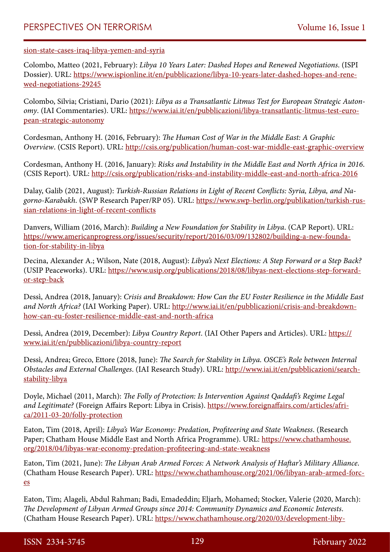[sion-state-cases-iraq-libya-yemen-and-syria](https://www.iai.it/en/pubblicazioni/armed-conflicts-and-erosion-state-cases-iraq-libya-yemen-and-syria)

Colombo, Matteo (2021, February): *Libya 10 Years Later: Dashed Hopes and Renewed Negotiations*. (ISPI Dossier). URL: [https://www.ispionline.it/en/pubblicazione/libya-10-years-later-dashed-hopes-and-rene](https://www.ispionline.it/en/pubblicazione/libya-10-years-later-dashed-hopes-and-renewed-negotiations-29245)[wed-negotiations-29245](https://www.ispionline.it/en/pubblicazione/libya-10-years-later-dashed-hopes-and-renewed-negotiations-29245)

Colombo, Silvia; Cristiani, Dario (2021): *Libya as a Transatlantic Litmus Test for European Strategic Autonomy*. (IAI Commentaries). URL: [https://www.iai.it/en/pubblicazioni/libya-transatlantic-litmus-test-euro](https://www.iai.it/en/pubblicazioni/libya-transatlantic-litmus-test-european-strategic-autonomy)[pean-strategic-autonomy](https://www.iai.it/en/pubblicazioni/libya-transatlantic-litmus-test-european-strategic-autonomy)

Cordesman, Anthony H. (2016, February): *The Human Cost of War in the Middle East: A Graphic Overview*. (CSIS Report). URL: <http://csis.org/publication/human-cost-war-middle-east-graphic-overview>

Cordesman, Anthony H. (2016, January): *Risks and Instability in the Middle East and North Africa in 2016*. (CSIS Report). URL: <http://csis.org/publication/risks-and-instability-middle-east-and-north-africa-2016>

Dalay, Galib (2021, August): *Turkish-Russian Relations in Light of Recent Conflicts: Syria, Libya, and Nagorno-Karabakh*. (SWP Research Paper/RP 05). URL: [https://www.swp-berlin.org/publikation/turkish-rus](https://www.swp-berlin.org/publikation/turkish-russian-relations-in-light-of-recent-conflicts)[sian-relations-in-light-of-recent-conflicts](https://www.swp-berlin.org/publikation/turkish-russian-relations-in-light-of-recent-conflicts)

Danvers, William (2016, March): *Building a New Foundation for Stability in Libya*. (CAP Report). URL: [https://www.americanprogress.org/issues/security/report/2016/03/09/132802/building-a-new-founda](https://www.americanprogress.org/issues/security/report/2016/03/09/132802/building-a-new-foundation-for-stability-in-libya)[tion-for-stability-in-libya](https://www.americanprogress.org/issues/security/report/2016/03/09/132802/building-a-new-foundation-for-stability-in-libya)

Decina, Alexander A.; Wilson, Nate (2018, August): *Libya's Next Elections: A Step Forward or a Step Back?*  (USIP Peaceworks). URL: [https://www.usip.org/publications/2018/08/libyas-next-elections-step-forward](https://www.usip.org/publications/2018/08/libyas-next-elections-step-forward-or-step-back)[or-step-back](https://www.usip.org/publications/2018/08/libyas-next-elections-step-forward-or-step-back)

Dessì, Andrea (2018, January): *Crisis and Breakdown: How Can the EU Foster Resilience in the Middle East and North Africa?* (IAI Working Paper). URL: [http://www.iai.it/en/pubblicazioni/crisis-and-breakdown](http://www.iai.it/en/pubblicazioni/crisis-and-breakdown-how-can-eu-foster-resilience-middle-east-and-north-africa)[how-can-eu-foster-resilience-middle-east-and-north-africa](http://www.iai.it/en/pubblicazioni/crisis-and-breakdown-how-can-eu-foster-resilience-middle-east-and-north-africa)

Dessì, Andrea (2019, December): *Libya Country Report*. (IAI Other Papers and Articles). URL: [https://](https://www.iai.it/en/pubblicazioni/libya-country-report) [www.iai.it/en/pubblicazioni/libya-country-report](https://www.iai.it/en/pubblicazioni/libya-country-report)

Dessì, Andrea; Greco, Ettore (2018, June): *The Search for Stability in Libya. OSCE's Role between Internal Obstacles and External Challenges*. (IAI Research Study). URL: [http://www.iai.it/en/pubblicazioni/search](http://www.iai.it/en/pubblicazioni/search-stability-libya)[stability-libya](http://www.iai.it/en/pubblicazioni/search-stability-libya)

Doyle, Michael (2011, March): *The Folly of Protection: Is Intervention Against Qaddafi's Regime Legal and Legitimate?* (Foreign Affairs Report: Libya in Crisis). [https://www.foreignaffairs.com/articles/afri](https://www.foreignaffairs.com/articles/africa/2011-03-20/folly-protection)[ca/2011-03-20/folly-protection](https://www.foreignaffairs.com/articles/africa/2011-03-20/folly-protection)

Eaton, Tim (2018, April): *Libya's War Economy: Predation, Profiteering and State Weakness*. (Research Paper; Chatham House Middle East and North Africa Programme). URL: [https://www.chathamhouse.](https://www.chathamhouse.org/2018/04/libyas-war-economy-predation-profiteering-and-state-weakness) [org/2018/04/libyas-war-economy-predation-profiteering-and-state-weakness](https://www.chathamhouse.org/2018/04/libyas-war-economy-predation-profiteering-and-state-weakness)

Eaton, Tim (2021, June): *The Libyan Arab Armed Forces: A Network Analysis of Haftar's Military Alliance*. (Chatham House Research Paper). URL: [https://www.chathamhouse.org/2021/06/libyan-arab-armed-forc](https://www.chathamhouse.org/2021/06/libyan-arab-armed-forces)[es](https://www.chathamhouse.org/2021/06/libyan-arab-armed-forces)

Eaton, Tim; Alageli, Abdul Rahman; Badi, Emadeddin; Eljarh, Mohamed; Stocker, Valerie (2020, March): *The Development of Libyan Armed Groups since 2014: Community Dynamics and Economic Interests*. (Chatham House Research Paper). URL: [https://www.chathamhouse.org/2020/03/development-liby-](https://www.chathamhouse.org/2020/03/development-libyan-armed-groups-2014)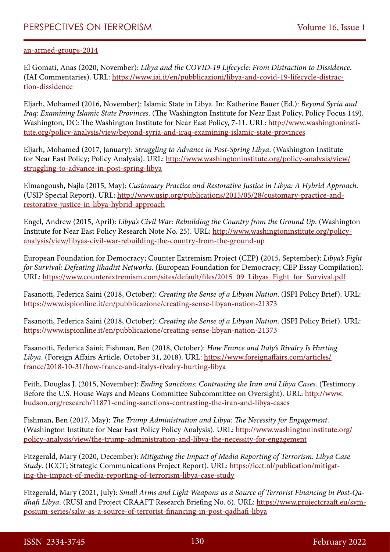#### [an-armed-groups-2014](https://www.chathamhouse.org/2020/03/development-libyan-armed-groups-2014)

El Gomati, Anas (2020, November): *Libya and the COVID-19 Lifecycle: From Distraction to Dissidence*. (IAI Commentaries). URL: [https://www.iai.it/en/pubblicazioni/libya-and-covid-19-lifecycle-distrac](https://www.iai.it/en/pubblicazioni/libya-and-covid-19-lifecycle-distraction-dissidence)[tion-dissidence](https://www.iai.it/en/pubblicazioni/libya-and-covid-19-lifecycle-distraction-dissidence)

Eljarh, Mohamed (2016, November): Islamic State in Libya. In: Katherine Bauer (Ed.): *Beyond Syria and Iraq: Examining Islamic State Provinces*. (The Washington Institute for Near East Policy, Policy Focus 149). Washington, DC: The Washington Institute for Near East Policy, 7-11. URL: [http://www.washingtoninsti](http://www.washingtoninstitute.org/policy-analysis/view/beyond-syria-and-iraq-examining-islamic-state-provinces)[tute.org/policy-analysis/view/beyond-syria-and-iraq-examining-islamic-state-provinces](http://www.washingtoninstitute.org/policy-analysis/view/beyond-syria-and-iraq-examining-islamic-state-provinces)

Eljarh, Mohamed (2017, January): *Struggling to Advance in Post-Spring Libya*. (Washington Institute for Near East Policy; Policy Analysis). URL: [http://www.washingtoninstitute.org/policy-analysis/view/](http://www.washingtoninstitute.org/policy-analysis/view/struggling-to-advance-in-post-spring-libya) [struggling-to-advance-in-post-spring-libya](http://www.washingtoninstitute.org/policy-analysis/view/struggling-to-advance-in-post-spring-libya)

Elmangoush, Najla (2015, May): *Customary Practice and Restorative Justice in Libya: A Hybrid Approach.*  (USIP Special Report). URL: [http://www.usip.org/publications/2015/05/28/customary-practice-and](http://www.usip.org/publications/2015/05/28/customary-practice-and-restorative-justice-in-libya-hybrid-approach)[restorative-justice-in-libya-hybrid-approach](http://www.usip.org/publications/2015/05/28/customary-practice-and-restorative-justice-in-libya-hybrid-approach)

Engel, Andrew (2015, April): *Libya's Civil War: Rebuilding the Country from the Ground Up*. (Washington Institute for Near East Policy Research Note No. 25). URL: [http://www.washingtoninstitute.org/policy](http://www.washingtoninstitute.org/policy-analysis/view/libyas-civil-war-rebuilding-the-country-from-the-ground-up)[analysis/view/libyas-civil-war-rebuilding-the-country-from-the-ground-up](http://www.washingtoninstitute.org/policy-analysis/view/libyas-civil-war-rebuilding-the-country-from-the-ground-up)

European Foundation for Democracy; Counter Extremism Project (CEP) (2015, September): *Libya's Fight for Survival: Defeating Jihadist Networks*. (European Foundation for Democracy; CEP Essay Compilation). URL: [https://www.counterextremism.com/sites/default/files/2015\\_09\\_Libyas\\_Fight\\_for\\_Survival.pdf](https://www.counterextremism.com/sites/default/files/2015_09_Libyas_Fight_for_Survival.pdf)

Fasanotti, Federica Saini (2018, October): *Creating the Sense of a Libyan Nation*. (ISPI Policy Brief). URL: <https://www.ispionline.it/en/pubblicazione/creating-sense-libyan-nation-21373>

Fasanotti, Federica Saini (2018, October): *Creating the Sense of a Libyan Nation*. (ISPI Policy Brief). URL: <https://www.ispionline.it/en/pubblicazione/creating-sense-libyan-nation-21373>

Fasanotti, Federica Saini; Fishman, Ben (2018, October): *How France and Italy's Rivalry Is Hurting Libya*. (Foreign Affairs Article, October 31, 2018). URL: [https://www.foreignaffairs.com/articles/](https://www.foreignaffairs.com/articles/france/2018-10-31/how-france-and-italys-rivalry-hurting-libya) [france/2018-10-31/how-france-and-italys-rivalry-hurting-libya](https://www.foreignaffairs.com/articles/france/2018-10-31/how-france-and-italys-rivalry-hurting-libya)

Feith, Douglas J. (2015, November): *Ending Sanctions: Contrasting the Iran and Libya Cases*. (Testimony Before the U.S. House Ways and Means Committee Subcommittee on Oversight). URL: [http://www.](http://www.hudson.org/research/11871-ending-sanctions-contrasting-the-iran-and-libya-cases) [hudson.org/research/11871-ending-sanctions-contrasting-the-iran-and-libya-cases](http://www.hudson.org/research/11871-ending-sanctions-contrasting-the-iran-and-libya-cases)

Fishman, Ben (2017, May): *The Trump Administration and Libya: The Necessity for Engagement*. (Washington Institute for Near East Policy Policy Analysis). URL: [http://www.washingtoninstitute.org/](http://www.washingtoninstitute.org/policy-analysis/view/the-trump-administration-and-libya-the-necessity-for-engagement) [policy-analysis/view/the-trump-administration-and-libya-the-necessity-for-engagement](http://www.washingtoninstitute.org/policy-analysis/view/the-trump-administration-and-libya-the-necessity-for-engagement)

Fitzgerald, Mary (2020, December): *Mitigating the Impact of Media Reporting of Terrorism: Libya Case Study*. (ICCT; Strategic Communications Project Report). URL: [https://icct.nl/publication/mitigat](https://icct.nl/publication/mitigating-the-impact-of-media-reporting-of-terrorism-libya-case-study)[ing-the-impact-of-media-reporting-of-terrorism-libya-case-study](https://icct.nl/publication/mitigating-the-impact-of-media-reporting-of-terrorism-libya-case-study)

Fitzgerald, Mary (2021, July): *Small Arms and Light Weapons as a Source of Terrorist Financing in Post-Qadhafi Libya*. (RUSI and Project CRAAFT Research Briefing No. 6). URL: [https://www.projectcraaft.eu/sym](https://www.projectcraaft.eu/symposium-series/salw-as-a-source-of-terrorist-financing-in-post-qadhafi-libya)[posium-series/salw-as-a-source-of-terrorist-financing-in-post-qadhafi-libya](https://www.projectcraaft.eu/symposium-series/salw-as-a-source-of-terrorist-financing-in-post-qadhafi-libya)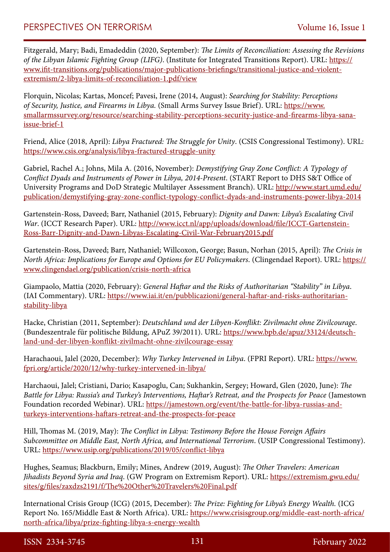Fitzgerald, Mary; Badi, Emadeddin (2020, September): *The Limits of Reconciliation: Assessing the Revisions of the Libyan Islamic Fighting Group (LIFG)*. (Institute for Integrated Transitions Report). URL: [https://](https://www.ifit-transitions.org/publications/major-publications-briefings/transitional-justice-and-violent-extremism/2-libya-limits-of-reconciliation-1.pdf/view) [www.ifit-transitions.org/publications/major-publications-briefings/transitional-justice-and-violent](https://www.ifit-transitions.org/publications/major-publications-briefings/transitional-justice-and-violent-extremism/2-libya-limits-of-reconciliation-1.pdf/view)[extremism/2-libya-limits-of-reconciliation-1.pdf/view](https://www.ifit-transitions.org/publications/major-publications-briefings/transitional-justice-and-violent-extremism/2-libya-limits-of-reconciliation-1.pdf/view)

Florquin, Nicolas; Kartas, Moncef; Pavesi, Irene (2014, August): *Searching for Stability: Perceptions of Security, Justice, and Firearms in Libya.* (Small Arms Survey Issue Brief). URL: [https://www.](https://www.smallarmssurvey.org/resource/searching-stability-perceptions-security-justice-and-firearms-libya-sana-issue-brief-1) [smallarmssurvey.org/resource/searching-stability-perceptions-security-justice-and-firearms-libya-sana](https://www.smallarmssurvey.org/resource/searching-stability-perceptions-security-justice-and-firearms-libya-sana-issue-brief-1)[issue-brief-1](https://www.smallarmssurvey.org/resource/searching-stability-perceptions-security-justice-and-firearms-libya-sana-issue-brief-1)

Friend, Alice (2018, April): *Libya Fractured: The Struggle for Unity*. (CSIS Congressional Testimony). URL: <https://www.csis.org/analysis/libya-fractured-struggle-unity>

Gabriel, Rachel A.; Johns, Mila A. (2016, November): *Demystifying Gray Zone Conflict: A Typology of Conflict Dyads and Instruments of Power in Libya, 2014-Present*. (START Report to DHS S&T Office of University Programs and DoD Strategic Multilayer Assessment Branch). URL: [http://www.start.umd.edu/](http://www.start.umd.edu/publication/demystifying-gray-zone-conflict-typology-conflict-dyads-and-instruments-power-libya-2014) [publication/demystifying-gray-zone-conflict-typology-conflict-dyads-and-instruments-power-libya-2014](http://www.start.umd.edu/publication/demystifying-gray-zone-conflict-typology-conflict-dyads-and-instruments-power-libya-2014)

Gartenstein-Ross, Daveed; Barr, Nathaniel (2015, February): *Dignity and Dawn: Libya's Escalating Civil War*. (ICCT Research Paper). URL: [http://www.icct.nl/app/uploads/download/file/ICCT-Gartenstein-](http://www.icct.nl/app/uploads/download/file/ICCT-Gartenstein-Ross-Barr-Dignity-and-Dawn-Libyas-Escalating-Civil-War-February2015.pdf)[Ross-Barr-Dignity-and-Dawn-Libyas-Escalating-Civil-War-February2015.pdf](http://www.icct.nl/app/uploads/download/file/ICCT-Gartenstein-Ross-Barr-Dignity-and-Dawn-Libyas-Escalating-Civil-War-February2015.pdf)

Gartenstein-Ross, Daveed; Barr, Nathaniel; Willcoxon, George; Basun, Norhan (2015, April): *The Crisis in North Africa: Implications for Europe and Options for EU Policymakers*. (Clingendael Report). URL: [https://](https://www.clingendael.org/publication/crisis-north-africa) [www.clingendael.org/publication/crisis-north-africa](https://www.clingendael.org/publication/crisis-north-africa)

Giampaolo, Mattia (2020, February): *General Haftar and the Risks of Authoritarian "Stability" in Libya*. (IAI Commentary). URL: [https://www.iai.it/en/pubblicazioni/general-haftar-and-risks-authoritarian](https://www.iai.it/en/pubblicazioni/general-haftar-and-risks-authoritarian-stability-libya)[stability-libya](https://www.iai.it/en/pubblicazioni/general-haftar-and-risks-authoritarian-stability-libya)

Hacke, Christian (2011, September): *Deutschland und der Libyen-Konflikt: Zivilmacht ohne Zivilcourage*. (Bundeszentrale für politische Bildung, APuZ 39/2011). URL: [https://www.bpb.de/apuz/33124/deutsch](https://www.bpb.de/apuz/33124/deutschland-und-der-libyen-konflikt-zivilmacht-ohne-zivilcourage-essay)[land-und-der-libyen-konflikt-zivilmacht-ohne-zivilcourage-essay](https://www.bpb.de/apuz/33124/deutschland-und-der-libyen-konflikt-zivilmacht-ohne-zivilcourage-essay)

Harachaoui, Jalel (2020, December): *Why Turkey Intervened in Libya*. (FPRI Report). URL: [https://www.](https://www.fpri.org/article/2020/12/why-turkey-intervened-in-libya/) [fpri.org/article/2020/12/why-turkey-intervened-in-libya/](https://www.fpri.org/article/2020/12/why-turkey-intervened-in-libya/)

Harchaoui, Jalel; Cristiani, Dario; Kasapoglu, Can; Sukhankin, Sergey; Howard, Glen (2020, June): *The Battle for Libya: Russia's and Turkey's Interventions, Haftar's Retreat, and the Prospects for Peace* (Jamestown Foundation recorded Webinar). URL: [https://jamestown.org/event/the-battle-for-libya-russias-and](https://jamestown.org/event/the-battle-for-libya-russias-and-turkeys-interventions-haftars-retreat-and-the-prospects-for-peace)[turkeys-interventions-haftars-retreat-and-the-prospects-for-peace](https://jamestown.org/event/the-battle-for-libya-russias-and-turkeys-interventions-haftars-retreat-and-the-prospects-for-peace)

Hill, Thomas M. (2019, May): *The Conflict in Libya: Testimony Before the House Foreign Affairs Subcommittee on Middle East, North Africa, and International Terrorism*. (USIP Congressional Testimony). URL: <https://www.usip.org/publications/2019/05/conflict-libya>

Hughes, Seamus; Blackburn, Emily; Mines, Andrew (2019, August): *The Other Travelers: American Jihadists Beyond Syria and Iraq*. (GW Program on Extremism Report). URL: [https://extremism.gwu.edu/](https://extremism.gwu.edu/sites/g/files/zaxdzs2191/f/The%20Other%20Travelers%20Final.pdf) [sites/g/files/zaxdzs2191/f/The%20Other%20Travelers%20Final.pdf](https://extremism.gwu.edu/sites/g/files/zaxdzs2191/f/The%20Other%20Travelers%20Final.pdf)

International Crisis Group (ICG) (2015, December): *The Prize: Fighting for Libya's Energy Wealth.* (ICG Report No. 165/Middle East & North Africa). URL: [https://www.crisisgroup.org/middle-east-north-africa/](https://www.crisisgroup.org/middle-east-north-africa/north-africa/libya/prize-fighting-libya-s-energy-wealth) [north-africa/libya/prize-fighting-libya-s-energy-wealth](https://www.crisisgroup.org/middle-east-north-africa/north-africa/libya/prize-fighting-libya-s-energy-wealth)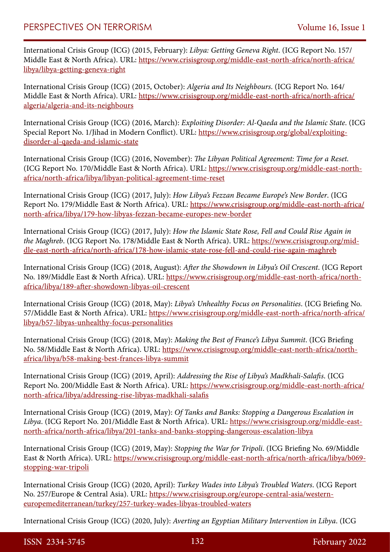International Crisis Group (ICG) (2015, February): *Libya: Getting Geneva Right*. (ICG Report No. 157/ Middle East & North Africa). URL: [https://www.crisisgroup.org/middle-east-north-africa/north-africa/](https://www.crisisgroup.org/middle-east-north-africa/north-africa/libya/libya-getting-geneva-right) [libya/libya-getting-geneva-right](https://www.crisisgroup.org/middle-east-north-africa/north-africa/libya/libya-getting-geneva-right)

International Crisis Group (ICG) (2015, October): *Algeria and Its Neighbours*. (ICG Report No. 164/ Middle East & North Africa). URL: [https://www.crisisgroup.org/middle-east-north-africa/north-africa/](https://www.crisisgroup.org/middle-east-north-africa/north-africa/algeria/algeria-and-its-neighbours) [algeria/algeria-and-its-neighbours](https://www.crisisgroup.org/middle-east-north-africa/north-africa/algeria/algeria-and-its-neighbours)

International Crisis Group (ICG) (2016, March): *Exploiting Disorder: Al-Qaeda and the Islamic State*. (ICG Special Report No. 1/Jihad in Modern Conflict). URL: [https://www.crisisgroup.org/global/exploiting](https://www.crisisgroup.org/global/exploiting-disorder-al-qaeda-and-islamic-state)[disorder-al-qaeda-and-islamic-state](https://www.crisisgroup.org/global/exploiting-disorder-al-qaeda-and-islamic-state)

International Crisis Group (ICG) (2016, November): *The Libyan Political Agreement: Time for a Reset.* (ICG Report No. 170/Middle East & North Africa). URL: [https://www.crisisgroup.org/middle-east-north](https://www.crisisgroup.org/middle-east-north-africa/north-africa/libya/libyan-political-agreement-time-reset)[africa/north-africa/libya/libyan-political-agreement-time-reset](https://www.crisisgroup.org/middle-east-north-africa/north-africa/libya/libyan-political-agreement-time-reset)

International Crisis Group (ICG) (2017, July): *How Libya's Fezzan Became Europe's New Border*. (ICG Report No. 179/Middle East & North Africa). URL: [https://www.crisisgroup.org/middle-east-north-africa/](https://www.crisisgroup.org/middle-east-north-africa/north-africa/libya/179-how-libyas-fezzan-became-europes-new-border) [north-africa/libya/179-how-libyas-fezzan-became-europes-new-border](https://www.crisisgroup.org/middle-east-north-africa/north-africa/libya/179-how-libyas-fezzan-became-europes-new-border)

International Crisis Group (ICG) (2017, July): *How the Islamic State Rose, Fell and Could Rise Again in the Maghreb*. (ICG Report No. 178/Middle East & North Africa). URL: [https://www.crisisgroup.org/mid](https://www.crisisgroup.org/middle-east-north-africa/north-africa/178-how-islamic-state-rose-fell-and-could-rise-again-maghreb)[dle-east-north-africa/north-africa/178-how-islamic-state-rose-fell-and-could-rise-again-maghreb](https://www.crisisgroup.org/middle-east-north-africa/north-africa/178-how-islamic-state-rose-fell-and-could-rise-again-maghreb)

International Crisis Group (ICG) (2018, August): *After the Showdown in Libya's Oil Crescent*. (ICG Report No. 189/Middle East & North Africa). URL: [https://www.crisisgroup.org/middle-east-north-africa/north](https://www.crisisgroup.org/middle-east-north-africa/north-africa/libya/189-after-showdown-libyas-oil-crescent)[africa/libya/189-after-showdown-libyas-oil-crescent](https://www.crisisgroup.org/middle-east-north-africa/north-africa/libya/189-after-showdown-libyas-oil-crescent)

International Crisis Group (ICG) (2018, May): *Libya's Unhealthy Focus on Personalities*. (ICG Briefing No. 57/Middle East & North Africa). URL: [https://www.crisisgroup.org/middle-east-north-africa/north-africa/](https://www.crisisgroup.org/middle-east-north-africa/north-africa/libya/b57-libyas-unhealthy-focus-personalities) [libya/b57-libyas-unhealthy-focus-personalities](https://www.crisisgroup.org/middle-east-north-africa/north-africa/libya/b57-libyas-unhealthy-focus-personalities)

International Crisis Group (ICG) (2018, May): *Making the Best of France's Libya Summit*. (ICG Briefing No. 58/Middle East & North Africa). URL: [https://www.crisisgroup.org/middle-east-north-africa/north](https://www.crisisgroup.org/middle-east-north-africa/north-africa/libya/b58-making-best-frances-libya-summit)[africa/libya/b58-making-best-frances-libya-summit](https://www.crisisgroup.org/middle-east-north-africa/north-africa/libya/b58-making-best-frances-libya-summit)

International Crisis Group (ICG) (2019, April): *Addressing the Rise of Libya's Madkhali-Salafis*. (ICG Report No. 200/Middle East & North Africa). URL: [https://www.crisisgroup.org/middle-east-north-africa/](https://www.crisisgroup.org/middle-east-north-africa/north-africa/libya/addressing-rise-libyas-madkhali-salafis) [north-africa/libya/addressing-rise-libyas-madkhali-salafis](https://www.crisisgroup.org/middle-east-north-africa/north-africa/libya/addressing-rise-libyas-madkhali-salafis)

International Crisis Group (ICG) (2019, May): *Of Tanks and Banks: Stopping a Dangerous Escalation in Libya*. (ICG Report No. 201/Middle East & North Africa). URL: [https://www.crisisgroup.org/middle-east](https://www.crisisgroup.org/middle-east-north-africa/north-africa/libya/201-tanks-and-banks-stopping-dangerous-escalation-libya)[north-africa/north-africa/libya/201-tanks-and-banks-stopping-dangerous-escalation-libya](https://www.crisisgroup.org/middle-east-north-africa/north-africa/libya/201-tanks-and-banks-stopping-dangerous-escalation-libya)

International Crisis Group (ICG) (2019, May): *Stopping the War for Tripoli*. (ICG Briefing No. 69/Middle East & North Africa). URL: [https://www.crisisgroup.org/middle-east-north-africa/north-africa/libya/b069](https://www.crisisgroup.org/middle-east-north-africa/north-africa/libya/b069-stopping-war-tripoli) [stopping-war-tripoli](https://www.crisisgroup.org/middle-east-north-africa/north-africa/libya/b069-stopping-war-tripoli)

International Crisis Group (ICG) (2020, April): *Turkey Wades into Libya's Troubled Waters*. (ICG Report No. 257/Europe & Central Asia). URL: [https://www.crisisgroup.org/europe-central-asia/western](https://www.crisisgroup.org/europe-central-asia/western-europemediterranean/turkey/257-turkey-wades-libyas-troubled-waters)[europemediterranean/turkey/257-turkey-wades-libyas-troubled-waters](https://www.crisisgroup.org/europe-central-asia/western-europemediterranean/turkey/257-turkey-wades-libyas-troubled-waters)

International Crisis Group (ICG) (2020, July): *Averting an Egyptian Military Intervention in Libya*. (ICG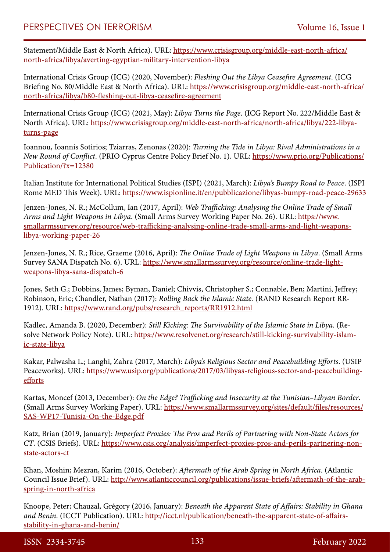Statement/Middle East & North Africa). URL: [https://www.crisisgroup.org/middle-east-north-africa/](https://www.crisisgroup.org/middle-east-north-africa/north-africa/libya/averting-egyptian-military-intervention-libya) [north-africa/libya/averting-egyptian-military-intervention-libya](https://www.crisisgroup.org/middle-east-north-africa/north-africa/libya/averting-egyptian-military-intervention-libya)

International Crisis Group (ICG) (2020, November): *Fleshing Out the Libya Ceasefire Agreement*. (ICG Briefing No. 80/Middle East & North Africa). URL: [https://www.crisisgroup.org/middle-east-north-africa/](https://www.crisisgroup.org/middle-east-north-africa/north-africa/libya/b80-fleshing-out-libya-ceasefire-agreement) [north-africa/libya/b80-fleshing-out-libya-ceasefire-agreement](https://www.crisisgroup.org/middle-east-north-africa/north-africa/libya/b80-fleshing-out-libya-ceasefire-agreement)

International Crisis Group (ICG) (2021, May): *Libya Turns the Page*. (ICG Report No. 222/Middle East & North Africa). URL: [https://www.crisisgroup.org/middle-east-north-africa/north-africa/libya/222-libya](https://www.crisisgroup.org/middle-east-north-africa/north-africa/libya/222-libya-turns-page)[turns-page](https://www.crisisgroup.org/middle-east-north-africa/north-africa/libya/222-libya-turns-page)

Ioannou, Ioannis Sotirios; Tziarras, Zenonas (2020): *Turning the Tide in Libya: Rival Administrations in a New Round of Conflict*. (PRIO Cyprus Centre Policy Brief No. 1). URL: [https://www.prio.org/Publications/](https://www.prio.org/Publications/Publication/?x=12380) [Publication/?x=12380](https://www.prio.org/Publications/Publication/?x=12380)

Italian Institute for International Political Studies (ISPI) (2021, March): *Libya's Bumpy Road to Peace*. (ISPI Rome MED This Week). URL:<https://www.ispionline.it/en/pubblicazione/libyas-bumpy-road-peace-29633>

Jenzen-Jones, N. R.; McCollum, Ian (2017, April): *Web Trafficking: Analysing the Online Trade of Small Arms and Light Weapons in Libya*. (Small Arms Survey Working Paper No. 26). URL: [https://www.](https://www.smallarmssurvey.org/resource/web-trafficking-analysing-online-trade-small-arms-and-light-weapons-libya-working-paper-26) [smallarmssurvey.org/resource/web-trafficking-analysing-online-trade-small-arms-and-light-weapons](https://www.smallarmssurvey.org/resource/web-trafficking-analysing-online-trade-small-arms-and-light-weapons-libya-working-paper-26)[libya-working-paper-26](https://www.smallarmssurvey.org/resource/web-trafficking-analysing-online-trade-small-arms-and-light-weapons-libya-working-paper-26)

Jenzen-Jones, N. R.; Rice, Graeme (2016, April): *The Online Trade of Light Weapons in Libya*. (Small Arms Survey SANA Dispatch No. 6). URL: [https://www.smallarmssurvey.org/resource/online-trade-light](https://www.smallarmssurvey.org/resource/online-trade-light-weapons-libya-sana-dispatch-6)[weapons-libya-sana-dispatch-6](https://www.smallarmssurvey.org/resource/online-trade-light-weapons-libya-sana-dispatch-6)

Jones, Seth G.; Dobbins, James; Byman, Daniel; Chivvis, Christopher S.; Connable, Ben; Martini, Jeffrey; Robinson, Eric; Chandler, Nathan (2017): *Rolling Back the Islamic State.* (RAND Research Report RR-1912). URL: [https://www.rand.org/pubs/research\\_reports/RR1912.html](https://www.rand.org/pubs/research_reports/RR1912.html)

Kadlec, Amanda B. (2020, December): *Still Kicking: The Survivability of the Islamic State in Libya*. (Resolve Network Policy Note). URL: [https://www.resolvenet.org/research/still-kicking-survivability-islam](https://www.resolvenet.org/research/still-kicking-survivability-islamic-state-libya)[ic-state-libya](https://www.resolvenet.org/research/still-kicking-survivability-islamic-state-libya)

Kakar, Palwasha L.; Langhi, Zahra (2017, March): *Libya's Religious Sector and Peacebuilding Efforts*. (USIP Peaceworks). URL: [https://www.usip.org/publications/2017/03/libyas-religious-sector-and-peacebuilding](https://www.usip.org/publications/2017/03/libyas-religious-sector-and-peacebuilding-efforts)[efforts](https://www.usip.org/publications/2017/03/libyas-religious-sector-and-peacebuilding-efforts)

Kartas, Moncef (2013, December): *On the Edge? Trafficking and Insecurity at the Tunisian–Libyan Border*. (Small Arms Survey Working Paper). URL: [https://www.smallarmssurvey.org/sites/default/files/resources/](https://www.smallarmssurvey.org/sites/default/files/resources/SAS-WP17-Tunisia-On-the-Edge.pdf) [SAS-WP17-Tunisia-On-the-Edge.pdf](https://www.smallarmssurvey.org/sites/default/files/resources/SAS-WP17-Tunisia-On-the-Edge.pdf)

Katz, Brian (2019, January): *Imperfect Proxies: The Pros and Perils of Partnering with Non-State Actors for CT*. (CSIS Briefs). URL: [https://www.csis.org/analysis/imperfect-proxies-pros-and-perils-partnering-non](https://www.csis.org/analysis/imperfect-proxies-pros-and-perils-partnering-non-state-actors-ct)[state-actors-ct](https://www.csis.org/analysis/imperfect-proxies-pros-and-perils-partnering-non-state-actors-ct)

Khan, Moshin; Mezran, Karim (2016, October): *Aftermath of the Arab Spring in North Africa*. (Atlantic Council Issue Brief). URL: [http://www.atlanticcouncil.org/publications/issue-briefs/aftermath-of-the-arab](http://www.atlanticcouncil.org/publications/issue-briefs/aftermath-of-the-arab-spring-in-north-africa)[spring-in-north-africa](http://www.atlanticcouncil.org/publications/issue-briefs/aftermath-of-the-arab-spring-in-north-africa)

Knoope, Peter; Chauzal, Grégory (2016, January): *Beneath the Apparent State of Affairs: Stability in Ghana and Benin*. (ICCT Publication). URL: [http://icct.nl/publication/beneath-the-apparent-state-of-affairs](http://icct.nl/publication/beneath-the-apparent-state-of-affairs-stability-in-ghana-and-benin/)[stability-in-ghana-and-benin/](http://icct.nl/publication/beneath-the-apparent-state-of-affairs-stability-in-ghana-and-benin/)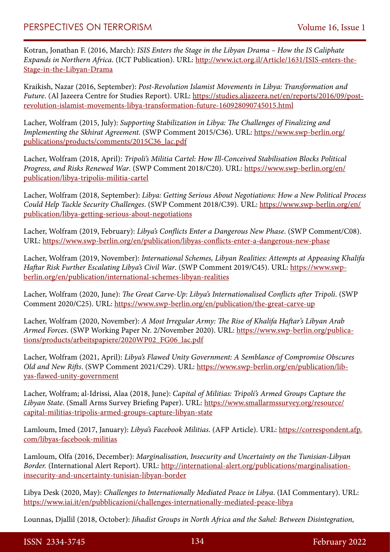Kotran, Jonathan F. (2016, March): *ISIS Enters the Stage in the Libyan Drama – How the IS Caliphate Expands in Northern Africa*. (ICT Publication). URL: [http://www.ict.org.il/Article/1631/ISIS-enters-the-](http://www.ict.org.il/Article/1631/ISIS-enters-the-Stage-in-the-Libyan-Drama)[Stage-in-the-Libyan-Drama](http://www.ict.org.il/Article/1631/ISIS-enters-the-Stage-in-the-Libyan-Drama)

Kraikish, Nazar (2016, September): *Post-Revolution Islamist Movements in Libya: Transformation and Future*. (Al Jazeera Centre for Studies Report). URL: [https://studies.aljazeera.net/en/reports/2016/09/post](https://studies.aljazeera.net/en/reports/2016/09/post-revolution-islamist-movements-libya-transformation-future-160928090745015.html)[revolution-islamist-movements-libya-transformation-future-160928090745015.html](https://studies.aljazeera.net/en/reports/2016/09/post-revolution-islamist-movements-libya-transformation-future-160928090745015.html)

Lacher, Wolfram (2015, July): *Supporting Stabilization in Libya: The Challenges of Finalizing and Implementing the Skhirat Agreement*. (SWP Comment 2015/C36). URL: [https://www.swp-berlin.org/](https://www.swp-berlin.org/publications/products/comments/2015C36_lac.pdf) [publications/products/comments/2015C36\\_lac.pdf](https://www.swp-berlin.org/publications/products/comments/2015C36_lac.pdf)

Lacher, Wolfram (2018, April): *Tripoli's Militia Cartel: How Ill-Conceived Stabilisation Blocks Political Progress, and Risks Renewed War*. (SWP Comment 2018/C20). URL: [https://www.swp-berlin.org/en/](https://www.swp-berlin.org/en/publication/libya-tripolis-militia-cartel) [publication/libya-tripolis-militia-cartel](https://www.swp-berlin.org/en/publication/libya-tripolis-militia-cartel)

Lacher, Wolfram (2018, September): *Libya: Getting Serious About Negotiations: How a New Political Process Could Help Tackle Security Challenges*. (SWP Comment 2018/C39). URL: [https://www.swp-berlin.org/en/](https://www.swp-berlin.org/en/publication/libya-getting-serious-about-negotiations) [publication/libya-getting-serious-about-negotiations](https://www.swp-berlin.org/en/publication/libya-getting-serious-about-negotiations)

Lacher, Wolfram (2019, February): *Libya's Conflicts Enter a Dangerous New Phase*. (SWP Comment/C08). URL: <https://www.swp-berlin.org/en/publication/libyas-conflicts-enter-a-dangerous-new-phase>

Lacher, Wolfram (2019, November): *International Schemes, Libyan Realities: Attempts at Appeasing Khalifa Haftar Risk Further Escalating Libya's Civil War*. (SWP Comment 2019/C45). URL: [https://www.swp](https://www.swp-berlin.org/en/publication/international-schemes-libyan-realities)[berlin.org/en/publication/international-schemes-libyan-realities](https://www.swp-berlin.org/en/publication/international-schemes-libyan-realities)

Lacher, Wolfram (2020, June): *The Great Carve-Up: Libya's Internationalised Conflicts after Tripoli*. (SWP Comment 2020/C25). URL: <https://www.swp-berlin.org/en/publication/the-great-carve-up>

Lacher, Wolfram (2020, November): *A Most Irregular Army: The Rise of Khalifa Haftar's Libyan Arab Armed Forces*. (SWP Working Paper Nr. 2/November 2020). URL: [https://www.swp-berlin.org/publica](https://www.swp-berlin.org/publications/products/arbeitspapiere/2020WP02_FG06_lac.pdf)[tions/products/arbeitspapiere/2020WP02\\_FG06\\_lac.pdf](https://www.swp-berlin.org/publications/products/arbeitspapiere/2020WP02_FG06_lac.pdf)

Lacher, Wolfram (2021, April): *Libya's Flawed Unity Government: A Semblance of Compromise Obscures Old and New Rifts*. (SWP Comment 2021/C29). URL: [https://www.swp-berlin.org/en/publication/lib](https://www.swp-berlin.org/en/publication/libyas-flawed-unity-government)[yas-flawed-unity-government](https://www.swp-berlin.org/en/publication/libyas-flawed-unity-government)

Lacher, Wolfram; al-Idrissi, Alaa (2018, June): *Capital of Militias: Tripoli's Armed Groups Capture the Libyan State*. (Small Arms Survey Briefing Paper). URL: [https://www.smallarmssurvey.org/resource/](https://www.smallarmssurvey.org/resource/capital-militias-tripolis-armed-groups-capture-libyan-state) [capital-militias-tripolis-armed-groups-capture-libyan-state](https://www.smallarmssurvey.org/resource/capital-militias-tripolis-armed-groups-capture-libyan-state)

Lamloum, Imed (2017, January): *Libya's Facebook Militias*. (AFP Article). URL: [https://correspondent.afp.](https://correspondent.afp.com/libyas-facebook-militias) [com/libyas-facebook-militias](https://correspondent.afp.com/libyas-facebook-militias)

Lamloum, Olfa (2016, December): *Marginalisation, Insecurity and Uncertainty on the Tunisian-Libyan Border.* (International Alert Report). URL: [http://international-alert.org/publications/marginalisation](http://international-alert.org/publications/marginalisation-insecurity-and-uncertainty-tunisian-libyan-border)[insecurity-and-uncertainty-tunisian-libyan-border](http://international-alert.org/publications/marginalisation-insecurity-and-uncertainty-tunisian-libyan-border)

Libya Desk (2020, May): *Challenges to Internationally Mediated Peace in Libya*. (IAI Commentary). URL: <https://www.iai.it/en/pubblicazioni/challenges-internationally-mediated-peace-libya>

Lounnas, Djallil (2018, October): *Jihadist Groups in North Africa and the Sahel: Between Disintegration,*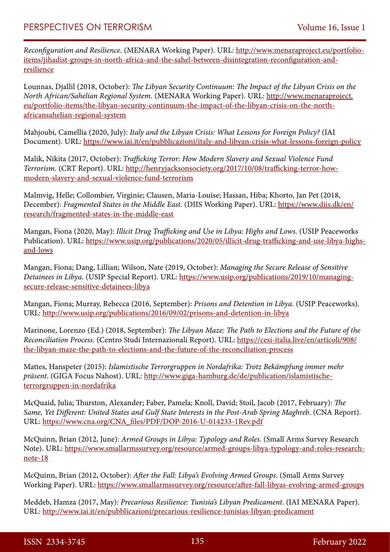*Reconfiguration and Resilience*. (MENARA Working Paper). URL: [http://www.menaraproject.eu/portfolio](http://www.menaraproject.eu/portfolio-items/jihadist-groups-in-north-africa-and-the-sahel-between-disintegration-reconfiguration-and-resilience)[items/jihadist-groups-in-north-africa-and-the-sahel-between-disintegration-reconfiguration-and](http://www.menaraproject.eu/portfolio-items/jihadist-groups-in-north-africa-and-the-sahel-between-disintegration-reconfiguration-and-resilience)[resilience](http://www.menaraproject.eu/portfolio-items/jihadist-groups-in-north-africa-and-the-sahel-between-disintegration-reconfiguration-and-resilience)

Lounnas, Djallil (2018, October): *The Libyan Security Continuum: The Impact of the Libyan Crisis on the North African/Sahelian Regional System*. (MENARA Working Paper). URL: [http://www.menaraproject.](http://www.menaraproject.eu/portfolio-items/the-libyan-security-continuum-the-impact-of-the-libyan-crisis-on-the-north-africansahelian-regional-system) [eu/portfolio-items/the-libyan-security-continuum-the-impact-of-the-libyan-crisis-on-the-north](http://www.menaraproject.eu/portfolio-items/the-libyan-security-continuum-the-impact-of-the-libyan-crisis-on-the-north-africansahelian-regional-system)[africansahelian-regional-system](http://www.menaraproject.eu/portfolio-items/the-libyan-security-continuum-the-impact-of-the-libyan-crisis-on-the-north-africansahelian-regional-system)

Mahjoubi, Camellia (2020, July): *Italy and the Libyan Crisis: What Lessons for Foreign Policy?* (IAI Document). URL:<https://www.iai.it/en/pubblicazioni/italy-and-libyan-crisis-what-lessons-foreign-policy>

Malik, Nikita (2017, October): *Trafficking Terror: How Modern Slavery and Sexual Violence Fund Terrorism*. (CRT Report). URL: [http://henryjacksonsociety.org/2017/10/08/trafficking-terror-how](http://henryjacksonsociety.org/2017/10/08/trafficking-terror-how-modern-slavery-and-sexual-violence-fund-terrorism)[modern-slavery-and-sexual-violence-fund-terrorism](http://henryjacksonsociety.org/2017/10/08/trafficking-terror-how-modern-slavery-and-sexual-violence-fund-terrorism)

Malmvig, Helle; Collombier, Virginie; Clausen, Maria-Louise; Hassan, Hiba; Khorto, Jan Pet (2018, December): *Fragmented States in the Middle East*. (DIIS Working Paper). URL: [https://www.diis.dk/en/](https://www.diis.dk/en/research/fragmented-states-in-the-middle-east) [research/fragmented-states-in-the-middle-east](https://www.diis.dk/en/research/fragmented-states-in-the-middle-east)

Mangan, Fiona (2020, May): *Illicit Drug Trafficking and Use in Libya: Highs and Lows*. (USIP Peaceworks Publication). URL: [https://www.usip.org/publications/2020/05/illicit-drug-trafficking-and-use-libya-highs](https://www.usip.org/publications/2020/05/illicit-drug-trafficking-and-use-libya-highs-and-lows)[and-lows](https://www.usip.org/publications/2020/05/illicit-drug-trafficking-and-use-libya-highs-and-lows)

Mangan, Fiona; Dang, Lillian; Wilson, Nate (2019, October): *Managing the Secure Release of Sensitive Detainees in Libya*. (USIP Special Report). URL: [https://www.usip.org/publications/2019/10/managing](https://www.usip.org/publications/2019/10/managing-secure-release-sensitive-detainees-libya)[secure-release-sensitive-detainees-libya](https://www.usip.org/publications/2019/10/managing-secure-release-sensitive-detainees-libya)

Mangan, Fiona; Murray, Rebecca (2016, September): *Prisons and Detention in Libya*. (USIP Peaceworks). URL: <http://www.usip.org/publications/2016/09/02/prisons-and-detention-in-libya>

Marinone, Lorenzo (Ed.) (2018, September): *The Libyan Maze: The Path to Elections and the Future of the Reconciliation Process*. (Centro Studi Internazionali Report). URL: [https://cesi-italia.live/en/articoli/908/](https://cesi-italia.live/en/articoli/908/the-libyan-maze-the-path-to-elections-and-the-future-of-the-reconciliation-process) [the-libyan-maze-the-path-to-elections-and-the-future-of-the-reconciliation-process](https://cesi-italia.live/en/articoli/908/the-libyan-maze-the-path-to-elections-and-the-future-of-the-reconciliation-process)

Mattes, Hanspeter (2015): *Islamistische Terrorgruppen in Nordafrika: Trotz Bekämpfung immer mehr präsent*. (GIGA Focus Nahost). URL: [http://www.giga-hamburg.de/de/publication/islamistische](http://www.giga-hamburg.de/de/publication/islamistische-terrorgruppen-in-nordafrika)[terrorgruppen-in-nordafrika](http://www.giga-hamburg.de/de/publication/islamistische-terrorgruppen-in-nordafrika)

McQuaid, Julia; Thurston, Alexander; Faber, Pamela; Knoll, David; Stoil, Jacob (2017, February): *The Same, Yet Different: United States and Gulf State Interests in the Post-Arab Spring Maghreb*. (CNA Report). URL: [https://www.cna.org/CNA\\_files/PDF/DOP-2016-U-014233-1Rev.pdf](https://www.cna.org/CNA_files/PDF/DOP-2016-U-014233-1Rev.pdf)

McQuinn, Brian (2012, June): *Armed Groups in Libya: Typology and Roles*. (Small Arms Survey Research Note). URL: [https://www.smallarmssurvey.org/resource/armed-groups-libya-typology-and-roles-research](https://www.smallarmssurvey.org/resource/armed-groups-libya-typology-and-roles-research-note-18)[note-18](https://www.smallarmssurvey.org/resource/armed-groups-libya-typology-and-roles-research-note-18)

McQuinn, Brian (2012, October): *After the Fall: Libya's Evolving Armed Groups*. (Small Arms Survey Working Paper). URL:<https://www.smallarmssurvey.org/resource/after-fall-libyas-evolving-armed-groups>

Meddeb, Hamza (2017, May): *Precarious Resilience: Tunisia's Libyan Predicament*. (IAI MENARA Paper). URL: <http://www.iai.it/en/pubblicazioni/precarious-resilience-tunisias-libyan-predicament>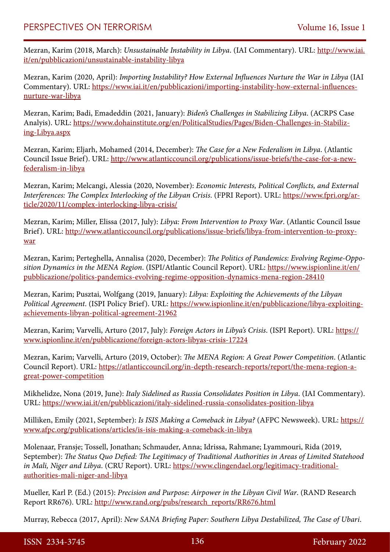Mezran, Karim (2018, March): *Unsustainable Instability in Libya*. (IAI Commentary). URL: [http://www.iai.](http://www.iai.it/en/pubblicazioni/unsustainable-instability-libya) [it/en/pubblicazioni/unsustainable-instability-libya](http://www.iai.it/en/pubblicazioni/unsustainable-instability-libya)

Mezran, Karim (2020, April): *Importing Instability? How External Influences Nurture the War in Libya* (IAI Commentary). URL: [https://www.iai.it/en/pubblicazioni/importing-instability-how-external-influences](https://www.iai.it/en/pubblicazioni/importing-instability-how-external-influences-nurture-war-libya)[nurture-war-libya](https://www.iai.it/en/pubblicazioni/importing-instability-how-external-influences-nurture-war-libya)

Mezran, Karim; Badi, Emadeddin (2021, January): *Biden's Challenges in Stabilizing Libya*. (ACRPS Case Analyis). URL: [https://www.dohainstitute.org/en/PoliticalStudies/Pages/Biden-Challenges-in-Stabiliz](https://www.dohainstitute.org/en/PoliticalStudies/Pages/Biden-Challenges-in-Stabilizing-Libya.aspx)[ing-Libya.aspx](https://www.dohainstitute.org/en/PoliticalStudies/Pages/Biden-Challenges-in-Stabilizing-Libya.aspx)

Mezran, Karim; Eljarh, Mohamed (2014, December): *The Case for a New Federalism in Libya*. (Atlantic Council Issue Brief). URL: [http://www.atlanticcouncil.org/publications/issue-briefs/the-case-for-a-new](http://www.atlanticcouncil.org/publications/issue-briefs/the-case-for-a-new-federalism-in-libya)[federalism-in-libya](http://www.atlanticcouncil.org/publications/issue-briefs/the-case-for-a-new-federalism-in-libya)

Mezran, Karim; Melcangi, Alessia (2020, November): *Economic Interests, Political Conflicts, and External Interferences: The Complex Interlocking of the Libyan Crisis*. (FPRI Report). URL: [https://www.fpri.org/ar](https://www.fpri.org/article/2020/11/complex-interlocking-libya-crisis/)[ticle/2020/11/complex-interlocking-libya-crisis/](https://www.fpri.org/article/2020/11/complex-interlocking-libya-crisis/)

Mezran, Karim; Miller, Elissa (2017, July): *Libya: From Intervention to Proxy War*. (Atlantic Council Issue Brief). URL: [http://www.atlanticcouncil.org/publications/issue-briefs/libya-from-intervention-to-proxy](http://www.atlanticcouncil.org/publications/issue-briefs/libya-from-intervention-to-proxy-war)[war](http://www.atlanticcouncil.org/publications/issue-briefs/libya-from-intervention-to-proxy-war)

Mezran, Karim; Perteghella, Annalisa (2020, December): *The Politics of Pandemics: Evolving Regime-Opposition Dynamics in the MENA Region*. (ISPI/Atlantic Council Report). URL: [https://www.ispionline.it/en/](https://www.ispionline.it/en/pubblicazione/politics-pandemics-evolving-regime-opposition-dynamics-mena-region-28410) [pubblicazione/politics-pandemics-evolving-regime-opposition-dynamics-mena-region-28410](https://www.ispionline.it/en/pubblicazione/politics-pandemics-evolving-regime-opposition-dynamics-mena-region-28410)

Mezran, Karim; Pusztai, Wolfgang (2019, January): *Libya: Exploiting the Achievements of the Libyan Political Agreement*. (ISPI Policy Brief). URL: [https://www.ispionline.it/en/pubblicazione/libya-exploiting](https://www.ispionline.it/en/pubblicazione/libya-exploiting-achievements-libyan-political-agreement-21962)[achievements-libyan-political-agreement-21962](https://www.ispionline.it/en/pubblicazione/libya-exploiting-achievements-libyan-political-agreement-21962)

Mezran, Karim; Varvelli, Arturo (2017, July): *Foreign Actors in Libya's Crisis*. (ISPI Report). URL: [https://](https://www.ispionline.it/en/pubblicazione/foreign-actors-libyas-crisis-17224) [www.ispionline.it/en/pubblicazione/foreign-actors-libyas-crisis-17224](https://www.ispionline.it/en/pubblicazione/foreign-actors-libyas-crisis-17224)

Mezran, Karim; Varvelli, Arturo (2019, October): *The MENA Region: A Great Power Competition*. (Atlantic Council Report). URL: [https://atlanticcouncil.org/in-depth-research-reports/report/the-mena-region-a](https://atlanticcouncil.org/in-depth-research-reports/report/the-mena-region-a-great-power-competition)[great-power-competition](https://atlanticcouncil.org/in-depth-research-reports/report/the-mena-region-a-great-power-competition)

Mikhelidze, Nona (2019, June): *Italy Sidelined as Russia Consolidates Position in Libya*. (IAI Commentary). URL: <https://www.iai.it/en/pubblicazioni/italy-sidelined-russia-consolidates-position-libya>

Milliken, Emily (2021, September): *Is ISIS Making a Comeback in Libya?* (AFPC Newsweek). URL: [https://](https://www.afpc.org/publications/articles/is-isis-making-a-comeback-in-libya) [www.afpc.org/publications/articles/is-isis-making-a-comeback-in-libya](https://www.afpc.org/publications/articles/is-isis-making-a-comeback-in-libya)

Molenaar, Fransje; Tossell, Jonathan; Schmauder, Anna; Idrissa, Rahmane; Lyammouri, Rida (2019, September): *The Status Quo Defied: The Legitimacy of Traditional Authorities in Areas of Limited Statehood in Mali, Niger and Libya*. (CRU Report). URL: [https://www.clingendael.org/legitimacy-traditional](https://www.clingendael.org/legitimacy-traditional-authorities-mali-niger-and-libya)[authorities-mali-niger-and-libya](https://www.clingendael.org/legitimacy-traditional-authorities-mali-niger-and-libya)

Mueller, Karl P. (Ed.) (2015): *Precision and Purpose: Airpower in the Libyan Civil War*. (RAND Research Report RR676). URL: [http://www.rand.org/pubs/research\\_reports/RR676.html](http://www.rand.org/pubs/research_reports/RR676.html)

Murray, Rebecca (2017, April): *New SANA Briefing Paper: Southern Libya Destabilized, The Case of Ubari*.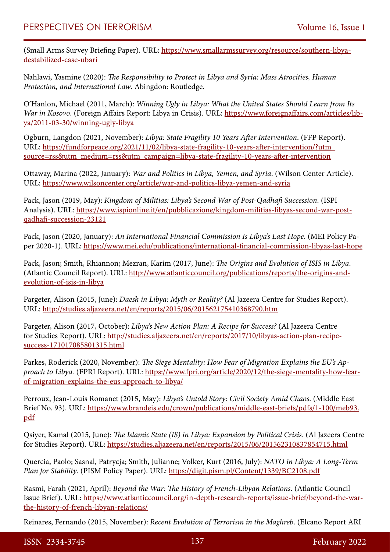(Small Arms Survey Briefing Paper). URL: [https://www.smallarmssurvey.org/resource/southern-libya](https://www.smallarmssurvey.org/resource/southern-libya-destabilized-case-ubari)[destabilized-case-ubari](https://www.smallarmssurvey.org/resource/southern-libya-destabilized-case-ubari)

Nahlawi, Yasmine (2020): *The Responsibility to Protect in Libya and Syria: Mass Atrocities, Human Protection, and International Law*. Abingdon: Routledge.

O'Hanlon, Michael (2011, March): *Winning Ugly in Libya: What the United States Should Learn from Its War in Kosovo*. (Foreign Affairs Report: Libya in Crisis). URL: [https://www.foreignaffairs.com/articles/lib](https://www.foreignaffairs.com/articles/libya/2011-03-30/winning-ugly-libya)[ya/2011-03-30/winning-ugly-libya](https://www.foreignaffairs.com/articles/libya/2011-03-30/winning-ugly-libya)

Ogburn, Langdon (2021, November): *Libya: State Fragility 10 Years After Intervention*. (FFP Report). URL: [https://fundforpeace.org/2021/11/02/libya-state-fragility-10-years-after-intervention/?utm\\_](https://fundforpeace.org/2021/11/02/libya-state-fragility-10-years-after-intervention/?utm_source=rss&utm_medium=rss&utm_campaign=libya-state-fragility-10-years-after-intervention) [source=rss&utm\\_medium=rss&utm\\_campaign=libya-state-fragility-10-years-after-intervention](https://fundforpeace.org/2021/11/02/libya-state-fragility-10-years-after-intervention/?utm_source=rss&utm_medium=rss&utm_campaign=libya-state-fragility-10-years-after-intervention)

Ottaway, Marina (2022, January): *War and Politics in Libya, Yemen, and Syria*. (Wilson Center Article). URL: <https://www.wilsoncenter.org/article/war-and-politics-libya-yemen-and-syria>

Pack, Jason (2019, May): *Kingdom of Militias: Libya's Second War of Post-Qadhafi Succession*. (ISPI Analysis). URL: [https://www.ispionline.it/en/pubblicazione/kingdom-militias-libyas-second-war-post](https://www.ispionline.it/en/pubblicazione/kingdom-militias-libyas-second-war-post-qadhafi-succession-23121)[qadhafi-succession-23121](https://www.ispionline.it/en/pubblicazione/kingdom-militias-libyas-second-war-post-qadhafi-succession-23121)

Pack, Jason (2020, January): *An International Financial Commission Is Libya's Last Hope*. (MEI Policy Paper 2020-1). URL: <https://www.mei.edu/publications/international-financial-commission-libyas-last-hope>

Pack, Jason; Smith, Rhiannon; Mezran, Karim (2017, June): *The Origins and Evolution of ISIS in Libya*. (Atlantic Council Report). URL: [http://www.atlanticcouncil.org/publications/reports/the-origins-and](http://www.atlanticcouncil.org/publications/reports/the-origins-and-evolution-of-isis-in-libya)[evolution-of-isis-in-libya](http://www.atlanticcouncil.org/publications/reports/the-origins-and-evolution-of-isis-in-libya)

Pargeter, Alison (2015, June): *Daesh in Libya: Myth or Reality?* (Al Jazeera Centre for Studies Report). URL: <http://studies.aljazeera.net/en/reports/2015/06/201562175410368790.htm>

Pargeter, Alison (2017, October): *Libya's New Action Plan: A Recipe for Success?* (Al Jazeera Centre for Studies Report). URL: [http://studies.aljazeera.net/en/reports/2017/10/libyas-action-plan-recipe](http://studies.aljazeera.net/en/reports/2017/10/libyas-action-plan-recipe-success-171017085801315.html)[success-171017085801315.html](http://studies.aljazeera.net/en/reports/2017/10/libyas-action-plan-recipe-success-171017085801315.html)

Parkes, Roderick (2020, November): *The Siege Mentality: How Fear of Migration Explains the EU's Approach to Libya.* (FPRI Report). URL: [https://www.fpri.org/article/2020/12/the-siege-mentality-how-fear](https://www.fpri.org/article/2020/12/the-siege-mentality-how-fear-of-migration-explains-the-eus-approach-to-libya/)[of-migration-explains-the-eus-approach-to-libya/](https://www.fpri.org/article/2020/12/the-siege-mentality-how-fear-of-migration-explains-the-eus-approach-to-libya/)

Perroux, Jean-Louis Romanet (2015, May): *Libya's Untold Story: Civil Society Amid Chaos*. (Middle East Brief No. 93). URL: [https://www.brandeis.edu/crown/publications/middle-east-briefs/pdfs/1-100/meb93.](https://www.brandeis.edu/crown/publications/middle-east-briefs/pdfs/1-100/meb93.pdf) [pdf](https://www.brandeis.edu/crown/publications/middle-east-briefs/pdfs/1-100/meb93.pdf)

Qsiyer, Kamal (2015, June): *The Islamic State (IS) in Libya: Expansion by Political Crisis*. (Al Jazeera Centre for Studies Report). URL: <https://studies.aljazeera.net/en/reports/2015/06/201562310837854715.html>

Quercia, Paolo; Sasnal, Patrycja; Smith, Julianne; Volker, Kurt (2016, July): *NATO in Libya: A Long-Term Plan for Stability*. (PISM Policy Paper). URL: <https://digit.pism.pl/Content/1339/BC2108.pdf>

Rasmi, Farah (2021, April): *Beyond the War: The History of French-Libyan Relations*. (Atlantic Council Issue Brief). URL: [https://www.atlanticcouncil.org/in-depth-research-reports/issue-brief/beyond-the-war](https://www.atlanticcouncil.org/in-depth-research-reports/issue-brief/beyond-the-war-the-history-of-french-libyan-relations/)[the-history-of-french-libyan-relations/](https://www.atlanticcouncil.org/in-depth-research-reports/issue-brief/beyond-the-war-the-history-of-french-libyan-relations/)

Reinares, Fernando (2015, November): *Recent Evolution of Terrorism in the Maghreb*. (Elcano Report ARI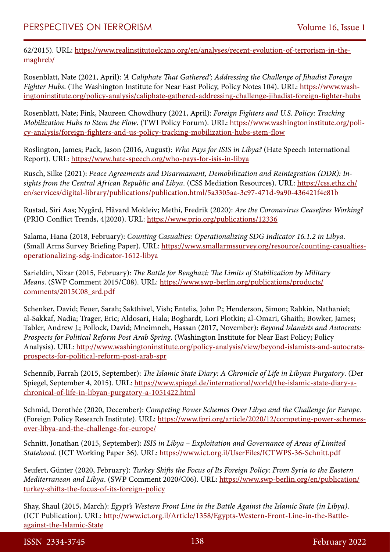62/2015). URL: [https://www.realinstitutoelcano.org/en/analyses/recent-evolution-of-terrorism-in-the](https://www.realinstitutoelcano.org/en/analyses/recent-evolution-of-terrorism-in-the-maghreb/)[maghreb/](https://www.realinstitutoelcano.org/en/analyses/recent-evolution-of-terrorism-in-the-maghreb/)

Rosenblatt, Nate (2021, April): *'A Caliphate That Gathered'; Addressing the Challenge of Jihadist Foreign Fighter Hubs*. (The Washington Institute for Near East Policy, Policy Notes 104). URL: [https://www.wash](https://www.washingtoninstitute.org/policy-analysis/caliphate-gathered-addressing-challenge-jihadist-foreign-fighter-hubs)[ingtoninstitute.org/policy-analysis/caliphate-gathered-addressing-challenge-jihadist-foreign-fighter-hubs](https://www.washingtoninstitute.org/policy-analysis/caliphate-gathered-addressing-challenge-jihadist-foreign-fighter-hubs)

Rosenblatt, Nate; Fink, Naureen Chowdhury (2021, April): *Foreign Fighters and U.S. Policy: Tracking Mobilization Hubs to Stem the Flow*. (TWI Policy Forum). URL: [https://www.washingtoninstitute.org/poli](https://www.washingtoninstitute.org/policy-analysis/foreign-fighters-and-us-policy-tracking-mobilization-hubs-stem-flow)[cy-analysis/foreign-fighters-and-us-policy-tracking-mobilization-hubs-stem-flow](https://www.washingtoninstitute.org/policy-analysis/foreign-fighters-and-us-policy-tracking-mobilization-hubs-stem-flow)

Roslington, James; Pack, Jason (2016, August): *Who Pays for ISIS in Libya?* (Hate Speech International Report). URL: <https://www.hate-speech.org/who-pays-for-isis-in-libya>

Rusch, Silke (2021): *Peace Agreements and Disarmament, Demobilization and Reintegration (DDR): Insights from the Central African Republic and Libya*. (CSS Mediation Resources). URL: [https://css.ethz.ch/](https://css.ethz.ch/en/services/digital-library/publications/publication.html/5a3305aa-3c97-471d-9a90-436421f4e81b) [en/services/digital-library/publications/publication.html/5a3305aa-3c97-471d-9a90-436421f4e81b](https://css.ethz.ch/en/services/digital-library/publications/publication.html/5a3305aa-3c97-471d-9a90-436421f4e81b)

Rustad, Siri Aas; Nygård, Håvard Mokleiv; Methi, Fredrik (2020): *Are the Coronavirus Ceasefires Working?*  (PRIO Conflict Trends, 4|2020). URL:<https://www.prio.org/publications/12336>

Salama, Hana (2018, February): *Counting Casualties: Operationalizing SDG Indicator 16.1.2 in Libya*. (Small Arms Survey Briefing Paper). URL: [https://www.smallarmssurvey.org/resource/counting-casualties](https://www.smallarmssurvey.org/resource/counting-casualties-operationalizing-sdg-indicator-1612-libya)[operationalizing-sdg-indicator-1612-libya](https://www.smallarmssurvey.org/resource/counting-casualties-operationalizing-sdg-indicator-1612-libya)

Sarieldin, Nizar (2015, February): *The Battle for Benghazi: The Limits of Stabilization by Military Means*. (SWP Comment 2015/C08). URL: [https://www.swp-berlin.org/publications/products/](https://www.swp-berlin.org/publications/products/comments/2015C08_srd.pdf) [comments/2015C08\\_srd.pdf](https://www.swp-berlin.org/publications/products/comments/2015C08_srd.pdf)

Schenker, David; Feuer, Sarah; Sakthivel, Vish; Entelis, John P.; Henderson, Simon; Rabkin, Nathaniel; al-Sakkaf, Nadia; Trager, Eric; Aldosari, Hala; Boghardt, Lori Plotkin; al-Omari, Ghaith; Bowker, James; Tabler, Andrew J.; Pollock, David; Mneimneh, Hassan (2017, November): *Beyond Islamists and Autocrats: Prospects for Political Reform Post Arab Spring*. (Washington Institute for Near East Policy; Policy Analysis). URL: [http://www.washingtoninstitute.org/policy-analysis/view/beyond-islamists-and-autocrats](http://www.washingtoninstitute.org/policy-analysis/view/beyond-islamists-and-autocrats-prospects-for-political-reform-post-arab-spr)[prospects-for-political-reform-post-arab-spr](http://www.washingtoninstitute.org/policy-analysis/view/beyond-islamists-and-autocrats-prospects-for-political-reform-post-arab-spr)

Schennib, Farrah (2015, September): *The Islamic State Diary: A Chronicle of Life in Libyan Purgatory*. (Der Spiegel, September 4, 2015). URL: [https://www.spiegel.de/international/world/the-islamic-state-diary-a](https://www.spiegel.de/international/world/the-islamic-state-diary-a-chronical-of-life-in-libyan-purgatory-a-1051422.html)[chronical-of-life-in-libyan-purgatory-a-1051422.html](https://www.spiegel.de/international/world/the-islamic-state-diary-a-chronical-of-life-in-libyan-purgatory-a-1051422.html)

Schmid, Dorothée (2020, December): *Competing Power Schemes Over Libya and the Challenge for Europe.*  (Foreign Policy Research Institute). URL: [https://www.fpri.org/article/2020/12/competing-power-schemes](https://www.fpri.org/article/2020/12/competing-power-schemes-over-libya-and-the-challenge-for-europe/)[over-libya-and-the-challenge-for-europe/](https://www.fpri.org/article/2020/12/competing-power-schemes-over-libya-and-the-challenge-for-europe/)

Schnitt, Jonathan (2015, September): *ISIS in Libya – Exploitation and Governance of Areas of Limited Statehood.* (ICT Working Paper 36). URL: <https://www.ict.org.il/UserFiles/ICTWPS-36-Schnitt.pdf>

Seufert, Günter (2020, February): *Turkey Shifts the Focus of Its Foreign Policy: From Syria to the Eastern Mediterranean and Libya*. (SWP Comment 2020/C06). URL: [https://www.swp-berlin.org/en/publication/](https://www.swp-berlin.org/en/publication/turkey-shifts-the-focus-of-its-foreign-policy) [turkey-shifts-the-focus-of-its-foreign-policy](https://www.swp-berlin.org/en/publication/turkey-shifts-the-focus-of-its-foreign-policy)

Shay, Shaul (2015, March): *Egypt's Western Front Line in the Battle Against the Islamic State (in Libya)*. (ICT Publication). URL: [http://www.ict.org.il/Article/1358/Egypts-Western-Front-Line-in-the-Battle](http://www.ict.org.il/Article/1358/Egypts-Western-Front-Line-in-the-Battle-against-the-Islamic-State)[against-the-Islamic-State](http://www.ict.org.il/Article/1358/Egypts-Western-Front-Line-in-the-Battle-against-the-Islamic-State)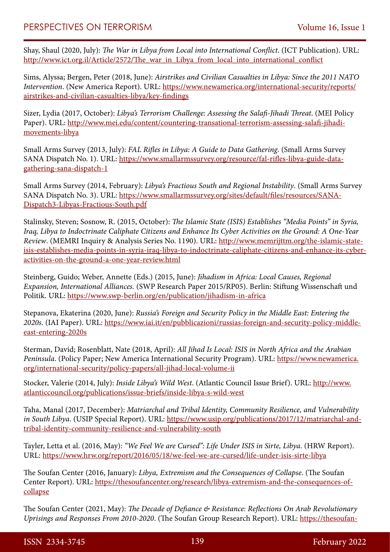Shay, Shaul (2020, July): *The War in Libya from Local into International Conflict*. (ICT Publication). URL: http://www.ict.org.il/Article/2572/The war\_in\_Libya\_from\_local\_into\_international\_conflict

Sims, Alyssa; Bergen, Peter (2018, June): *Airstrikes and Civilian Casualties in Libya: Since the 2011 NATO Intervention*. (New America Report). URL: [https://www.newamerica.org/international-security/reports/](https://www.newamerica.org/international-security/reports/airstrikes-and-civilian-casualties-libya/key-findings) [airstrikes-and-civilian-casualties-libya/key-findings](https://www.newamerica.org/international-security/reports/airstrikes-and-civilian-casualties-libya/key-findings)

Sizer, Lydia (2017, October): *Libya's Terrorism Challenge: Assessing the Salafi-Jihadi Threat*. (MEI Policy Paper). URL: [http://www.mei.edu/content/countering-transational-terrorism-assessing-salafi-jihadi](http://www.mei.edu/content/countering-transational-terrorism-assessing-salafi-jihadi-movements-libya)[movements-libya](http://www.mei.edu/content/countering-transational-terrorism-assessing-salafi-jihadi-movements-libya)

Small Arms Survey (2013, July): *FAL Rifles in Libya: A Guide to Data Gathering*. (Small Arms Survey SANA Dispatch No. 1). URL: [https://www.smallarmssurvey.org/resource/fal-rifles-libya-guide-data](https://www.smallarmssurvey.org/resource/fal-rifles-libya-guide-data-gathering-sana-dispatch-1)[gathering-sana-dispatch-1](https://www.smallarmssurvey.org/resource/fal-rifles-libya-guide-data-gathering-sana-dispatch-1)

Small Arms Survey (2014, February): *Libya's Fractious South and Regional Instability*. (Small Arms Survey SANA Dispatch No. 3). URL: [https://www.smallarmssurvey.org/sites/default/files/resources/SANA-](https://www.smallarmssurvey.org/sites/default/files/resources/SANA-Dispatch3-Libyas-Fractious-South.pdf)[Dispatch3-Libyas-Fractious-South.pdf](https://www.smallarmssurvey.org/sites/default/files/resources/SANA-Dispatch3-Libyas-Fractious-South.pdf)

Stalinsky, Steven; Sosnow, R. (2015, October): *The Islamic State (ISIS) Establishes "Media Points" in Syria, Iraq, Libya to Indoctrinate Caliphate Citizens and Enhance Its Cyber Activities on the Ground: A One-Year Review*. (MEMRI Inquiry & Analysis Series No. 1190). URL: [http://www.memrijttm.org/the-islamic-state](http://www.memrijttm.org/the-islamic-state-isis-establishes-media-points-in-syria-iraq-libya-to-indoctrinate-caliphate-citizens-and-enhance-its-cyber-activities-on-the-ground-a-one-year-review.html)[isis-establishes-media-points-in-syria-iraq-libya-to-indoctrinate-caliphate-citizens-and-enhance-its-cyber](http://www.memrijttm.org/the-islamic-state-isis-establishes-media-points-in-syria-iraq-libya-to-indoctrinate-caliphate-citizens-and-enhance-its-cyber-activities-on-the-ground-a-one-year-review.html)[activities-on-the-ground-a-one-year-review.html](http://www.memrijttm.org/the-islamic-state-isis-establishes-media-points-in-syria-iraq-libya-to-indoctrinate-caliphate-citizens-and-enhance-its-cyber-activities-on-the-ground-a-one-year-review.html)

Steinberg, Guido; Weber, Annette (Eds.) (2015, June): *Jihadism in Africa: Local Causes, Regional Expansion, International Alliances.* (SWP Research Paper 2015/RP05). Berlin: Stiftung Wissenschaft und Politik. URL: <https://www.swp-berlin.org/en/publication/jihadism-in-africa>

Stepanova, Ekaterina (2020, June): *Russia's Foreign and Security Policy in the Middle East: Entering the 2020s*. (IAI Paper). URL: [https://www.iai.it/en/pubblicazioni/russias-foreign-and-security-policy-middle](https://www.iai.it/en/pubblicazioni/russias-foreign-and-security-policy-middle-east-entering-2020s)[east-entering-2020s](https://www.iai.it/en/pubblicazioni/russias-foreign-and-security-policy-middle-east-entering-2020s)

Sterman, David; Rosenblatt, Nate (2018, April): *All Jihad Is Local: ISIS in North Africa and the Arabian Peninsula*. (Policy Paper; New America International Security Program). URL: [https://www.newamerica.](https://www.newamerica.org/international-security/policy-papers/all-jihad-local-volume-ii) [org/international-security/policy-papers/all-jihad-local-volume-ii](https://www.newamerica.org/international-security/policy-papers/all-jihad-local-volume-ii)

Stocker, Valerie (2014, July): *Inside Libya's Wild West*. (Atlantic Council Issue Brief). URL: [http://www.](http://www.atlanticcouncil.org/publications/issue-briefs/inside-libya-s-wild-west) [atlanticcouncil.org/publications/issue-briefs/inside-libya-s-wild-west](http://www.atlanticcouncil.org/publications/issue-briefs/inside-libya-s-wild-west)

Taha, Manal (2017, December): *Matriarchal and Tribal Identity, Community Resilience, and Vulnerability in South Libya.* (USIP Special Report). URL: [https://www.usip.org/publications/2017/12/matriarchal-and](https://www.usip.org/publications/2017/12/matriarchal-and-tribal-identity-community-resilience-and-vulnerability-south)[tribal-identity-community-resilience-and-vulnerability-south](https://www.usip.org/publications/2017/12/matriarchal-and-tribal-identity-community-resilience-and-vulnerability-south)

Tayler, Letta et al. (2016, May): *"We Feel We are Cursed": Life Under ISIS in Sirte, Libya*. (HRW Report). URL: <https://www.hrw.org/report/2016/05/18/we-feel-we-are-cursed/life-under-isis-sirte-libya>

The Soufan Center (2016, January): *Libya, Extremism and the Consequences of Collapse*. (The Soufan Center Report). URL: [https://thesoufancenter.org/research/libya-extremism-and-the-consequences-of](https://thesoufancenter.org/research/libya-extremism-and-the-consequences-of-collapse)[collapse](https://thesoufancenter.org/research/libya-extremism-and-the-consequences-of-collapse)

The Soufan Center (2021, May): *The Decade of Defiance & Resistance: Reflections On Arab Revolutionary Uprisings and Responses From 2010-2020*. (The Soufan Group Research Report). URL: [https://thesoufan-](https://thesoufancenter.org/research/the-decade-of-defiance-resistance-reflections-on-arab-revolutionary-uprisings-and-responses-from-2010-2020/)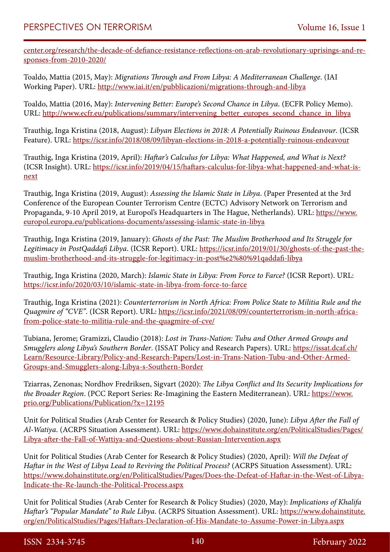[center.org/research/the-decade-of-defiance-resistance-reflections-on-arab-revolutionary-uprisings-and-re](https://thesoufancenter.org/research/the-decade-of-defiance-resistance-reflections-on-arab-revolutionary-uprisings-and-responses-from-2010-2020/)[sponses-from-2010-2020/](https://thesoufancenter.org/research/the-decade-of-defiance-resistance-reflections-on-arab-revolutionary-uprisings-and-responses-from-2010-2020/)

Toaldo, Mattia (2015, May): *Migrations Through and From Libya: A Mediterranean Challenge*. (IAI Working Paper). URL:<http://www.iai.it/en/pubblicazioni/migrations-through-and-libya>

Toaldo, Mattia (2016, May): *Intervening Better: Europe's Second Chance in Libya*. (ECFR Policy Memo). URL: [http://www.ecfr.eu/publications/summary/intervening\\_better\\_europes\\_second\\_chance\\_in\\_libya](http://www.ecfr.eu/publications/summary/intervening_better_europes_second_chance_in_libya)

Trauthig, Inga Kristina (2018, August): *Libyan Elections in 2018: A Potentially Ruinous Endeavour*. (ICSR Feature). URL:<https://icsr.info/2018/08/09/libyan-elections-in-2018-a-potentially-ruinous-endeavour>

Trauthig, Inga Kristina (2019, April): *Haftar's Calculus for Libya: What Happened, and What is Next?* (ICSR Insight). URL: [https://icsr.info/2019/04/15/haftars-calculus-for-libya-what-happened-and-what-is](https://icsr.info/2019/04/15/haftars-calculus-for-libya-what-happened-and-what-is-next)[next](https://icsr.info/2019/04/15/haftars-calculus-for-libya-what-happened-and-what-is-next)

Trauthig, Inga Kristina (2019, August): *Assessing the Islamic State in Libya*. (Paper Presented at the 3rd Conference of the European Counter Terrorism Centre (ECTC) Advisory Network on Terrorism and Propaganda, 9-10 April 2019, at Europol's Headquarters in The Hague, Netherlands). URL: [https://www.](https://www.europol.europa.eu/publications-documents/assessing-islamic-state-in-libya) [europol.europa.eu/publications-documents/assessing-islamic-state-in-libya](https://www.europol.europa.eu/publications-documents/assessing-islamic-state-in-libya)

Trauthig, Inga Kristina (2019, January): *Ghosts of the Past: The Muslim Brotherhood and Its Struggle for Legitimacy in PostQaddafi Libya*. (ICSR Report). URL: [https://icsr.info/2019/01/30/ghosts-of-the-past-the](https://icsr.info/2019/01/30/ghosts-of-the-past-the-muslim-brotherhood-and-its-struggle-for-legitimacy-in-post‑qaddafi-libya)[muslim-brotherhood-and-its-struggle-for-legitimacy-in-post%e2%80%91qaddafi-libya](https://icsr.info/2019/01/30/ghosts-of-the-past-the-muslim-brotherhood-and-its-struggle-for-legitimacy-in-post‑qaddafi-libya)

Trauthig, Inga Kristina (2020, March): *Islamic State in Libya: From Force to Farce?* (ICSR Report). URL: <https://icsr.info/2020/03/10/islamic-state-in-libya-from-force-to-farce>

Trauthig, Inga Kristina (2021): *Counterterrorism in North Africa: From Police State to Militia Rule and the Quagmire of "CVE"*. (ICSR Report). URL: [https://icsr.info/2021/08/09/counterterrorism-in-north-africa](https://icsr.info/2021/08/09/counterterrorism-in-north-africa-from-police-state-to-militia-rule-and-the-quagmire-of-cve/)[from-police-state-to-militia-rule-and-the-quagmire-of-cve/](https://icsr.info/2021/08/09/counterterrorism-in-north-africa-from-police-state-to-militia-rule-and-the-quagmire-of-cve/)

Tubiana, Jerome; Gramizzi, Claudio (2018): *Lost in Trans-Nation: Tubu and Other Armed Groups and Smugglers along Libya's Southern Border*. (ISSAT Policy and Research Papers). URL: [https://issat.dcaf.ch/](https://issat.dcaf.ch/Learn/Resource-Library/Policy-and-Research-Papers/Lost-in-Trans-Nation-Tubu-and-Other-Armed-Groups-and-Smugglers-along-Libya-s-Southern-Border) [Learn/Resource-Library/Policy-and-Research-Papers/Lost-in-Trans-Nation-Tubu-and-Other-Armed-](https://issat.dcaf.ch/Learn/Resource-Library/Policy-and-Research-Papers/Lost-in-Trans-Nation-Tubu-and-Other-Armed-Groups-and-Smugglers-along-Libya-s-Southern-Border)[Groups-and-Smugglers-along-Libya-s-Southern-Border](https://issat.dcaf.ch/Learn/Resource-Library/Policy-and-Research-Papers/Lost-in-Trans-Nation-Tubu-and-Other-Armed-Groups-and-Smugglers-along-Libya-s-Southern-Border)

Tziarras, Zenonas; Nordhov Fredriksen, Sigvart (2020): *The Libya Conflict and Its Security Implications for the Broader Region*. (PCC Report Series: Re-Imagining the Eastern Mediterranean). URL: [https://www.](https://www.prio.org/Publications/Publication/?x=12195) [prio.org/Publications/Publication/?x=12195](https://www.prio.org/Publications/Publication/?x=12195)

Unit for Political Studies (Arab Center for Research & Policy Studies) (2020, June): *Libya After the Fall of Al-Watiya*. (ACRPS Situation Assessment). URL: [https://www.dohainstitute.org/en/PoliticalStudies/Pages/](https://www.dohainstitute.org/en/PoliticalStudies/Pages/Libya-after-the-Fall-of-Wattiya-and-Questions-about-Russian-Intervention.aspx) [Libya-after-the-Fall-of-Wattiya-and-Questions-about-Russian-Intervention.aspx](https://www.dohainstitute.org/en/PoliticalStudies/Pages/Libya-after-the-Fall-of-Wattiya-and-Questions-about-Russian-Intervention.aspx)

Unit for Political Studies (Arab Center for Research & Policy Studies) (2020, April): *Will the Defeat of Haftar in the West of Libya Lead to Reviving the Political Process?* (ACRPS Situation Assessment). URL: [https://www.dohainstitute.org/en/PoliticalStudies/Pages/Does-the-Defeat-of-Haftar-in-the-West-of-Libya-](https://www.dohainstitute.org/en/PoliticalStudies/Pages/Does-the-Defeat-of-Haftar-in-the-West-of-Libya-Indicate-the-Re-launch-the-Political-Process.aspx)[Indicate-the-Re-launch-the-Political-Process.aspx](https://www.dohainstitute.org/en/PoliticalStudies/Pages/Does-the-Defeat-of-Haftar-in-the-West-of-Libya-Indicate-the-Re-launch-the-Political-Process.aspx)

Unit for Political Studies (Arab Center for Research & Policy Studies) (2020, May): *Implications of Khalifa Haftar's "Popular Mandate" to Rule Libya*. (ACRPS Situation Assessment). URL: [https://www.dohainstitute.](https://www.dohainstitute.org/en/PoliticalStudies/Pages/Haftars-Declaration-of-His-Mandate-to-Assume-Power-in-Libya.aspx) [org/en/PoliticalStudies/Pages/Haftars-Declaration-of-His-Mandate-to-Assume-Power-in-Libya.aspx](https://www.dohainstitute.org/en/PoliticalStudies/Pages/Haftars-Declaration-of-His-Mandate-to-Assume-Power-in-Libya.aspx)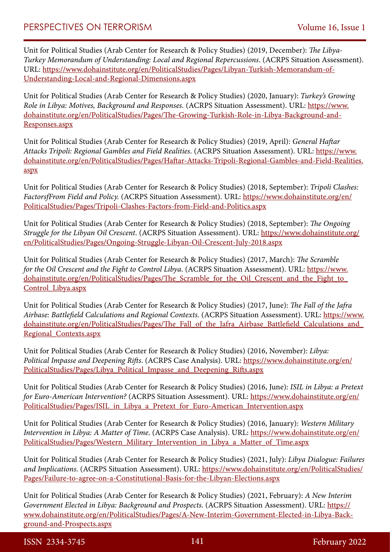Unit for Political Studies (Arab Center for Research & Policy Studies) (2019, December): *The Libya-Turkey Memorandum of Understanding: Local and Regional Repercussions*. (ACRPS Situation Assessment). URL: [https://www.dohainstitute.org/en/PoliticalStudies/Pages/Libyan-Turkish-Memorandum-of-](https://www.dohainstitute.org/en/PoliticalStudies/Pages/Libyan-Turkish-Memorandum-of-Understanding-Local-and-Regional-Dimensions.aspx)[Understanding-Local-and-Regional-Dimensions.aspx](https://www.dohainstitute.org/en/PoliticalStudies/Pages/Libyan-Turkish-Memorandum-of-Understanding-Local-and-Regional-Dimensions.aspx)

Unit for Political Studies (Arab Center for Research & Policy Studies) (2020, January): *Turkey's Growing Role in Libya: Motives, Background and Responses.* (ACRPS Situation Assessment). URL: [https://www.](https://www.dohainstitute.org/en/PoliticalStudies/Pages/The-Growing-Turkish-Role-in-Libya-Background-and-Responses.aspx) [dohainstitute.org/en/PoliticalStudies/Pages/The-Growing-Turkish-Role-in-Libya-Background-and-](https://www.dohainstitute.org/en/PoliticalStudies/Pages/The-Growing-Turkish-Role-in-Libya-Background-and-Responses.aspx)[Responses.aspx](https://www.dohainstitute.org/en/PoliticalStudies/Pages/The-Growing-Turkish-Role-in-Libya-Background-and-Responses.aspx)

Unit for Political Studies (Arab Center for Research & Policy Studies) (2019, April): *General Haftar Attacks Tripoli: Regional Gambles and Field Realities*. (ACRPS Situation Assessment). URL: [https://www.](https://www.dohainstitute.org/en/PoliticalStudies/Pages/Haftar-Attacks-Tripoli-Regional-Gambles-and-Field-Realities.aspx) [dohainstitute.org/en/PoliticalStudies/Pages/Haftar-Attacks-Tripoli-Regional-Gambles-and-Field-Realities.](https://www.dohainstitute.org/en/PoliticalStudies/Pages/Haftar-Attacks-Tripoli-Regional-Gambles-and-Field-Realities.aspx) [aspx](https://www.dohainstitute.org/en/PoliticalStudies/Pages/Haftar-Attacks-Tripoli-Regional-Gambles-and-Field-Realities.aspx)

Unit for Political Studies (Arab Center for Research & Policy Studies) (2018, September): *Tripoli Clashes: FactorsfFrom Field and Policy.* (ACRPS Situation Assessment). URL: [https://www.dohainstitute.org/en/](https://www.dohainstitute.org/en/PoliticalStudies/Pages/Tripoli-Clashes-Factors-from-Field-and-Politics.aspx) [PoliticalStudies/Pages/Tripoli-Clashes-Factors-from-Field-and-Politics.aspx](https://www.dohainstitute.org/en/PoliticalStudies/Pages/Tripoli-Clashes-Factors-from-Field-and-Politics.aspx)

Unit for Political Studies (Arab Center for Research & Policy Studies) (2018, September): *The Ongoing Struggle for the Libyan Oil Crescent*. (ACRPS Situation Assessment). URL: [https://www.dohainstitute.org/](https://www.dohainstitute.org/en/PoliticalStudies/Pages/Ongoing-Struggle-Libyan-Oil-Crescent-July-2018.aspx) [en/PoliticalStudies/Pages/Ongoing-Struggle-Libyan-Oil-Crescent-July-2018.aspx](https://www.dohainstitute.org/en/PoliticalStudies/Pages/Ongoing-Struggle-Libyan-Oil-Crescent-July-2018.aspx)

Unit for Political Studies (Arab Center for Research & Policy Studies) (2017, March): *The Scramble for the Oil Crescent and the Fight to Control Libya*. (ACRPS Situation Assessment). URL: [https://www.](https://www.dohainstitute.org/en/PoliticalStudies/Pages/The_Scramble_for_the_Oil_Crescent_and_the_Fight_to_Control_Libya.aspx) [dohainstitute.org/en/PoliticalStudies/Pages/The\\_Scramble\\_for\\_the\\_Oil\\_Crescent\\_and\\_the\\_Fight\\_to\\_](https://www.dohainstitute.org/en/PoliticalStudies/Pages/The_Scramble_for_the_Oil_Crescent_and_the_Fight_to_Control_Libya.aspx) [Control\\_Libya.aspx](https://www.dohainstitute.org/en/PoliticalStudies/Pages/The_Scramble_for_the_Oil_Crescent_and_the_Fight_to_Control_Libya.aspx)

Unit for Political Studies (Arab Center for Research & Policy Studies) (2017, June): *The Fall of the Jafra Airbase: Battlefield Calculations and Regional Contexts*. (ACRPS Situation Assessment). URL: [https://www.](https://www.dohainstitute.org/en/PoliticalStudies/Pages/The_Fall_of_the_Jafra_Airbase_Battlefield_Calculations_and_Regional_Contexts.aspx) [dohainstitute.org/en/PoliticalStudies/Pages/The\\_Fall\\_of\\_the\\_Jafra\\_Airbase\\_Battlefield\\_Calculations\\_and\\_](https://www.dohainstitute.org/en/PoliticalStudies/Pages/The_Fall_of_the_Jafra_Airbase_Battlefield_Calculations_and_Regional_Contexts.aspx) [Regional\\_Contexts.aspx](https://www.dohainstitute.org/en/PoliticalStudies/Pages/The_Fall_of_the_Jafra_Airbase_Battlefield_Calculations_and_Regional_Contexts.aspx)

Unit for Political Studies (Arab Center for Research & Policy Studies) (2016, November): *Libya: Political Impasse and Deepening Rifts*. (ACRPS Case Analysis). URL: [https://www.dohainstitute.org/en/](https://www.dohainstitute.org/en/PoliticalStudies/Pages/Libya_Political_Impasse_and_Deepening_Rifts.aspx) [PoliticalStudies/Pages/Libya\\_Political\\_Impasse\\_and\\_Deepening\\_Rifts.aspx](https://www.dohainstitute.org/en/PoliticalStudies/Pages/Libya_Political_Impasse_and_Deepening_Rifts.aspx)

Unit for Political Studies (Arab Center for Research & Policy Studies) (2016, June): *ISIL in Libya: a Pretext for Euro-American Intervention?* (ACRPS Situation Assessment). URL: [https://www.dohainstitute.org/en/](https://www.dohainstitute.org/en/PoliticalStudies/Pages/ISIL_in_Libya_a_Pretext_for_Euro-American_Intervention.aspx) [PoliticalStudies/Pages/ISIL\\_in\\_Libya\\_a\\_Pretext\\_for\\_Euro-American\\_Intervention.aspx](https://www.dohainstitute.org/en/PoliticalStudies/Pages/ISIL_in_Libya_a_Pretext_for_Euro-American_Intervention.aspx)

Unit for Political Studies (Arab Center for Research & Policy Studies) (2016, January): *Western Military Intervention in Libya: A Matter of Time*. (ACRPS Case Analysis). URL: [https://www.dohainstitute.org/en/](https://www.dohainstitute.org/en/PoliticalStudies/Pages/Western_Military_Intervention_in_Libya_a_Matter_of_Time.aspx) [PoliticalStudies/Pages/Western\\_Military\\_Intervention\\_in\\_Libya\\_a\\_Matter\\_of\\_Time.aspx](https://www.dohainstitute.org/en/PoliticalStudies/Pages/Western_Military_Intervention_in_Libya_a_Matter_of_Time.aspx)

Unit for Political Studies (Arab Center for Research & Policy Studies) (2021, July): *Libya Dialogue: Failures and Implications*. (ACRPS Situation Assessment). URL: [https://www.dohainstitute.org/en/PoliticalStudies/](https://www.dohainstitute.org/en/PoliticalStudies/Pages/Failure-to-agree-on-a-Constitutional-Basis-for-the-Libyan-Elections.aspx) [Pages/Failure-to-agree-on-a-Constitutional-Basis-for-the-Libyan-Elections.aspx](https://www.dohainstitute.org/en/PoliticalStudies/Pages/Failure-to-agree-on-a-Constitutional-Basis-for-the-Libyan-Elections.aspx)

Unit for Political Studies (Arab Center for Research & Policy Studies) (2021, February): *A New Interim Government Elected in Libya: Background and Prospects*. (ACRPS Situation Assessment). URL: [https://](https://www.dohainstitute.org/en/PoliticalStudies/Pages/A-New-Interim-Government-Elected-in-Libya-Background-and-Prospects.aspx) [www.dohainstitute.org/en/PoliticalStudies/Pages/A-New-Interim-Government-Elected-in-Libya-Back](https://www.dohainstitute.org/en/PoliticalStudies/Pages/A-New-Interim-Government-Elected-in-Libya-Background-and-Prospects.aspx)[ground-and-Prospects.aspx](https://www.dohainstitute.org/en/PoliticalStudies/Pages/A-New-Interim-Government-Elected-in-Libya-Background-and-Prospects.aspx)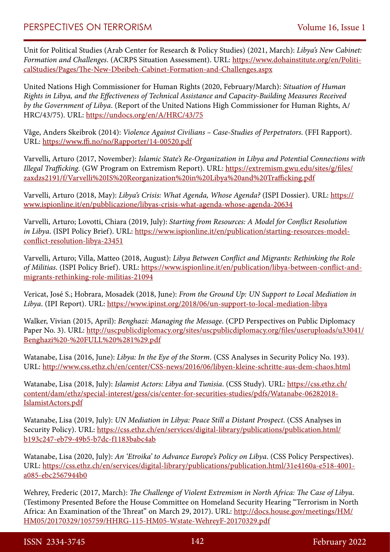Unit for Political Studies (Arab Center for Research & Policy Studies) (2021, March): *Libya's New Cabinet: Formation and Challenges*. (ACRPS Situation Assessment). URL: [https://www.dohainstitute.org/en/Politi](https://www.dohainstitute.org/en/PoliticalStudies/Pages/The-New-Dbeibeh-Cabinet-Formation-and-Challenges.aspx)[calStudies/Pages/The-New-Dbeibeh-Cabinet-Formation-and-Challenges.aspx](https://www.dohainstitute.org/en/PoliticalStudies/Pages/The-New-Dbeibeh-Cabinet-Formation-and-Challenges.aspx)

United Nations High Commissioner for Human Rights (2020, February/March): *Situation of Human Rights in Libya, and the Effectiveness of Technical Assistance and Capacity-Building Measures Received by the Government of Libya*. (Report of the United Nations High Commissioner for Human Rights, A/ HRC/43/75). URL:<https://undocs.org/en/A/HRC/43/75>

Våge, Anders Skeibrok (2014): *Violence Against Civilians – Case-Studies of Perpetrators*. (FFI Rapport). URL: <https://www.ffi.no/no/Rapporter/14-00520.pdf>

Varvelli, Arturo (2017, November): *Islamic State's Re-Organization in Libya and Potential Connections with Illegal Trafficking.* (GW Program on Extremism Report). URL: [https://extremism.gwu.edu/sites/g/files/](https://extremism.gwu.edu/sites/g/files/zaxdzs2191/f/Varvelli%20IS%20Reorganization%20in%20Libya%20and%20Trafficking.pdf) [zaxdzs2191/f/Varvelli%20IS%20Reorganization%20in%20Libya%20and%20Trafficking.pdf](https://extremism.gwu.edu/sites/g/files/zaxdzs2191/f/Varvelli%20IS%20Reorganization%20in%20Libya%20and%20Trafficking.pdf)

Varvelli, Arturo (2018, May): *Libya's Crisis: What Agenda, Whose Agenda?* (ISPI Dossier). URL: [https://](https://www.ispionline.it/en/pubblicazione/libyas-crisis-what-agenda-whose-agenda-20634) [www.ispionline.it/en/pubblicazione/libyas-crisis-what-agenda-whose-agenda-20634](https://www.ispionline.it/en/pubblicazione/libyas-crisis-what-agenda-whose-agenda-20634)

Varvelli, Arturo; Lovotti, Chiara (2019, July): *Starting from Resources: A Model for Conflict Resolution in Libya*. (ISPI Policy Brief). URL: [https://www.ispionline.it/en/publication/starting-resources-model](https://www.ispionline.it/en/publication/starting-resources-model-conflict-resolution-libya-23451)[conflict-resolution-libya-23451](https://www.ispionline.it/en/publication/starting-resources-model-conflict-resolution-libya-23451)

Varvelli, Arturo; Villa, Matteo (2018, August): *Libya Between Conflict and Migrants: Rethinking the Role of Militias*. (ISPI Policy Brief). URL: [https://www.ispionline.it/en/publication/libya-between-conflict-and](https://www.ispionline.it/en/publication/libya-between-conflict-and-migrants-rethinking-role-militias-21094)[migrants-rethinking-role-militias-21094](https://www.ispionline.it/en/publication/libya-between-conflict-and-migrants-rethinking-role-militias-21094)

Vericat, José S.; Hobrara, Mosadek (2018, June): *From the Ground Up: UN Support to Local Mediation in Libya*. (IPI Report). URL: <https://www.ipinst.org/2018/06/un-support-to-local-mediation-libya>

Walker, Vivian (2015, April): *Benghazi: Managing the Message*. (CPD Perspectives on Public Diplomacy Paper No. 3). URL: [http://uscpublicdiplomacy.org/sites/uscpublicdiplomacy.org/files/useruploads/u33041/](http://uscpublicdiplomacy.org/sites/uscpublicdiplomacy.org/files/useruploads/u33041/Benghazi%20-%20FULL%20%281%29.pdf) [Benghazi%20-%20FULL%20%281%29.pdf](http://uscpublicdiplomacy.org/sites/uscpublicdiplomacy.org/files/useruploads/u33041/Benghazi%20-%20FULL%20%281%29.pdf)

Watanabe, Lisa (2016, June): *Libya: In the Eye of the Storm*. (CSS Analyses in Security Policy No. 193). URL: <http://www.css.ethz.ch/en/center/CSS-news/2016/06/libyen-kleine-schritte-aus-dem-chaos.html>

Watanabe, Lisa (2018, July): *Islamist Actors: Libya and Tunisia*. (CSS Study). URL: [https://css.ethz.ch/](https://css.ethz.ch/content/dam/ethz/special-interest/gess/cis/center-for-securities-studies/pdfs/Watanabe-06282018-IslamistActors.pdf) [content/dam/ethz/special-interest/gess/cis/center-for-securities-studies/pdfs/Watanabe-06282018-](https://css.ethz.ch/content/dam/ethz/special-interest/gess/cis/center-for-securities-studies/pdfs/Watanabe-06282018-IslamistActors.pdf) [IslamistActors.pdf](https://css.ethz.ch/content/dam/ethz/special-interest/gess/cis/center-for-securities-studies/pdfs/Watanabe-06282018-IslamistActors.pdf)

Watanabe, Lisa (2019, July): *UN Mediation in Libya: Peace Still a Distant Prospect*. (CSS Analyses in Security Policy). URL: [https://css.ethz.ch/en/services/digital-library/publications/publication.html/](https://css.ethz.ch/en/services/digital-library/publications/publication.html/b193c247-eb79-49b5-b7dc-f1183babc4ab) [b193c247-eb79-49b5-b7dc-f1183babc4ab](https://css.ethz.ch/en/services/digital-library/publications/publication.html/b193c247-eb79-49b5-b7dc-f1183babc4ab)

Watanabe, Lisa (2020, July): *An 'Etroika' to Advance Europe's Policy on Libya*. (CSS Policy Perspectives). URL: [https://css.ethz.ch/en/services/digital-library/publications/publication.html/31e4160a-e518-4001](https://css.ethz.ch/en/services/digital-library/publications/publication.html/31e4160a-e518-4001-a085-ebc2567944b0) [a085-ebc2567944b0](https://css.ethz.ch/en/services/digital-library/publications/publication.html/31e4160a-e518-4001-a085-ebc2567944b0)

Wehrey, Frederic (2017, March): *The Challenge of Violent Extremism in North Africa: The Case of Libya*. (Testimony Presented Before the House Committee on Homeland Security Hearing "Terrorism in North Africa: An Examination of the Threat" on March 29, 2017). URL: [http://docs.house.gov/meetings/HM/](http://docs.house.gov/meetings/HM/HM05/20170329/105759/HHRG-115-HM05-Wstate-WehreyF-20170329.pdf) [HM05/20170329/105759/HHRG-115-HM05-Wstate-WehreyF-20170329.pdf](http://docs.house.gov/meetings/HM/HM05/20170329/105759/HHRG-115-HM05-Wstate-WehreyF-20170329.pdf)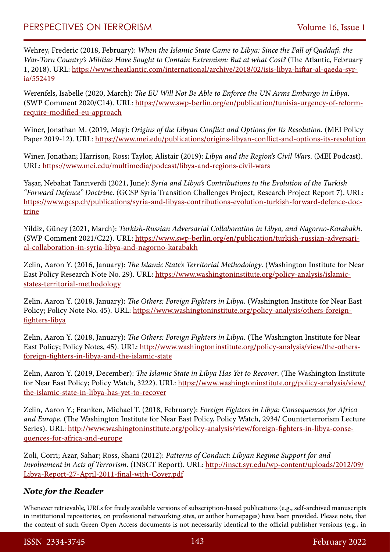Wehrey, Frederic (2018, February): *When the Islamic State Came to Libya: Since the Fall of Qaddafi, the War-Torn Country's Militias Have Sought to Contain Extremism: But at what Cost?* (The Atlantic, February 1, 2018). URL: [https://www.theatlantic.com/international/archive/2018/02/isis-libya-hiftar-al-qaeda-syr](https://www.theatlantic.com/international/archive/2018/02/isis-libya-hiftar-al-qaeda-syria/552419)[ia/552419](https://www.theatlantic.com/international/archive/2018/02/isis-libya-hiftar-al-qaeda-syria/552419)

Werenfels, Isabelle (2020, March): *The EU Will Not Be Able to Enforce the UN Arms Embargo in Libya*. (SWP Comment 2020/C14). URL: [https://www.swp-berlin.org/en/publication/tunisia-urgency-of-reform](https://www.swp-berlin.org/en/publication/tunisia-urgency-of-reform-require-modified-eu-approach)[require-modified-eu-approach](https://www.swp-berlin.org/en/publication/tunisia-urgency-of-reform-require-modified-eu-approach)

Winer, Jonathan M. (2019, May): *Origins of the Libyan Conflict and Options for Its Resolution*. (MEI Policy Paper 2019-12). URL:<https://www.mei.edu/publications/origins-libyan-conflict-and-options-its-resolution>

Winer, Jonathan; Harrison, Ross; Taylor, Alistair (2019): *Libya and the Region's Civil Wars*. (MEI Podcast). URL: <https://www.mei.edu/multimedia/podcast/libya-and-regions-civil-wars>

Yaşar, Nebahat Tanrıverdi (2021, June): *Syria and Libya's Contributions to the Evolution of the Turkish "Forward Defence" Doctrine*. (GCSP Syria Transition Challenges Project, Research Project Report 7). URL: [https://www.gcsp.ch/publications/syria-and-libyas-contributions-evolution-turkish-forward-defence-doc](https://www.gcsp.ch/publications/syria-and-libyas-contributions-evolution-turkish-forward-defence-doctrine)[trine](https://www.gcsp.ch/publications/syria-and-libyas-contributions-evolution-turkish-forward-defence-doctrine)

Yildiz, Güney (2021, March): *Turkish-Russian Adversarial Collaboration in Libya, and Nagorno-Karabakh*. (SWP Comment 2021/C22). URL: [https://www.swp-berlin.org/en/publication/turkish-russian-adversari](https://www.swp-berlin.org/en/publication/turkish-russian-adversarial-collaboration-in-syria-libya-and-nagorno-karabakh)[al-collaboration-in-syria-libya-and-nagorno-karabakh](https://www.swp-berlin.org/en/publication/turkish-russian-adversarial-collaboration-in-syria-libya-and-nagorno-karabakh)

Zelin, Aaron Y. (2016, January): *The Islamic State's Territorial Methodology*. (Washington Institute for Near East Policy Research Note No. 29). URL: [https://www.washingtoninstitute.org/policy-analysis/islamic](https://www.washingtoninstitute.org/policy-analysis/islamic-states-territorial-methodology)[states-territorial-methodology](https://www.washingtoninstitute.org/policy-analysis/islamic-states-territorial-methodology)

Zelin, Aaron Y. (2018, January): *The Others: Foreign Fighters in Libya*. (Washington Institute for Near East Policy; Policy Note No. 45). URL: [https://www.washingtoninstitute.org/policy-analysis/others-foreign](https://www.washingtoninstitute.org/policy-analysis/others-foreign-fighters-libya)[fighters-libya](https://www.washingtoninstitute.org/policy-analysis/others-foreign-fighters-libya)

Zelin, Aaron Y. (2018, January): *The Others: Foreign Fighters in Libya*. (The Washington Institute for Near East Policy; Policy Notes, 45). URL: [http://www.washingtoninstitute.org/policy-analysis/view/the-others](http://www.washingtoninstitute.org/policy-analysis/view/the-others-foreign-fighters-in-libya-and-the-islamic-state)[foreign-fighters-in-libya-and-the-islamic-state](http://www.washingtoninstitute.org/policy-analysis/view/the-others-foreign-fighters-in-libya-and-the-islamic-state)

Zelin, Aaron Y. (2019, December): *The Islamic State in Libya Has Yet to Recover*. (The Washington Institute for Near East Policy; Policy Watch, 3222). URL: [https://www.washingtoninstitute.org/policy-analysis/view/](https://www.washingtoninstitute.org/policy-analysis/view/the-islamic-state-in-libya-has-yet-to-recover) [the-islamic-state-in-libya-has-yet-to-recover](https://www.washingtoninstitute.org/policy-analysis/view/the-islamic-state-in-libya-has-yet-to-recover)

Zelin, Aaron Y.; Franken, Michael T. (2018, February): *Foreign Fighters in Libya: Consequences for Africa and Europe*. (The Washington Institute for Near East Policy, Policy Watch, 2934/ Counterterrorism Lecture Series). URL: [http://www.washingtoninstitute.org/policy-analysis/view/foreign-fighters-in-libya-conse](http://www.washingtoninstitute.org/policy-analysis/view/foreign-fighters-in-libya-consequences-for-africa-and-europe)[quences-for-africa-and-europe](http://www.washingtoninstitute.org/policy-analysis/view/foreign-fighters-in-libya-consequences-for-africa-and-europe)

Zoli, Corri; Azar, Sahar; Ross, Shani (2012): *Patterns of Conduct: Libyan Regime Support for and Involvement in Acts of Terrorism*. (INSCT Report). URL: [http://insct.syr.edu/wp-content/uploads/2012/09/](http://insct.syr.edu/wp-content/uploads/2012/09/Libya-Report-27-April-2011-final-with-Cover.pdf) [Libya-Report-27-April-2011-final-with-Cover.pdf](http://insct.syr.edu/wp-content/uploads/2012/09/Libya-Report-27-April-2011-final-with-Cover.pdf)

### *Note for the Reader*

Whenever retrievable, URLs for freely available versions of subscription-based publications (e.g., self-archived manuscripts in institutional repositories, on professional networking sites, or author homepages) have been provided. Please note, that the content of such Green Open Access documents is not necessarily identical to the official publisher versions (e.g., in